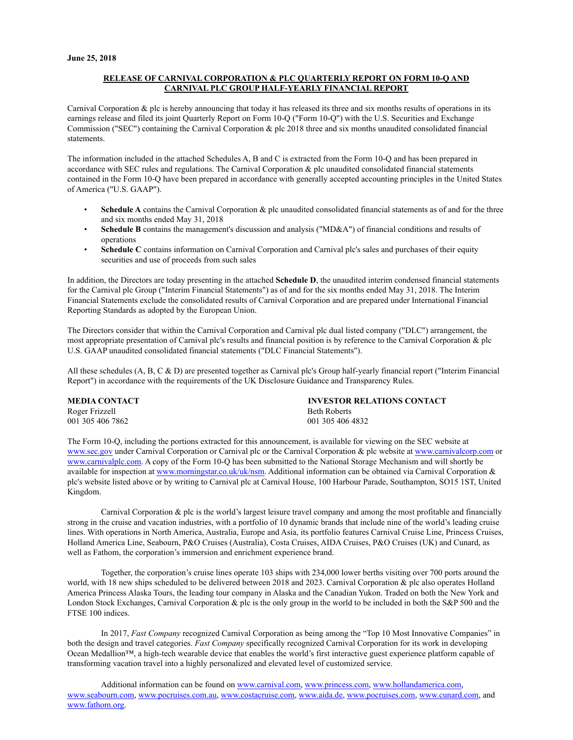#### **RELEASE OF CARNIVAL CORPORATION & PLC QUARTERLY REPORT ON FORM 10-Q AND CARNIVAL PLC GROUP HALF-YEARLY FINANCIAL REPORT**

Carnival Corporation  $\&$  plc is hereby announcing that today it has released its three and six months results of operations in its earnings release and filed its joint Quarterly Report on Form 10-Q ("Form 10-Q") with the U.S. Securities and Exchange Commission ("SEC") containing the Carnival Corporation & plc 2018 three and six months unaudited consolidated financial statements.

The information included in the attached Schedules A, B and C is extracted from the Form 10-Q and has been prepared in accordance with SEC rules and regulations. The Carnival Corporation & plc unaudited consolidated financial statements contained in the Form 10-Q have been prepared in accordance with generally accepted accounting principles in the United States of America ("U.S. GAAP").

- **Schedule A** contains the Carnival Corporation & plc unaudited consolidated financial statements as of and for the three and six months ended May 31, 2018
- **Schedule B** contains the management's discussion and analysis ("MD&A") of financial conditions and results of operations
- **Schedule C** contains information on Carnival Corporation and Carnival plc's sales and purchases of their equity securities and use of proceeds from such sales

In addition, the Directors are today presenting in the attached **Schedule D**, the unaudited interim condensed financial statements for the Carnival plc Group ("Interim Financial Statements") as of and for the six months ended May 31, 2018. The Interim Financial Statements exclude the consolidated results of Carnival Corporation and are prepared under International Financial Reporting Standards as adopted by the European Union.

The Directors consider that within the Carnival Corporation and Carnival plc dual listed company ("DLC") arrangement, the most appropriate presentation of Carnival plc's results and financial position is by reference to the Carnival Corporation & plc U.S. GAAP unaudited consolidated financial statements ("DLC Financial Statements").

All these schedules (A, B, C & D) are presented together as Carnival plc's Group half-yearly financial report ("Interim Financial Report") in accordance with the requirements of the UK Disclosure Guidance and Transparency Rules.

| <b>MEDIA CONTACT</b> | <b>INVESTOR RELATIONS CONTACT</b> |
|----------------------|-----------------------------------|
| Roger Frizzell       | <b>Beth Roberts</b>               |
| 001 305 406 7862     | 001 305 406 4832                  |

The Form 10-Q, including the portions extracted for this announcement, is available for viewing on the SEC website at <www.sec.gov>under Carnival Corporation or Carnival plc or the Carnival Corporation & plc website at [www.carnivalcorp.com o](www.carnivalcorp.com)r <www.carnivalplc.com.> A copy of the Form 10-Q has been submitted to the National Storage Mechanism and will shortly be available for inspection at<www.morningstar.co.uk/uk/nsm.> Additional information can be obtained via Carnival Corporation & plc's website listed above or by writing to Carnival plc at Carnival House, 100 Harbour Parade, Southampton, SO15 1ST, United Kingdom.

Carnival Corporation  $\&$  plc is the world's largest leisure travel company and among the most profitable and financially strong in the cruise and vacation industries, with a portfolio of 10 dynamic brands that include nine of the world's leading cruise lines. With operations in North America, Australia, Europe and Asia, its portfolio features Carnival Cruise Line, Princess Cruises, Holland America Line, Seabourn, P&O Cruises (Australia), Costa Cruises, AIDA Cruises, P&O Cruises (UK) and Cunard, as well as Fathom, the corporation's immersion and enrichment experience brand.

Together, the corporation's cruise lines operate 103 ships with 234,000 lower berths visiting over 700 ports around the world, with 18 new ships scheduled to be delivered between 2018 and 2023. Carnival Corporation & plc also operates Holland America Princess Alaska Tours, the leading tour company in Alaska and the Canadian Yukon. Traded on both the New York and London Stock Exchanges, Carnival Corporation & plc is the only group in the world to be included in both the S&P 500 and the FTSE 100 indices.

In 2017, *Fast Company* recognized Carnival Corporation as being among the "Top 10 Most Innovative Companies" in both the design and travel categories. *Fast Company* specifically recognized Carnival Corporation for its work in developing Ocean Medallion™, a high-tech wearable device that enables the world's first interactive guest experience platform capable of transforming vacation travel into a highly personalized and elevated level of customized service.

Additional information can be found on [www.carnival.com,](www.carnival.com) [www.princess.com](www.princess.com,),<www.hollandamerica.com,> [www.seabourn.com,](www.seabourn.com) <www.pocruises.com.au,> [www.costacruise.com](www.costacruise.com,), [www.aida.de,](www.aida.de)<www.pocruises.com>,<www.cunard.com,> and <www.fathom.org.>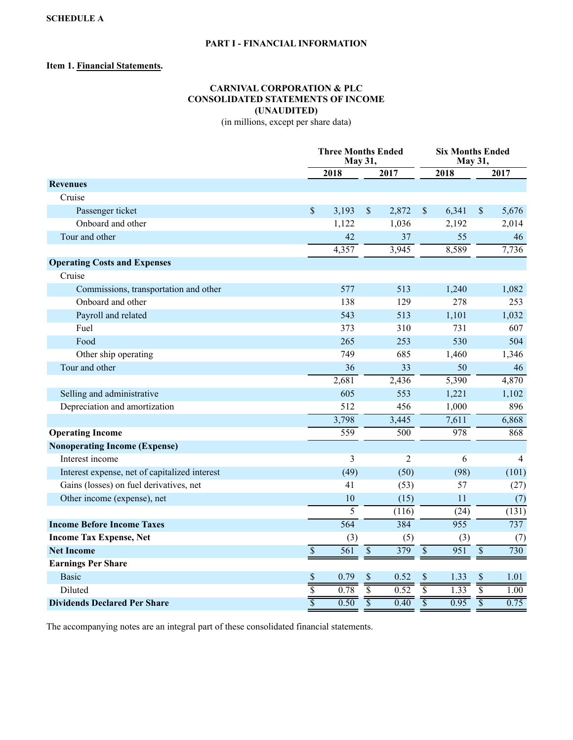## **PART I - FINANCIAL INFORMATION**

## **Item 1. Financial Statements.**

# **CARNIVAL CORPORATION & PLC CONSOLIDATED STATEMENTS OF INCOME (UNAUDITED)**

(in millions, except per share data)

|                                               |                 | <b>Three Months Ended</b> | May 31,                  |                     |                         | <b>Six Months Ended</b><br>May 31, |                 |                |
|-----------------------------------------------|-----------------|---------------------------|--------------------------|---------------------|-------------------------|------------------------------------|-----------------|----------------|
|                                               |                 | 2018                      |                          | 2017                |                         | 2018                               |                 | 2017           |
| <b>Revenues</b>                               |                 |                           |                          |                     |                         |                                    |                 |                |
| Cruise                                        |                 |                           |                          |                     |                         |                                    |                 |                |
| Passenger ticket                              | $\mathsf{\$}$   | 3,193                     | $\mathcal{S}$            | 2,872               | \$                      | 6,341                              | \$              | 5,676          |
| Onboard and other                             |                 | 1,122                     |                          | 1,036               |                         | 2,192                              |                 | 2,014          |
| Tour and other                                |                 | 42                        |                          | 37                  |                         | 55                                 |                 | 46             |
|                                               |                 | 4,357                     |                          | 3,945               |                         | 8,589                              |                 | 7,736          |
| <b>Operating Costs and Expenses</b>           |                 |                           |                          |                     |                         |                                    |                 |                |
| Cruise                                        |                 |                           |                          |                     |                         |                                    |                 |                |
| Commissions, transportation and other         |                 | 577                       |                          | 513                 |                         | 1,240                              |                 | 1,082          |
| Onboard and other                             |                 | 138                       |                          | 129                 |                         | 278                                |                 | 253            |
| Payroll and related                           |                 | 543                       |                          | 513                 |                         | 1,101                              |                 | 1,032          |
| Fuel                                          |                 | 373                       |                          | 310                 |                         | 731                                |                 | 607            |
| Food                                          |                 | 265                       |                          | 253                 |                         | 530                                |                 | 504            |
| Other ship operating                          |                 | 749                       |                          | 685                 |                         | 1,460                              |                 | 1,346          |
| Tour and other                                |                 | 36                        |                          | 33                  |                         | 50                                 |                 | 46             |
|                                               |                 | 2,681                     |                          | 2,436               |                         | 5,390                              |                 | 4,870          |
| Selling and administrative                    |                 | 605                       |                          | 553                 |                         | 1,221                              |                 | 1,102          |
| Depreciation and amortization                 |                 | 512                       |                          | 456                 |                         | 1,000                              |                 | 896            |
|                                               |                 | 3,798                     |                          | 3,445               |                         | 7,611                              |                 | 6,868          |
| <b>Operating Income</b>                       |                 | 559                       |                          | 500                 |                         | 978                                |                 | 868            |
| <b>Nonoperating Income (Expense)</b>          |                 |                           |                          |                     |                         |                                    |                 |                |
| Interest income                               |                 | 3                         |                          | $\mathfrak{2}$      |                         | 6                                  |                 | $\overline{4}$ |
| Interest expense, net of capitalized interest |                 | (49)                      |                          | (50)                |                         | (98)                               |                 | (101)          |
| Gains (losses) on fuel derivatives, net       |                 | 41                        |                          | (53)                |                         | 57                                 |                 | (27)           |
| Other income (expense), net                   |                 | 10                        |                          | (15)                |                         | 11                                 |                 | (7)            |
|                                               |                 | $\overline{5}$            |                          | (116)               |                         | (24)                               |                 | (131)          |
| <b>Income Before Income Taxes</b>             |                 | 564                       |                          | 384                 |                         | 955                                |                 | 737            |
| <b>Income Tax Expense, Net</b>                |                 | (3)                       |                          | (5)                 |                         | (3)                                |                 | (7)            |
| <b>Net Income</b>                             | $\overline{\$}$ | $\overline{561}$          | $\overline{\mathcal{S}}$ | 379                 | $\overline{\$}$         | 951                                | $\overline{\$}$ | 730            |
| <b>Earnings Per Share</b>                     |                 |                           |                          |                     |                         |                                    |                 |                |
| <b>Basic</b>                                  | \$              | 0.79                      | \$                       | 0.52                | \$                      | 1.33                               | \$              | 1.01           |
| Diluted                                       |                 | $\frac{0.78}{0.78}$       |                          | $\frac{0.52}{0.52}$ |                         | $\frac{1}{1.33}$                   |                 | 1.00           |
| <b>Dividends Declared Per Share</b>           |                 | 0.50                      |                          | 0.40                | $\overline{\mathbf{s}}$ | 0.95                               |                 | 0.75           |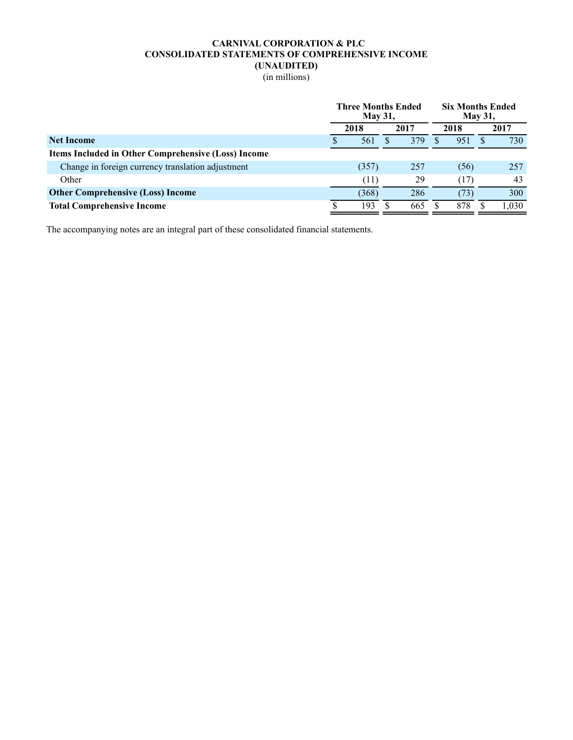## **CARNIVAL CORPORATION & PLC CONSOLIDATED STATEMENTS OF COMPREHENSIVE INCOME (UNAUDITED)**

(in millions)

|                                                     |  | <b>Three Months Ended</b><br><b>May 31,</b> |      | <b>Six Months Ended</b><br><b>May 31,</b> |    |       |
|-----------------------------------------------------|--|---------------------------------------------|------|-------------------------------------------|----|-------|
|                                                     |  | 2018                                        | 2017 | 2018                                      |    | 2017  |
| <b>Net Income</b>                                   |  | 561                                         | 379  | 951                                       | X. | 730   |
| Items Included in Other Comprehensive (Loss) Income |  |                                             |      |                                           |    |       |
| Change in foreign currency translation adjustment   |  | (357)                                       | 257  | (56)                                      |    | 257   |
| Other                                               |  | (11)                                        | 29   | (17)                                      |    | 43    |
| <b>Other Comprehensive (Loss) Income</b>            |  | (368)                                       | 286  | (73)                                      |    | 300   |
| <b>Total Comprehensive Income</b>                   |  | 193                                         | 665  | 878                                       |    | 1,030 |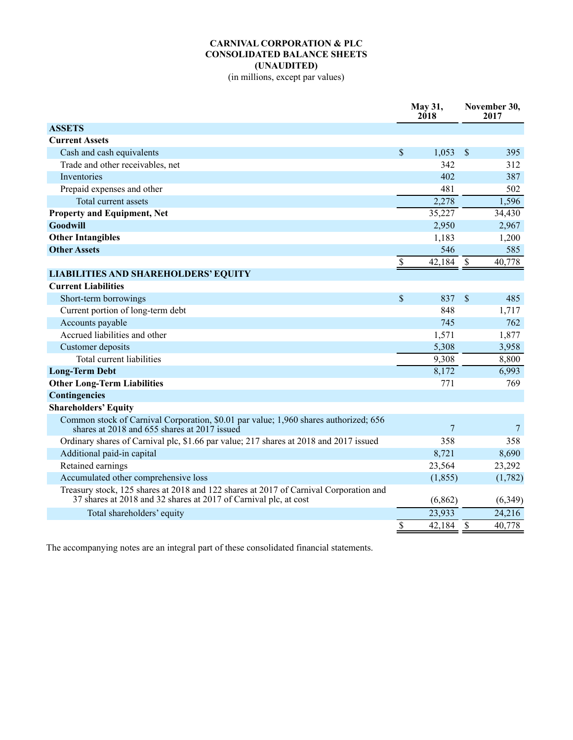## **CARNIVAL CORPORATION & PLC CONSOLIDATED BALANCE SHEETS (UNAUDITED)**

(in millions, except par values)

|                                                                                                                                                           |                           | May 31,<br>2018 |                          | November 30,<br>2017 |
|-----------------------------------------------------------------------------------------------------------------------------------------------------------|---------------------------|-----------------|--------------------------|----------------------|
| <b>ASSETS</b>                                                                                                                                             |                           |                 |                          |                      |
| <b>Current Assets</b>                                                                                                                                     |                           |                 |                          |                      |
| Cash and cash equivalents                                                                                                                                 | $\boldsymbol{\mathsf{S}}$ | 1,053           | $\sqrt{3}$               | 395                  |
| Trade and other receivables, net                                                                                                                          |                           | 342             |                          | 312                  |
| Inventories                                                                                                                                               |                           | 402             |                          | 387                  |
| Prepaid expenses and other                                                                                                                                |                           | 481             |                          | 502                  |
| Total current assets                                                                                                                                      |                           | 2,278           |                          | 1,596                |
| <b>Property and Equipment, Net</b>                                                                                                                        |                           | 35,227          |                          | 34,430               |
| <b>Goodwill</b>                                                                                                                                           |                           | 2,950           |                          | 2,967                |
| <b>Other Intangibles</b>                                                                                                                                  |                           | 1,183           |                          | 1,200                |
| <b>Other Assets</b>                                                                                                                                       |                           | 546             |                          | 585                  |
|                                                                                                                                                           | \$                        | 42,184          | $\mathcal{S}$            | 40,778               |
| <b>LIABILITIES AND SHAREHOLDERS' EQUITY</b>                                                                                                               |                           |                 |                          |                      |
| <b>Current Liabilities</b>                                                                                                                                |                           |                 |                          |                      |
| Short-term borrowings                                                                                                                                     | $\mathbb{S}$              | 837             | $\mathcal{S}$            | 485                  |
| Current portion of long-term debt                                                                                                                         |                           | 848             |                          | 1,717                |
| Accounts payable                                                                                                                                          |                           | 745             |                          | 762                  |
| Accrued liabilities and other                                                                                                                             |                           | 1,571           |                          | 1,877                |
| Customer deposits                                                                                                                                         |                           | 5,308           |                          | 3,958                |
| Total current liabilities                                                                                                                                 |                           | 9,308           |                          | 8,800                |
| <b>Long-Term Debt</b>                                                                                                                                     |                           | 8,172           |                          | 6,993                |
| <b>Other Long-Term Liabilities</b>                                                                                                                        |                           | 771             |                          | 769                  |
| Contingencies                                                                                                                                             |                           |                 |                          |                      |
| <b>Shareholders' Equity</b>                                                                                                                               |                           |                 |                          |                      |
| Common stock of Carnival Corporation, \$0.01 par value; 1,960 shares authorized; 656<br>shares at 2018 and 655 shares at 2017 issued                      |                           | 7               |                          | 7                    |
| Ordinary shares of Carnival plc, \$1.66 par value; 217 shares at 2018 and 2017 issued                                                                     |                           | 358             |                          | 358                  |
| Additional paid-in capital                                                                                                                                |                           | 8,721           |                          | 8,690                |
| Retained earnings                                                                                                                                         |                           | 23,564          |                          | 23,292               |
| Accumulated other comprehensive loss                                                                                                                      |                           | (1, 855)        |                          | (1,782)              |
| Treasury stock, 125 shares at 2018 and 122 shares at 2017 of Carnival Corporation and<br>37 shares at 2018 and 32 shares at 2017 of Carnival plc, at cost |                           | (6, 862)        |                          | (6, 349)             |
| Total shareholders' equity                                                                                                                                |                           | 23,933          |                          | 24,216               |
|                                                                                                                                                           | $\mathbf{\hat{S}}$        | 42,184          | $\overline{\mathcal{S}}$ | 40,778               |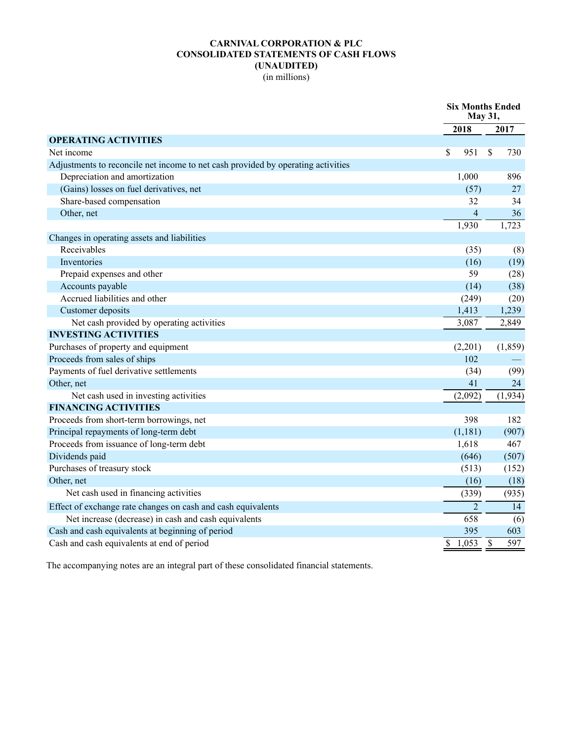# **CARNIVAL CORPORATION & PLC CONSOLIDATED STATEMENTS OF CASH FLOWS (UNAUDITED)**

(in millions)

|                                                                                  |                          | May 31,        |                          | <b>Six Months Ended</b> |
|----------------------------------------------------------------------------------|--------------------------|----------------|--------------------------|-------------------------|
|                                                                                  | 2018                     |                |                          | 2017                    |
| <b>OPERATING ACTIVITIES</b>                                                      |                          |                |                          |                         |
| Net income                                                                       | \$                       | 951            | \$                       | 730                     |
| Adjustments to reconcile net income to net cash provided by operating activities |                          |                |                          |                         |
| Depreciation and amortization                                                    |                          | 1,000          |                          | 896                     |
| (Gains) losses on fuel derivatives, net                                          |                          | (57)           |                          | 27                      |
| Share-based compensation                                                         |                          | 32             |                          | 34                      |
| Other, net                                                                       |                          | $\overline{4}$ |                          | 36                      |
|                                                                                  |                          | 1,930          |                          | 1,723                   |
| Changes in operating assets and liabilities                                      |                          |                |                          |                         |
| Receivables                                                                      |                          | (35)           |                          | (8)                     |
| Inventories                                                                      |                          | (16)           |                          | (19)                    |
| Prepaid expenses and other                                                       |                          | 59             |                          | (28)                    |
| Accounts payable                                                                 |                          | (14)           |                          | (38)                    |
| Accrued liabilities and other                                                    |                          | (249)          |                          | (20)                    |
| Customer deposits                                                                |                          | 1,413          |                          | 1,239                   |
| Net cash provided by operating activities                                        |                          | 3,087          |                          | 2,849                   |
| <b>INVESTING ACTIVITIES</b>                                                      |                          |                |                          |                         |
| Purchases of property and equipment                                              |                          | (2,201)        |                          | (1, 859)                |
| Proceeds from sales of ships                                                     |                          | 102            |                          |                         |
| Payments of fuel derivative settlements                                          |                          | (34)           |                          | (99)                    |
| Other, net                                                                       |                          | 41             |                          | 24                      |
| Net cash used in investing activities                                            |                          | (2,092)        |                          | (1,934)                 |
| <b>FINANCING ACTIVITIES</b>                                                      |                          |                |                          |                         |
| Proceeds from short-term borrowings, net                                         |                          | 398            |                          | 182                     |
| Principal repayments of long-term debt                                           |                          | (1,181)        |                          | (907)                   |
| Proceeds from issuance of long-term debt                                         |                          | 1,618          |                          | 467                     |
| Dividends paid                                                                   |                          | (646)          |                          | (507)                   |
| Purchases of treasury stock                                                      |                          | (513)          |                          | (152)                   |
| Other, net                                                                       |                          | (16)           |                          | (18)                    |
| Net cash used in financing activities                                            |                          | (339)          |                          | (935)                   |
| Effect of exchange rate changes on cash and cash equivalents                     |                          | $\overline{2}$ |                          | 14                      |
| Net increase (decrease) in cash and cash equivalents                             |                          | 658            |                          | (6)                     |
| Cash and cash equivalents at beginning of period                                 |                          | 395            |                          | 603                     |
| Cash and cash equivalents at end of period                                       | $\overline{\mathcal{S}}$ | 1,053          | $\overline{\mathcal{S}}$ | 597                     |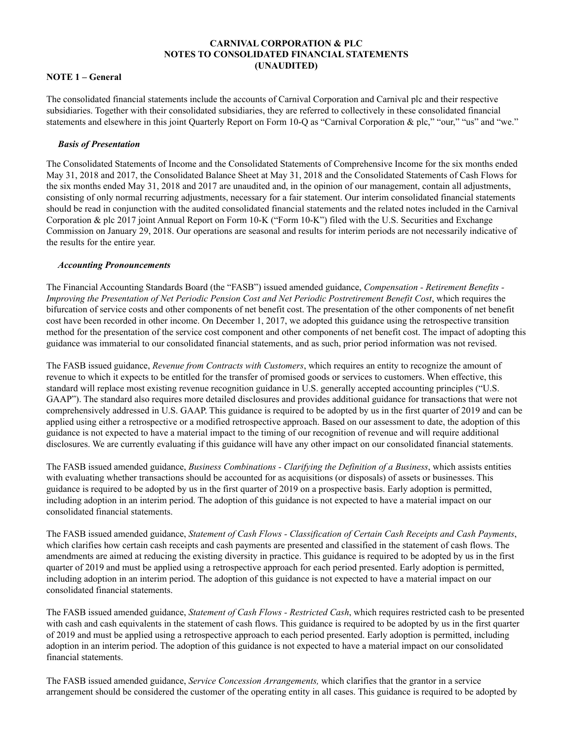### **CARNIVAL CORPORATION & PLC NOTES TO CONSOLIDATED FINANCIAL STATEMENTS (UNAUDITED)**

#### **NOTE 1 – General**

The consolidated financial statements include the accounts of Carnival Corporation and Carnival plc and their respective subsidiaries. Together with their consolidated subsidiaries, they are referred to collectively in these consolidated financial statements and elsewhere in this joint Quarterly Report on Form 10-Q as "Carnival Corporation & plc," "our," "us" and "we."

#### *Basis of Presentation*

The Consolidated Statements of Income and the Consolidated Statements of Comprehensive Income for the six months ended May 31, 2018 and 2017, the Consolidated Balance Sheet at May 31, 2018 and the Consolidated Statements of Cash Flows for the six months ended May 31, 2018 and 2017 are unaudited and, in the opinion of our management, contain all adjustments, consisting of only normal recurring adjustments, necessary for a fair statement. Our interim consolidated financial statements should be read in conjunction with the audited consolidated financial statements and the related notes included in the Carnival Corporation & plc 2017 joint Annual Report on Form 10-K ("Form 10-K") filed with the U.S. Securities and Exchange Commission on January 29, 2018. Our operations are seasonal and results for interim periods are not necessarily indicative of the results for the entire year.

#### *Accounting Pronouncements*

The Financial Accounting Standards Board (the "FASB") issued amended guidance, *Compensation - Retirement Benefits - Improving the Presentation of Net Periodic Pension Cost and Net Periodic Postretirement Benefit Cost*, which requires the bifurcation of service costs and other components of net benefit cost. The presentation of the other components of net benefit cost have been recorded in other income. On December 1, 2017, we adopted this guidance using the retrospective transition method for the presentation of the service cost component and other components of net benefit cost. The impact of adopting this guidance was immaterial to our consolidated financial statements, and as such, prior period information was not revised.

The FASB issued guidance, *Revenue from Contracts with Customers*, which requires an entity to recognize the amount of revenue to which it expects to be entitled for the transfer of promised goods or services to customers. When effective, this standard will replace most existing revenue recognition guidance in U.S. generally accepted accounting principles ("U.S. GAAP"). The standard also requires more detailed disclosures and provides additional guidance for transactions that were not comprehensively addressed in U.S. GAAP. This guidance is required to be adopted by us in the first quarter of 2019 and can be applied using either a retrospective or a modified retrospective approach. Based on our assessment to date, the adoption of this guidance is not expected to have a material impact to the timing of our recognition of revenue and will require additional disclosures. We are currently evaluating if this guidance will have any other impact on our consolidated financial statements.

The FASB issued amended guidance, *Business Combinations - Clarifying the Definition of a Business*, which assists entities with evaluating whether transactions should be accounted for as acquisitions (or disposals) of assets or businesses. This guidance is required to be adopted by us in the first quarter of 2019 on a prospective basis. Early adoption is permitted, including adoption in an interim period. The adoption of this guidance is not expected to have a material impact on our consolidated financial statements.

The FASB issued amended guidance, *Statement of Cash Flows - Classification of Certain Cash Receipts and Cash Payments*, which clarifies how certain cash receipts and cash payments are presented and classified in the statement of cash flows. The amendments are aimed at reducing the existing diversity in practice. This guidance is required to be adopted by us in the first quarter of 2019 and must be applied using a retrospective approach for each period presented. Early adoption is permitted, including adoption in an interim period. The adoption of this guidance is not expected to have a material impact on our consolidated financial statements.

The FASB issued amended guidance, *Statement of Cash Flows - Restricted Cash*, which requires restricted cash to be presented with cash and cash equivalents in the statement of cash flows. This guidance is required to be adopted by us in the first quarter of 2019 and must be applied using a retrospective approach to each period presented. Early adoption is permitted, including adoption in an interim period. The adoption of this guidance is not expected to have a material impact on our consolidated financial statements.

The FASB issued amended guidance, *Service Concession Arrangements,* which clarifies that the grantor in a service arrangement should be considered the customer of the operating entity in all cases. This guidance is required to be adopted by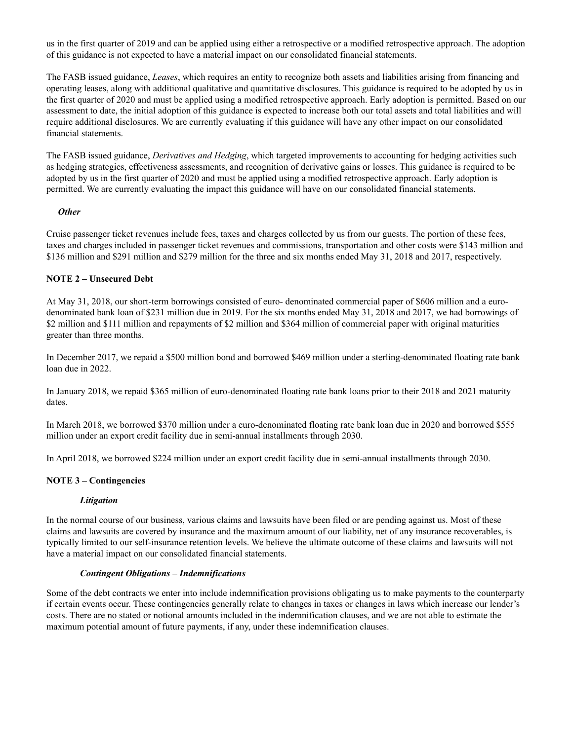us in the first quarter of 2019 and can be applied using either a retrospective or a modified retrospective approach. The adoption of this guidance is not expected to have a material impact on our consolidated financial statements.

The FASB issued guidance, *Leases*, which requires an entity to recognize both assets and liabilities arising from financing and operating leases, along with additional qualitative and quantitative disclosures. This guidance is required to be adopted by us in the first quarter of 2020 and must be applied using a modified retrospective approach. Early adoption is permitted. Based on our assessment to date, the initial adoption of this guidance is expected to increase both our total assets and total liabilities and will require additional disclosures. We are currently evaluating if this guidance will have any other impact on our consolidated financial statements.

The FASB issued guidance, *Derivatives and Hedging*, which targeted improvements to accounting for hedging activities such as hedging strategies, effectiveness assessments, and recognition of derivative gains or losses. This guidance is required to be adopted by us in the first quarter of 2020 and must be applied using a modified retrospective approach. Early adoption is permitted. We are currently evaluating the impact this guidance will have on our consolidated financial statements.

### *Other*

Cruise passenger ticket revenues include fees, taxes and charges collected by us from our guests. The portion of these fees, taxes and charges included in passenger ticket revenues and commissions, transportation and other costs were \$143 million and \$136 million and \$291 million and \$279 million for the three and six months ended May 31, 2018 and 2017, respectively.

### **NOTE 2 – Unsecured Debt**

At May 31, 2018, our short-term borrowings consisted of euro- denominated commercial paper of \$606 million and a eurodenominated bank loan of \$231 million due in 2019. For the six months ended May 31, 2018 and 2017, we had borrowings of \$2 million and \$111 million and repayments of \$2 million and \$364 million of commercial paper with original maturities greater than three months.

In December 2017, we repaid a \$500 million bond and borrowed \$469 million under a sterling-denominated floating rate bank loan due in 2022.

In January 2018, we repaid \$365 million of euro-denominated floating rate bank loans prior to their 2018 and 2021 maturity dates.

In March 2018, we borrowed \$370 million under a euro-denominated floating rate bank loan due in 2020 and borrowed \$555 million under an export credit facility due in semi-annual installments through 2030.

In April 2018, we borrowed \$224 million under an export credit facility due in semi-annual installments through 2030.

### **NOTE 3 – Contingencies**

### *Litigation*

In the normal course of our business, various claims and lawsuits have been filed or are pending against us. Most of these claims and lawsuits are covered by insurance and the maximum amount of our liability, net of any insurance recoverables, is typically limited to our self-insurance retention levels. We believe the ultimate outcome of these claims and lawsuits will not have a material impact on our consolidated financial statements.

#### *Contingent Obligations – Indemnifications*

Some of the debt contracts we enter into include indemnification provisions obligating us to make payments to the counterparty if certain events occur. These contingencies generally relate to changes in taxes or changes in laws which increase our lender's costs. There are no stated or notional amounts included in the indemnification clauses, and we are not able to estimate the maximum potential amount of future payments, if any, under these indemnification clauses.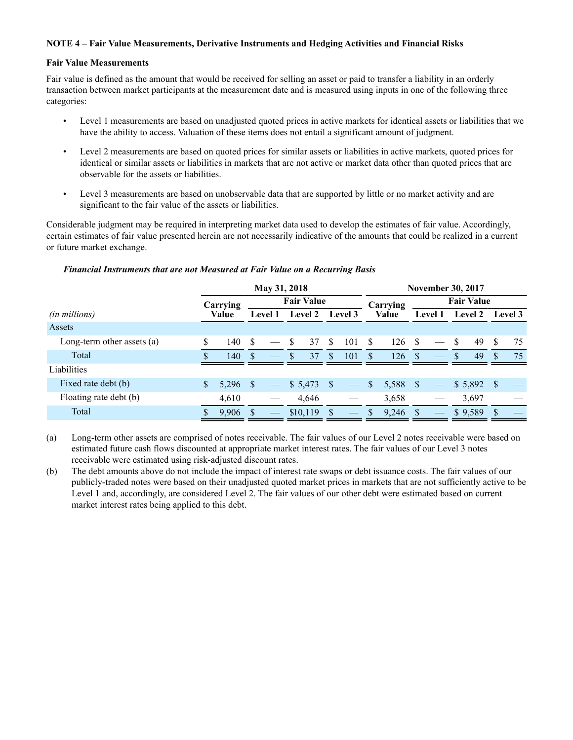### **NOTE 4 – Fair Value Measurements, Derivative Instruments and Hedging Activities and Financial Risks**

#### **Fair Value Measurements**

Fair value is defined as the amount that would be received for selling an asset or paid to transfer a liability in an orderly transaction between market participants at the measurement date and is measured using inputs in one of the following three categories:

- Level 1 measurements are based on unadjusted quoted prices in active markets for identical assets or liabilities that we have the ability to access. Valuation of these items does not entail a significant amount of judgment.
- Level 2 measurements are based on quoted prices for similar assets or liabilities in active markets, quoted prices for identical or similar assets or liabilities in markets that are not active or market data other than quoted prices that are observable for the assets or liabilities.
- Level 3 measurements are based on unobservable data that are supported by little or no market activity and are significant to the fair value of the assets or liabilities.

Considerable judgment may be required in interpreting market data used to develop the estimates of fair value. Accordingly, certain estimates of fair value presented herein are not necessarily indicative of the amounts that could be realized in a current or future market exchange.

#### *Financial Instruments that are not Measured at Fair Value on a Recurring Basis*

|                              |    |                               |               | May 31, 2018             |     |          |               | <b>November 30, 2017</b> |               |       |                   |  |    |         |              |    |  |         |                |  |         |  |       |  |                |  |                |  |  |         |
|------------------------------|----|-------------------------------|---------------|--------------------------|-----|----------|---------------|--------------------------|---------------|-------|-------------------|--|----|---------|--------------|----|--|---------|----------------|--|---------|--|-------|--|----------------|--|----------------|--|--|---------|
|                              |    | <b>Fair Value</b><br>Carrying |               |                          |     |          |               | Carrying                 |               |       | <b>Fair Value</b> |  |    |         |              |    |  |         |                |  |         |  |       |  |                |  |                |  |  |         |
| (in millions)                |    | Value                         |               |                          |     |          |               |                          |               |       |                   |  |    |         |              |    |  | Level 1 | <b>Level 2</b> |  | Level 3 |  | Value |  | <b>Level 1</b> |  | <b>Level 2</b> |  |  | Level 3 |
| Assets                       |    |                               |               |                          |     |          |               |                          |               |       |                   |  |    |         |              |    |  |         |                |  |         |  |       |  |                |  |                |  |  |         |
| Long-term other assets $(a)$ |    | 140                           | <sup>\$</sup> |                          | \$. | 37       | <sup>\$</sup> | 101                      | <sup>\$</sup> | 126   | -S                |  | -S | 49      | \$.          | 75 |  |         |                |  |         |  |       |  |                |  |                |  |  |         |
| Total                        |    | 140                           | <sup>\$</sup> |                          |     | 37       | <b>S</b>      | 101                      | <b>S</b>      | 126   | -S                |  | -S | 49      |              | 75 |  |         |                |  |         |  |       |  |                |  |                |  |  |         |
| Liabilities                  |    |                               |               |                          |     |          |               |                          |               |       |                   |  |    |         |              |    |  |         |                |  |         |  |       |  |                |  |                |  |  |         |
| Fixed rate debt (b)          | \$ | 5,296                         | -S            | $\overline{\phantom{m}}$ |     |          |               | $\overline{\phantom{a}}$ | S             | 5,588 | -S                |  |    | \$5,892 | - S          |    |  |         |                |  |         |  |       |  |                |  |                |  |  |         |
| Floating rate debt (b)       |    | 4,610                         |               |                          |     | 4,646    |               |                          |               | 3,658 |                   |  |    | 3,697   |              |    |  |         |                |  |         |  |       |  |                |  |                |  |  |         |
| Total                        |    | 9,906                         |               |                          |     | \$10,119 | S             |                          | S             | 9,246 |                   |  |    | \$9,589 | <sup>S</sup> |    |  |         |                |  |         |  |       |  |                |  |                |  |  |         |

(a) Long-term other assets are comprised of notes receivable. The fair values of our Level 2 notes receivable were based on estimated future cash flows discounted at appropriate market interest rates. The fair values of our Level 3 notes receivable were estimated using risk-adjusted discount rates.

(b) The debt amounts above do not include the impact of interest rate swaps or debt issuance costs. The fair values of our publicly-traded notes were based on their unadjusted quoted market prices in markets that are not sufficiently active to be Level 1 and, accordingly, are considered Level 2. The fair values of our other debt were estimated based on current market interest rates being applied to this debt.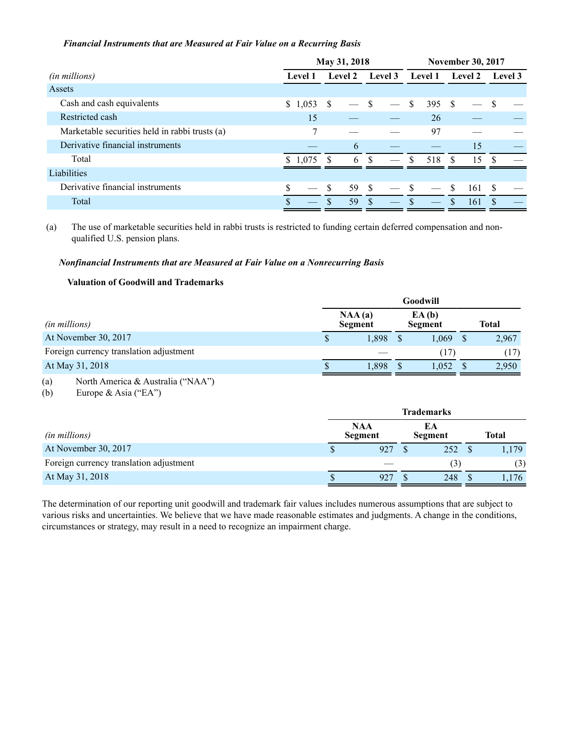### *Financial Instruments that are Measured at Fair Value on a Recurring Basis*

|                                                |                           | May 31, 2018  |                | <b>November 30, 2017</b> |                |                |  |  |  |  |  |
|------------------------------------------------|---------------------------|---------------|----------------|--------------------------|----------------|----------------|--|--|--|--|--|
| (in millions)                                  | Level 2<br><b>Level 1</b> |               | <b>Level 3</b> | <b>Level 1</b>           | <b>Level 2</b> | <b>Level 3</b> |  |  |  |  |  |
| Assets                                         |                           |               |                |                          |                |                |  |  |  |  |  |
| Cash and cash equivalents                      | \$1,053                   | <sup>\$</sup> | <sup>\$</sup>  | \$<br>395S               |                |                |  |  |  |  |  |
| Restricted cash                                | 15                        |               |                | 26                       |                |                |  |  |  |  |  |
| Marketable securities held in rabbi trusts (a) |                           |               |                | 97                       |                |                |  |  |  |  |  |
| Derivative financial instruments               |                           | 6             |                |                          | 15             |                |  |  |  |  |  |
| Total                                          | \$1,075                   | 6<br>-S       | £.             | 518<br>S.                | 15<br>\$.      |                |  |  |  |  |  |
| Liabilities                                    |                           |               |                |                          |                |                |  |  |  |  |  |
| Derivative financial instruments               |                           | 59 \$<br>- \$ |                | - \$                     | \$<br>161      | <sup>S</sup>   |  |  |  |  |  |
| Total                                          | <b>S</b>                  | 59            |                |                          | 161            |                |  |  |  |  |  |

(a) The use of marketable securities held in rabbi trusts is restricted to funding certain deferred compensation and nonqualified U.S. pension plans.

### *Nonfinancial Instruments that are Measured at Fair Value on a Nonrecurring Basis*

### **Valuation of Goodwill and Trademarks**

|                                         |                          | Goodwill         |       |
|-----------------------------------------|--------------------------|------------------|-------|
| (in millions)                           | NAA(a)<br><b>Segment</b> | EA(b)<br>Segment | Total |
| At November 30, 2017                    | 1.898                    | 1.069            | 2,967 |
| Foreign currency translation adjustment |                          | (17              | (17)  |
| At May 31, 2018                         | \$<br>1,898              | 1,052            | 2,950 |

### (a) North America & Australia ("NAA")

(b) Europe & Asia ("EA")

|                                         | <b>Trademarks</b>                                    |     |  |                  |  |              |  |  |
|-----------------------------------------|------------------------------------------------------|-----|--|------------------|--|--------------|--|--|
| (in millions)                           | <b>NAA</b><br>EA<br><b>Segment</b><br><b>Segment</b> |     |  |                  |  | <b>Total</b> |  |  |
| At November 30, 2017                    |                                                      | 927 |  | 252              |  | 1,179        |  |  |
| Foreign currency translation adjustment |                                                      |     |  | $\left(3\right)$ |  | (3)          |  |  |
| At May 31, 2018                         |                                                      | 927 |  | 248              |  | 1,176        |  |  |

The determination of our reporting unit goodwill and trademark fair values includes numerous assumptions that are subject to various risks and uncertainties. We believe that we have made reasonable estimates and judgments. A change in the conditions, circumstances or strategy, may result in a need to recognize an impairment charge.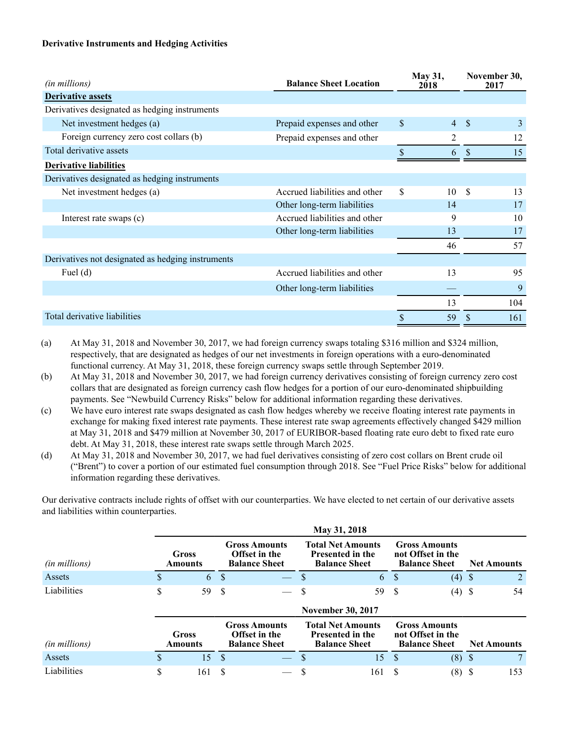### **Derivative Instruments and Hedging Activities**

| (in millions)                                     | <b>Balance Sheet Location</b> |          | <b>May 31,</b><br>2018 | November 30,<br>2017 |     |  |
|---------------------------------------------------|-------------------------------|----------|------------------------|----------------------|-----|--|
| <b>Derivative assets</b>                          |                               |          |                        |                      |     |  |
| Derivatives designated as hedging instruments     |                               |          |                        |                      |     |  |
| Net investment hedges (a)                         | Prepaid expenses and other    | \$       | $\overline{4}$         | - \$                 | 3   |  |
| Foreign currency zero cost collars (b)            | Prepaid expenses and other    |          | 2                      |                      | 12  |  |
| Total derivative assets                           |                               | \$       | 6                      | $\mathbf{\hat{S}}$   | 15  |  |
| <b>Derivative liabilities</b>                     |                               |          |                        |                      |     |  |
| Derivatives designated as hedging instruments     |                               |          |                        |                      |     |  |
| Net investment hedges (a)                         | Accrued liabilities and other | <b>S</b> | 10                     | - \$                 | 13  |  |
|                                                   | Other long-term liabilities   |          | 14                     |                      | 17  |  |
| Interest rate swaps (c)                           | Accrued liabilities and other |          | 9                      |                      | 10  |  |
|                                                   | Other long-term liabilities   |          | 13                     |                      | 17  |  |
|                                                   |                               |          | 46                     |                      | 57  |  |
| Derivatives not designated as hedging instruments |                               |          |                        |                      |     |  |
| Fuel $(d)$                                        | Accrued liabilities and other |          | 13                     |                      | 95  |  |
|                                                   | Other long-term liabilities   |          |                        |                      | 9   |  |
|                                                   |                               |          | 13                     |                      | 104 |  |
| Total derivative liabilities                      |                               | \$       | 59                     |                      | 161 |  |

(a) At May 31, 2018 and November 30, 2017, we had foreign currency swaps totaling \$316 million and \$324 million, respectively, that are designated as hedges of our net investments in foreign operations with a euro-denominated functional currency. At May 31, 2018, these foreign currency swaps settle through September 2019.

(b) At May 31, 2018 and November 30, 2017, we had foreign currency derivatives consisting of foreign currency zero cost collars that are designated as foreign currency cash flow hedges for a portion of our euro-denominated shipbuilding payments. See "Newbuild Currency Risks" below for additional information regarding these derivatives.

- (c) We have euro interest rate swaps designated as cash flow hedges whereby we receive floating interest rate payments in exchange for making fixed interest rate payments. These interest rate swap agreements effectively changed \$429 million at May 31, 2018 and \$479 million at November 30, 2017 of EURIBOR-based floating rate euro debt to fixed rate euro debt. At May 31, 2018, these interest rate swaps settle through March 2025.
- (d) At May 31, 2018 and November 30, 2017, we had fuel derivatives consisting of zero cost collars on Brent crude oil ("Brent") to cover a portion of our estimated fuel consumption through 2018. See "Fuel Price Risks" below for additional information regarding these derivatives.

Our derivative contracts include rights of offset with our counterparties. We have elected to net certain of our derivative assets and liabilities within counterparties.

|               |                         | May 31, 2018            |                                                                      |                                                                      |                                                                      |                                                                             |                                                                   |                                                                   |  |                    |  |  |  |
|---------------|-------------------------|-------------------------|----------------------------------------------------------------------|----------------------------------------------------------------------|----------------------------------------------------------------------|-----------------------------------------------------------------------------|-------------------------------------------------------------------|-------------------------------------------------------------------|--|--------------------|--|--|--|
| (in millions) | <b>Gross</b><br>Amounts |                         | <b>Gross Amounts</b><br><b>Offset in the</b><br><b>Balance Sheet</b> |                                                                      | <b>Total Net Amounts</b><br>Presented in the<br><b>Balance Sheet</b> |                                                                             | <b>Gross Amounts</b><br>not Offset in the<br><b>Balance Sheet</b> |                                                                   |  | <b>Net Amounts</b> |  |  |  |
| Assets        | \$.                     | 6                       | -S                                                                   |                                                                      | S                                                                    | 6                                                                           | -S                                                                | $(4)$ \$                                                          |  | 2                  |  |  |  |
| Liabilities   | \$                      | 59                      | -S                                                                   |                                                                      | \$                                                                   | 59                                                                          | -S                                                                | $(4)$ \$                                                          |  | 54                 |  |  |  |
|               |                         |                         |                                                                      |                                                                      |                                                                      | <b>November 30, 2017</b>                                                    |                                                                   |                                                                   |  |                    |  |  |  |
| (in millions) |                         | <b>Gross</b><br>Amounts |                                                                      | <b>Gross Amounts</b><br><b>Offset in the</b><br><b>Balance Sheet</b> |                                                                      | <b>Total Net Amounts</b><br><b>Presented in the</b><br><b>Balance Sheet</b> |                                                                   | <b>Gross Amounts</b><br>not Offset in the<br><b>Balance Sheet</b> |  | <b>Net Amounts</b> |  |  |  |
| Assets        |                         | 15                      | -S                                                                   |                                                                      | S                                                                    | 15                                                                          | -S                                                                | $(8)$ \$                                                          |  | 7                  |  |  |  |
| Liabilities   | \$                      | 161                     | -S                                                                   |                                                                      | S                                                                    | 161                                                                         | -8                                                                | $(8)$ \$                                                          |  | 153                |  |  |  |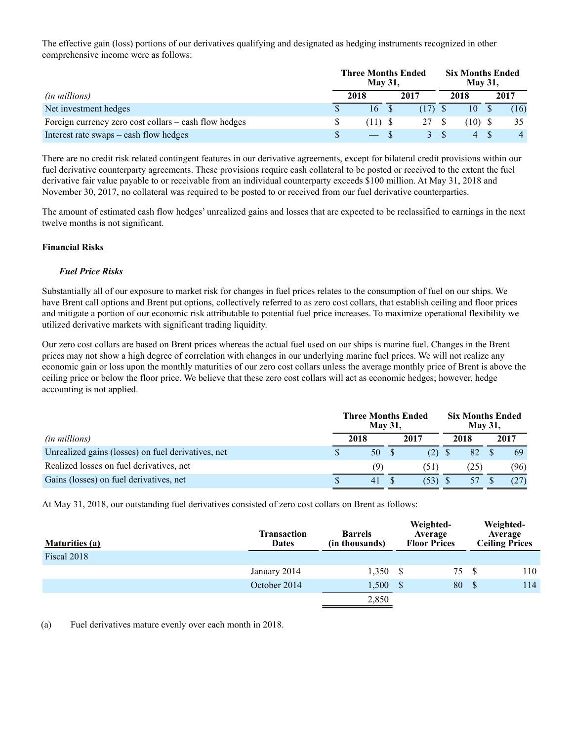The effective gain (loss) portions of our derivatives qualifying and designated as hedging instruments recognized in other comprehensive income were as follows:

|                                                       |  | <b>Three Months Ended</b><br><b>May 31,</b> |  | <b>Six Months Ended</b><br><b>May 31,</b> |  |              |      |      |
|-------------------------------------------------------|--|---------------------------------------------|--|-------------------------------------------|--|--------------|------|------|
| <i>(in millions)</i>                                  |  | 2018                                        |  | 2017                                      |  | 2018         | 2017 |      |
| Net investment hedges                                 |  | 16S                                         |  |                                           |  | $10^{\circ}$ |      | (16) |
| Foreign currency zero cost collars – cash flow hedges |  | $(11)$ S                                    |  | 27                                        |  | (10)         |      | 35   |
| Interest rate swaps – cash flow hedges                |  | $-5$                                        |  |                                           |  | 4            |      |      |

There are no credit risk related contingent features in our derivative agreements, except for bilateral credit provisions within our fuel derivative counterparty agreements. These provisions require cash collateral to be posted or received to the extent the fuel derivative fair value payable to or receivable from an individual counterparty exceeds \$100 million. At May 31, 2018 and November 30, 2017, no collateral was required to be posted to or received from our fuel derivative counterparties.

The amount of estimated cash flow hedges' unrealized gains and losses that are expected to be reclassified to earnings in the next twelve months is not significant.

### **Financial Risks**

### *Fuel Price Risks*

Substantially all of our exposure to market risk for changes in fuel prices relates to the consumption of fuel on our ships. We have Brent call options and Brent put options, collectively referred to as zero cost collars, that establish ceiling and floor prices and mitigate a portion of our economic risk attributable to potential fuel price increases. To maximize operational flexibility we utilized derivative markets with significant trading liquidity.

Our zero cost collars are based on Brent prices whereas the actual fuel used on our ships is marine fuel. Changes in the Brent prices may not show a high degree of correlation with changes in our underlying marine fuel prices. We will not realize any economic gain or loss upon the monthly maturities of our zero cost collars unless the average monthly price of Brent is above the ceiling price or below the floor price. We believe that these zero cost collars will act as economic hedges; however, hedge accounting is not applied.

|                                                    | <b>Three Months Ended</b><br><b>May 31,</b> |      | <b>Six Months Ended</b> |      |  |      |
|----------------------------------------------------|---------------------------------------------|------|-------------------------|------|--|------|
| <i>(in millions)</i>                               | 2018                                        | 2017 |                         | 2018 |  | 2017 |
| Unrealized gains (losses) on fuel derivatives, net | 50                                          | (2)  |                         | 82   |  | 69   |
| Realized losses on fuel derivatives, net           | (9)                                         | (51) |                         | 25)  |  | (96) |
| Gains (losses) on fuel derivatives, net            | 41                                          | (53) |                         |      |  |      |

At May 31, 2018, our outstanding fuel derivatives consisted of zero cost collars on Brent as follows:

| <b>Maturities (a)</b> | <b>Transaction</b><br><b>Dates</b> | <b>Barrels</b><br>(in thousands) | Weighted-<br>Average<br><b>Floor Prices</b> | Weighted-<br>Average<br><b>Ceiling Prices</b> |
|-----------------------|------------------------------------|----------------------------------|---------------------------------------------|-----------------------------------------------|
| Fiscal 2018           |                                    |                                  |                                             |                                               |
|                       | January 2014                       | $1,350$ \$                       | 75                                          | 110                                           |
|                       | October 2014                       | 1,500                            | 80<br>- S                                   | 114<br>- S                                    |
|                       |                                    | 2,850                            |                                             |                                               |

(a) Fuel derivatives mature evenly over each month in 2018.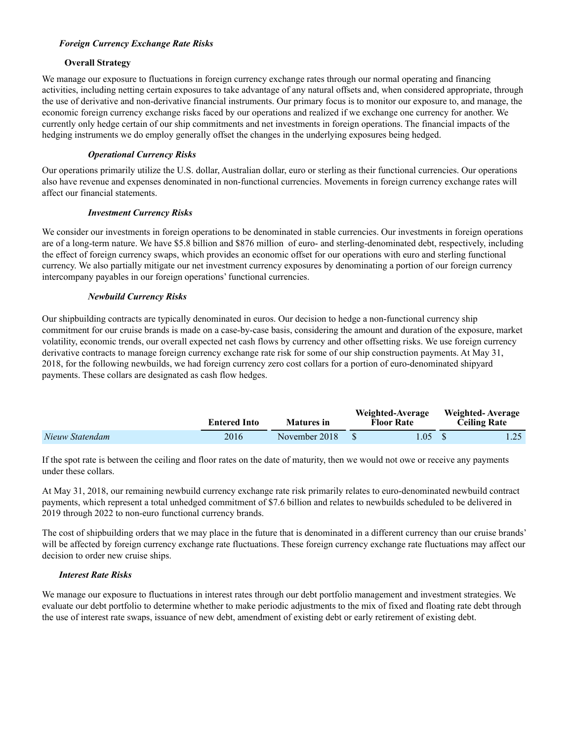### *Foreign Currency Exchange Rate Risks*

### **Overall Strategy**

We manage our exposure to fluctuations in foreign currency exchange rates through our normal operating and financing activities, including netting certain exposures to take advantage of any natural offsets and, when considered appropriate, through the use of derivative and non-derivative financial instruments. Our primary focus is to monitor our exposure to, and manage, the economic foreign currency exchange risks faced by our operations and realized if we exchange one currency for another. We currently only hedge certain of our ship commitments and net investments in foreign operations. The financial impacts of the hedging instruments we do employ generally offset the changes in the underlying exposures being hedged.

### *Operational Currency Risks*

Our operations primarily utilize the U.S. dollar, Australian dollar, euro or sterling as their functional currencies. Our operations also have revenue and expenses denominated in non-functional currencies. Movements in foreign currency exchange rates will affect our financial statements.

### *Investment Currency Risks*

We consider our investments in foreign operations to be denominated in stable currencies. Our investments in foreign operations are of a long-term nature. We have \$5.8 billion and \$876 million of euro- and sterling-denominated debt, respectively, including the effect of foreign currency swaps, which provides an economic offset for our operations with euro and sterling functional currency. We also partially mitigate our net investment currency exposures by denominating a portion of our foreign currency intercompany payables in our foreign operations' functional currencies.

### *Newbuild Currency Risks*

Our shipbuilding contracts are typically denominated in euros. Our decision to hedge a non-functional currency ship commitment for our cruise brands is made on a case-by-case basis, considering the amount and duration of the exposure, market volatility, economic trends, our overall expected net cash flows by currency and other offsetting risks. We use foreign currency derivative contracts to manage foreign currency exchange rate risk for some of our ship construction payments. At May 31, 2018, for the following newbuilds, we had foreign currency zero cost collars for a portion of euro-denominated shipyard payments. These collars are designated as cash flow hedges.

|                 | <b>Entered Into</b> | Matures in    | Weighted-Average<br><b>Floor Rate</b> | Weighted-Average<br><b>Ceiling Rate</b> |
|-----------------|---------------------|---------------|---------------------------------------|-----------------------------------------|
| Nieuw Statendam | 2016                | November 2018 | 1.05 <sub>1</sub>                     |                                         |

If the spot rate is between the ceiling and floor rates on the date of maturity, then we would not owe or receive any payments under these collars.

At May 31, 2018, our remaining newbuild currency exchange rate risk primarily relates to euro-denominated newbuild contract payments, which represent a total unhedged commitment of \$7.6 billion and relates to newbuilds scheduled to be delivered in 2019 through 2022 to non-euro functional currency brands.

The cost of shipbuilding orders that we may place in the future that is denominated in a different currency than our cruise brands' will be affected by foreign currency exchange rate fluctuations. These foreign currency exchange rate fluctuations may affect our decision to order new cruise ships.

## *Interest Rate Risks*

We manage our exposure to fluctuations in interest rates through our debt portfolio management and investment strategies. We evaluate our debt portfolio to determine whether to make periodic adjustments to the mix of fixed and floating rate debt through the use of interest rate swaps, issuance of new debt, amendment of existing debt or early retirement of existing debt.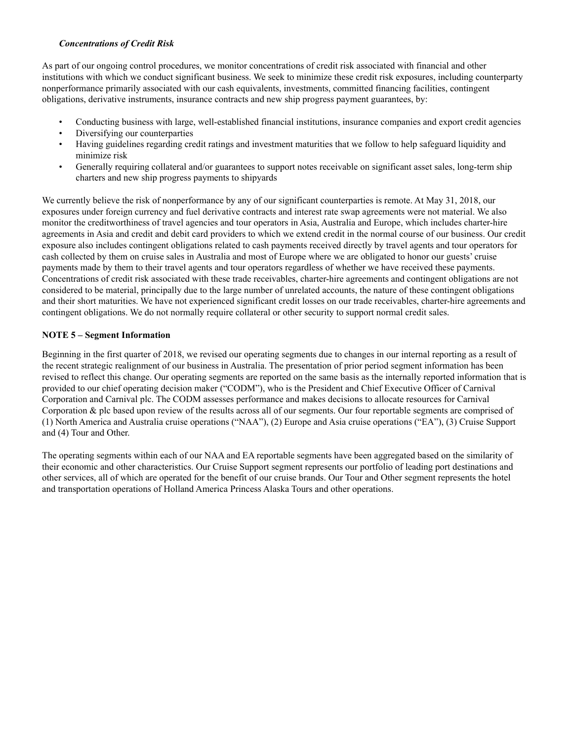### *Concentrations of Credit Risk*

As part of our ongoing control procedures, we monitor concentrations of credit risk associated with financial and other institutions with which we conduct significant business. We seek to minimize these credit risk exposures, including counterparty nonperformance primarily associated with our cash equivalents, investments, committed financing facilities, contingent obligations, derivative instruments, insurance contracts and new ship progress payment guarantees, by:

- Conducting business with large, well-established financial institutions, insurance companies and export credit agencies
- Diversifying our counterparties
- Having guidelines regarding credit ratings and investment maturities that we follow to help safeguard liquidity and minimize risk
- Generally requiring collateral and/or guarantees to support notes receivable on significant asset sales, long-term ship charters and new ship progress payments to shipyards

We currently believe the risk of nonperformance by any of our significant counterparties is remote. At May 31, 2018, our exposures under foreign currency and fuel derivative contracts and interest rate swap agreements were not material. We also monitor the creditworthiness of travel agencies and tour operators in Asia, Australia and Europe, which includes charter-hire agreements in Asia and credit and debit card providers to which we extend credit in the normal course of our business. Our credit exposure also includes contingent obligations related to cash payments received directly by travel agents and tour operators for cash collected by them on cruise sales in Australia and most of Europe where we are obligated to honor our guests' cruise payments made by them to their travel agents and tour operators regardless of whether we have received these payments. Concentrations of credit risk associated with these trade receivables, charter-hire agreements and contingent obligations are not considered to be material, principally due to the large number of unrelated accounts, the nature of these contingent obligations and their short maturities. We have not experienced significant credit losses on our trade receivables, charter-hire agreements and contingent obligations. We do not normally require collateral or other security to support normal credit sales.

### **NOTE 5 – Segment Information**

Beginning in the first quarter of 2018, we revised our operating segments due to changes in our internal reporting as a result of the recent strategic realignment of our business in Australia. The presentation of prior period segment information has been revised to reflect this change. Our operating segments are reported on the same basis as the internally reported information that is provided to our chief operating decision maker ("CODM"), who is the President and Chief Executive Officer of Carnival Corporation and Carnival plc. The CODM assesses performance and makes decisions to allocate resources for Carnival Corporation & plc based upon review of the results across all of our segments. Our four reportable segments are comprised of (1) North America and Australia cruise operations ("NAA"), (2) Europe and Asia cruise operations ("EA"), (3) Cruise Support and (4) Tour and Other.

The operating segments within each of our NAA and EA reportable segments have been aggregated based on the similarity of their economic and other characteristics. Our Cruise Support segment represents our portfolio of leading port destinations and other services, all of which are operated for the benefit of our cruise brands. Our Tour and Other segment represents the hotel and transportation operations of Holland America Princess Alaska Tours and other operations.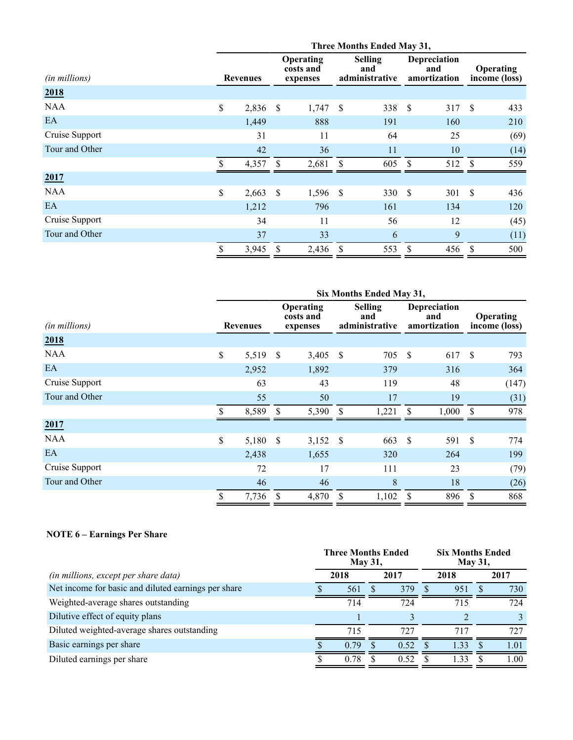|                | Three Months Ended May 31, |                 |                           |                                    |                    |                                         |      |                                     |                                   |      |
|----------------|----------------------------|-----------------|---------------------------|------------------------------------|--------------------|-----------------------------------------|------|-------------------------------------|-----------------------------------|------|
| (in millions)  |                            | <b>Revenues</b> |                           | Operating<br>costs and<br>expenses |                    | <b>Selling</b><br>and<br>administrative |      | Depreciation<br>and<br>amortization | <b>Operating</b><br>income (loss) |      |
| 2018           |                            |                 |                           |                                    |                    |                                         |      |                                     |                                   |      |
| <b>NAA</b>     | \$                         | 2,836 \$        |                           | 1,747                              | $\mathbf{\hat{s}}$ | 338                                     | -S   | 317                                 | \$                                | 433  |
| EA             |                            | 1,449           |                           | 888                                |                    | 191                                     |      | 160                                 |                                   | 210  |
| Cruise Support |                            | 31              |                           | 11                                 |                    | 64                                      |      | 25                                  |                                   | (69) |
| Tour and Other |                            | 42              |                           | 36                                 |                    | 11                                      |      | 10                                  |                                   | (14) |
|                | \$.                        | 4,357           | <sup>\$</sup>             | 2,681                              | \$                 | 605                                     | \$.  | 512                                 | <sup>\$</sup>                     | 559  |
| 2017           |                            |                 |                           |                                    |                    |                                         |      |                                     |                                   |      |
| <b>NAA</b>     | \$                         | 2,663           | $\boldsymbol{\mathsf{S}}$ | $1,596$ \$                         |                    | 330                                     | - \$ | 301                                 | <sup>\$</sup>                     | 436  |
| EA             |                            | 1,212           |                           | 796                                |                    | 161                                     |      | 134                                 |                                   | 120  |
| Cruise Support |                            | 34              |                           | 11                                 |                    | 56                                      |      | 12                                  |                                   | (45) |
| Tour and Other |                            | 37              |                           | 33                                 |                    | 6                                       |      | 9                                   |                                   | (11) |
|                | \$                         | $3,945$ \$      |                           | $2,436$ \$                         |                    | 553                                     | -S   | 456                                 | -S                                | 500  |

|                | Six Months Ended May 31, |       |                                    |            |                                         |       |                                     |       |               |                                   |
|----------------|--------------------------|-------|------------------------------------|------------|-----------------------------------------|-------|-------------------------------------|-------|---------------|-----------------------------------|
| (in millions)  | <b>Revenues</b>          |       | Operating<br>costs and<br>expenses |            | <b>Selling</b><br>and<br>administrative |       | Depreciation<br>and<br>amortization |       |               | <b>Operating</b><br>income (loss) |
| 2018           |                          |       |                                    |            |                                         |       |                                     |       |               |                                   |
| <b>NAA</b>     | \$                       | 5,519 | <sup>\$</sup>                      | 3,405      | - \$                                    | 705   | -\$                                 | 617   | <sup>\$</sup> | 793                               |
| EA             |                          | 2,952 |                                    | 1,892      |                                         | 379   |                                     | 316   |               | 364                               |
| Cruise Support |                          | 63    |                                    | 43         |                                         | 119   |                                     | 48    |               | (147)                             |
| Tour and Other |                          | 55    |                                    | 50         |                                         | 17    |                                     | 19    |               | (31)                              |
|                | \$.                      | 8,589 | -S                                 | 5,390      | <sup>\$</sup>                           | 1,221 | -\$                                 | 1,000 | -\$           | 978                               |
| 2017           |                          |       |                                    |            |                                         |       |                                     |       |               |                                   |
| <b>NAA</b>     | $\mathsf{\$}$            | 5,180 | <sup>\$</sup>                      | $3,152$ \$ |                                         | 663   | -\$                                 | 591   | $\mathcal{S}$ | 774                               |
| EA             |                          | 2,438 |                                    | 1,655      |                                         | 320   |                                     | 264   |               | 199                               |
| Cruise Support |                          | 72    |                                    | 17         |                                         | 111   |                                     | 23    |               | (79)                              |
| Tour and Other |                          | 46    |                                    | 46         |                                         | 8     |                                     | 18    |               | (26)                              |
|                | \$                       | 7,736 |                                    | 4,870      | <sup>\$</sup>                           | 1,102 | S                                   | 896   | S             | 868                               |

# **NOTE 6 – Earnings Per Share**

|                                                     | <b>Three Months Ended</b><br><b>May 31,</b> | <b>Six Months Ended</b><br><b>May 31,</b> |   |       |              |       |  |
|-----------------------------------------------------|---------------------------------------------|-------------------------------------------|---|-------|--------------|-------|--|
| (in millions, except per share data)                | 2018                                        | 2017                                      |   | 2018  | 2017         |       |  |
| Net income for basic and diluted earnings per share | 561                                         | 379                                       | S | 951   | <sup>3</sup> | 730   |  |
| Weighted-average shares outstanding                 | 714                                         | 724                                       |   | 715   |              | 724   |  |
| Dilutive effect of equity plans                     |                                             |                                           |   |       |              |       |  |
| Diluted weighted-average shares outstanding         | 715                                         | 727                                       |   | 717   |              | 727   |  |
| Basic earnings per share                            | 0.79                                        | 0.52                                      |   | 133   |              | 1.01  |  |
| Diluted earnings per share                          | 0.78                                        | 0.52                                      |   | $-33$ |              | 1.00. |  |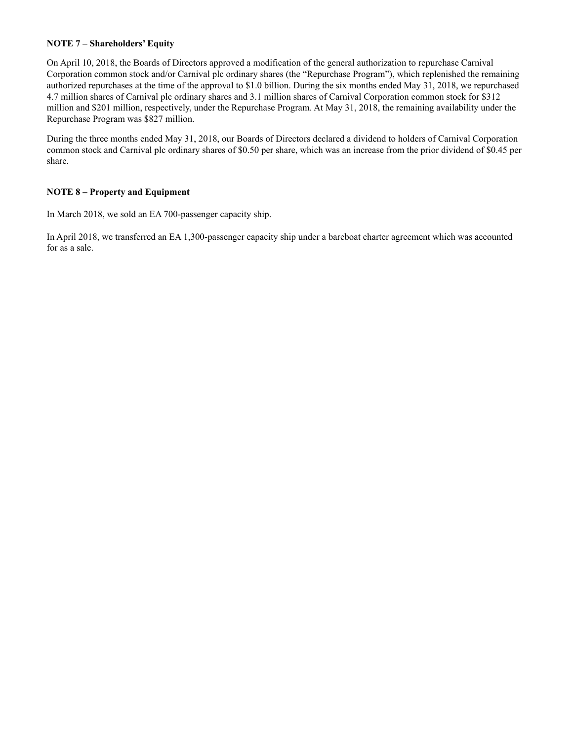### **NOTE 7 – Shareholders' Equity**

On April 10, 2018, the Boards of Directors approved a modification of the general authorization to repurchase Carnival Corporation common stock and/or Carnival plc ordinary shares (the "Repurchase Program"), which replenished the remaining authorized repurchases at the time of the approval to \$1.0 billion. During the six months ended May 31, 2018, we repurchased 4.7 million shares of Carnival plc ordinary shares and 3.1 million shares of Carnival Corporation common stock for \$312 million and \$201 million, respectively, under the Repurchase Program. At May 31, 2018, the remaining availability under the Repurchase Program was \$827 million.

During the three months ended May 31, 2018, our Boards of Directors declared a dividend to holders of Carnival Corporation common stock and Carnival plc ordinary shares of \$0.50 per share, which was an increase from the prior dividend of \$0.45 per share.

### **NOTE 8 – Property and Equipment**

In March 2018, we sold an EA 700-passenger capacity ship.

In April 2018, we transferred an EA 1,300-passenger capacity ship under a bareboat charter agreement which was accounted for as a sale.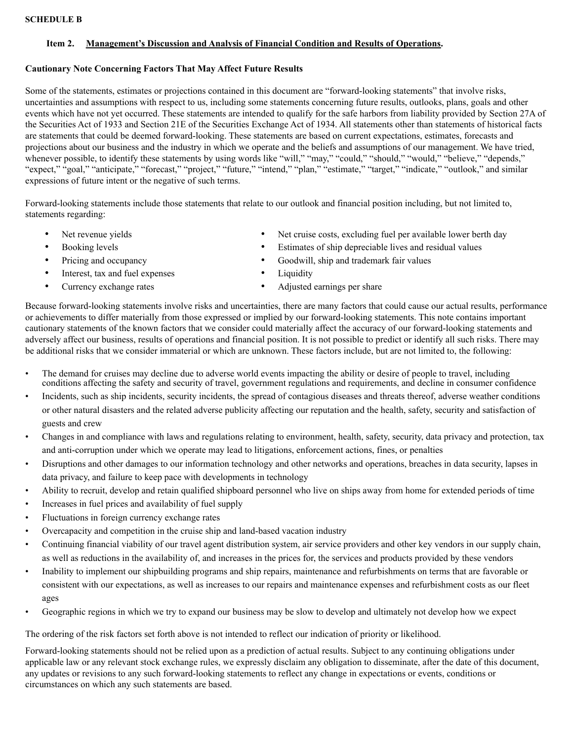### **SCHEDULE B**

### **Item 2. Management's Discussion and Analysis of Financial Condition and Results of Operations.**

### **Cautionary Note Concerning Factors That May Affect Future Results**

Some of the statements, estimates or projections contained in this document are "forward-looking statements" that involve risks, uncertainties and assumptions with respect to us, including some statements concerning future results, outlooks, plans, goals and other events which have not yet occurred. These statements are intended to qualify for the safe harbors from liability provided by Section 27A of the Securities Act of 1933 and Section 21E of the Securities Exchange Act of 1934. All statements other than statements of historical facts are statements that could be deemed forward-looking. These statements are based on current expectations, estimates, forecasts and projections about our business and the industry in which we operate and the beliefs and assumptions of our management. We have tried, whenever possible, to identify these statements by using words like "will," "may," "could," "should," "would," "believe," "depends," "expect," "goal," "anticipate," "forecast," "project," "future," "intend," "plan," "estimate," "target," "indicate," "outlook," and similar expressions of future intent or the negative of such terms.

Forward-looking statements include those statements that relate to our outlook and financial position including, but not limited to, statements regarding:

- 
- 
- 
- Interest, tax and fuel expenses Liquidity
- 
- Net revenue yields Net cruise costs, excluding fuel per available lower berth day
- Booking levels Estimates of ship depreciable lives and residual values
- Pricing and occupancy Goodwill, ship and trademark fair values
	-
- Currency exchange rates Adjusted earnings per share

Because forward-looking statements involve risks and uncertainties, there are many factors that could cause our actual results, performance or achievements to differ materially from those expressed or implied by our forward-looking statements. This note contains important cautionary statements of the known factors that we consider could materially affect the accuracy of our forward-looking statements and adversely affect our business, results of operations and financial position. It is not possible to predict or identify all such risks. There may be additional risks that we consider immaterial or which are unknown. These factors include, but are not limited to, the following:

- The demand for cruises may decline due to adverse world events impacting the ability or desire of people to travel, including conditions affecting the safety and security of travel, government regulations and requirements, and decline in consumer confidence
- Incidents, such as ship incidents, security incidents, the spread of contagious diseases and threats thereof, adverse weather conditions or other natural disasters and the related adverse publicity affecting our reputation and the health, safety, security and satisfaction of guests and crew
- Changes in and compliance with laws and regulations relating to environment, health, safety, security, data privacy and protection, tax and anti-corruption under which we operate may lead to litigations, enforcement actions, fines, or penalties
- Disruptions and other damages to our information technology and other networks and operations, breaches in data security, lapses in data privacy, and failure to keep pace with developments in technology
- Ability to recruit, develop and retain qualified shipboard personnel who live on ships away from home for extended periods of time
- Increases in fuel prices and availability of fuel supply
- Fluctuations in foreign currency exchange rates
- Overcapacity and competition in the cruise ship and land-based vacation industry
- Continuing financial viability of our travel agent distribution system, air service providers and other key vendors in our supply chain, as well as reductions in the availability of, and increases in the prices for, the services and products provided by these vendors
- Inability to implement our shipbuilding programs and ship repairs, maintenance and refurbishments on terms that are favorable or consistent with our expectations, as well as increases to our repairs and maintenance expenses and refurbishment costs as our fleet ages
- Geographic regions in which we try to expand our business may be slow to develop and ultimately not develop how we expect

The ordering of the risk factors set forth above is not intended to reflect our indication of priority or likelihood.

Forward-looking statements should not be relied upon as a prediction of actual results. Subject to any continuing obligations under applicable law or any relevant stock exchange rules, we expressly disclaim any obligation to disseminate, after the date of this document, any updates or revisions to any such forward-looking statements to reflect any change in expectations or events, conditions or circumstances on which any such statements are based.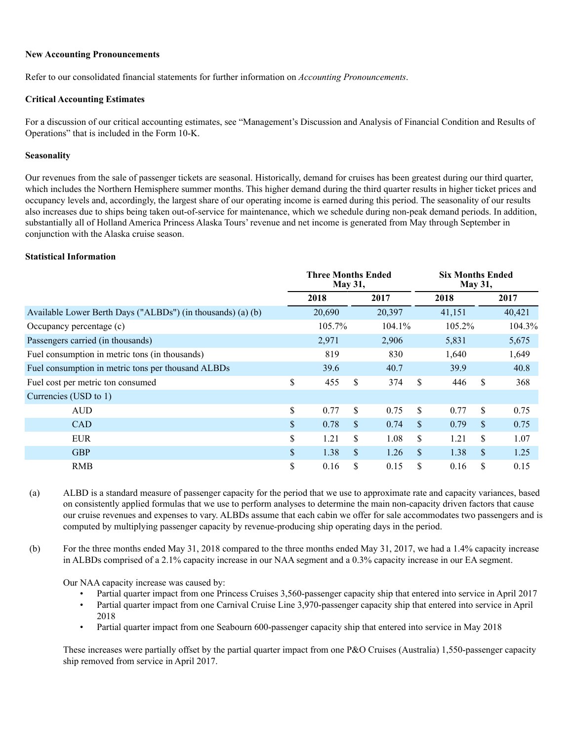#### **New Accounting Pronouncements**

Refer to our consolidated financial statements for further information on *Accounting Pronouncements*.

#### **Critical Accounting Estimates**

For a discussion of our critical accounting estimates, see "Management's Discussion and Analysis of Financial Condition and Results of Operations" that is included in the Form 10-K.

#### **Seasonality**

Our revenues from the sale of passenger tickets are seasonal. Historically, demand for cruises has been greatest during our third quarter, which includes the Northern Hemisphere summer months. This higher demand during the third quarter results in higher ticket prices and occupancy levels and, accordingly, the largest share of our operating income is earned during this period. The seasonality of our results also increases due to ships being taken out-of-service for maintenance, which we schedule during non-peak demand periods. In addition, substantially all of Holland America Princess Alaska Tours' revenue and net income is generated from May through September in conjunction with the Alaska cruise season.

#### **Statistical Information**

|                                                             | <b>Three Months Ended</b><br><b>May 31,</b> |        |              |        |     | <b>Six Months Ended</b><br><b>May 31,</b> |               |        |  |  |
|-------------------------------------------------------------|---------------------------------------------|--------|--------------|--------|-----|-------------------------------------------|---------------|--------|--|--|
|                                                             |                                             | 2018   |              | 2017   |     | 2018                                      |               | 2017   |  |  |
| Available Lower Berth Days ("ALBDs") (in thousands) (a) (b) |                                             | 20,690 |              | 20,397 |     | 41,151                                    |               | 40,421 |  |  |
| Occupancy percentage (c)                                    |                                             | 105.7% |              | 104.1% |     | 105.2%                                    |               | 104.3% |  |  |
| Passengers carried (in thousands)                           |                                             | 2,971  |              | 2,906  |     | 5,831                                     |               | 5,675  |  |  |
| Fuel consumption in metric tons (in thousands)              |                                             | 819    |              | 830    |     | 1,640                                     |               | 1,649  |  |  |
| Fuel consumption in metric tons per thousand ALBDs          |                                             | 39.6   |              | 40.7   |     | 39.9                                      |               | 40.8   |  |  |
| Fuel cost per metric ton consumed                           | \$                                          | 455    | \$           | 374    | \$  | 446                                       | \$            | 368    |  |  |
| Currencies (USD to 1)                                       |                                             |        |              |        |     |                                           |               |        |  |  |
| <b>AUD</b>                                                  | \$                                          | 0.77   | \$           | 0.75   | \$  | 0.77                                      | \$            | 0.75   |  |  |
| <b>CAD</b>                                                  | $\mathbb{S}$                                | 0.78   | $\mathbb{S}$ | 0.74   | \$. | 0.79                                      | \$            | 0.75   |  |  |
| <b>EUR</b>                                                  | \$                                          | 1.21   | \$           | 1.08   | \$  | 1.21                                      | \$            | 1.07   |  |  |
| <b>GBP</b>                                                  | \$                                          | 1.38   | $\mathbb{S}$ | 1.26   | \$. | 1.38                                      | $\mathcal{S}$ | 1.25   |  |  |
| <b>RMB</b>                                                  | \$                                          | 0.16   | \$           | 0.15   | \$  | 0.16                                      | \$            | 0.15   |  |  |

(a) ALBD is a standard measure of passenger capacity for the period that we use to approximate rate and capacity variances, based on consistently applied formulas that we use to perform analyses to determine the main non-capacity driven factors that cause our cruise revenues and expenses to vary. ALBDs assume that each cabin we offer for sale accommodates two passengers and is computed by multiplying passenger capacity by revenue-producing ship operating days in the period.

(b) For the three months ended May 31, 2018 compared to the three months ended May 31, 2017, we had a 1.4% capacity increase in ALBDs comprised of a 2.1% capacity increase in our NAA segment and a 0.3% capacity increase in our EA segment.

Our NAA capacity increase was caused by:

- Partial quarter impact from one Princess Cruises 3,560-passenger capacity ship that entered into service in April 2017
- Partial quarter impact from one Carnival Cruise Line 3,970-passenger capacity ship that entered into service in April 2018
- Partial quarter impact from one Seabourn 600-passenger capacity ship that entered into service in May 2018

These increases were partially offset by the partial quarter impact from one P&O Cruises (Australia) 1,550-passenger capacity ship removed from service in April 2017.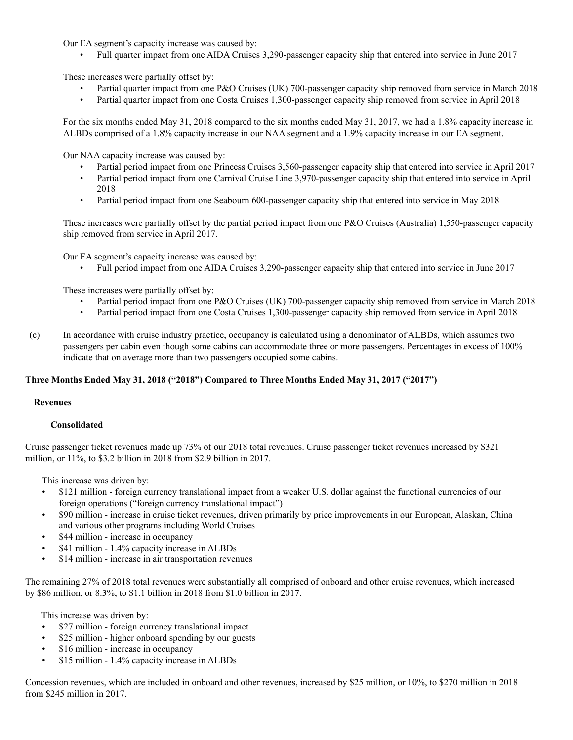Our EA segment's capacity increase was caused by:

• Full quarter impact from one AIDA Cruises 3,290-passenger capacity ship that entered into service in June 2017

These increases were partially offset by:

- Partial quarter impact from one P&O Cruises (UK) 700-passenger capacity ship removed from service in March 2018
- Partial quarter impact from one Costa Cruises 1,300-passenger capacity ship removed from service in April 2018

For the six months ended May 31, 2018 compared to the six months ended May 31, 2017, we had a 1.8% capacity increase in ALBDs comprised of a 1.8% capacity increase in our NAA segment and a 1.9% capacity increase in our EA segment.

Our NAA capacity increase was caused by:

- Partial period impact from one Princess Cruises 3,560-passenger capacity ship that entered into service in April 2017
- Partial period impact from one Carnival Cruise Line 3,970-passenger capacity ship that entered into service in April 2018
- Partial period impact from one Seabourn 600-passenger capacity ship that entered into service in May 2018

These increases were partially offset by the partial period impact from one P&O Cruises (Australia) 1,550-passenger capacity ship removed from service in April 2017.

Our EA segment's capacity increase was caused by:

• Full period impact from one AIDA Cruises 3,290-passenger capacity ship that entered into service in June 2017

These increases were partially offset by:

- Partial period impact from one P&O Cruises (UK) 700-passenger capacity ship removed from service in March 2018
- Partial period impact from one Costa Cruises 1,300-passenger capacity ship removed from service in April 2018
- (c) In accordance with cruise industry practice, occupancy is calculated using a denominator of ALBDs, which assumes two passengers per cabin even though some cabins can accommodate three or more passengers. Percentages in excess of 100% indicate that on average more than two passengers occupied some cabins.

## **Three Months Ended May 31, 2018 ("2018") Compared to Three Months Ended May 31, 2017 ("2017")**

### **Revenues**

### **Consolidated**

Cruise passenger ticket revenues made up 73% of our 2018 total revenues. Cruise passenger ticket revenues increased by \$321 million, or 11%, to \$3.2 billion in 2018 from \$2.9 billion in 2017.

This increase was driven by:

- \$121 million foreign currency translational impact from a weaker U.S. dollar against the functional currencies of our foreign operations ("foreign currency translational impact")
- \$90 million increase in cruise ticket revenues, driven primarily by price improvements in our European, Alaskan, China and various other programs including World Cruises
- \$44 million increase in occupancy
- \$41 million 1.4% capacity increase in ALBDs
- \$14 million increase in air transportation revenues

The remaining 27% of 2018 total revenues were substantially all comprised of onboard and other cruise revenues, which increased by \$86 million, or 8.3%, to \$1.1 billion in 2018 from \$1.0 billion in 2017.

This increase was driven by:

- \$27 million foreign currency translational impact
- \$25 million higher onboard spending by our guests
- \$16 million increase in occupancy
- \$15 million 1.4% capacity increase in ALBDs

Concession revenues, which are included in onboard and other revenues, increased by \$25 million, or 10%, to \$270 million in 2018 from \$245 million in 2017.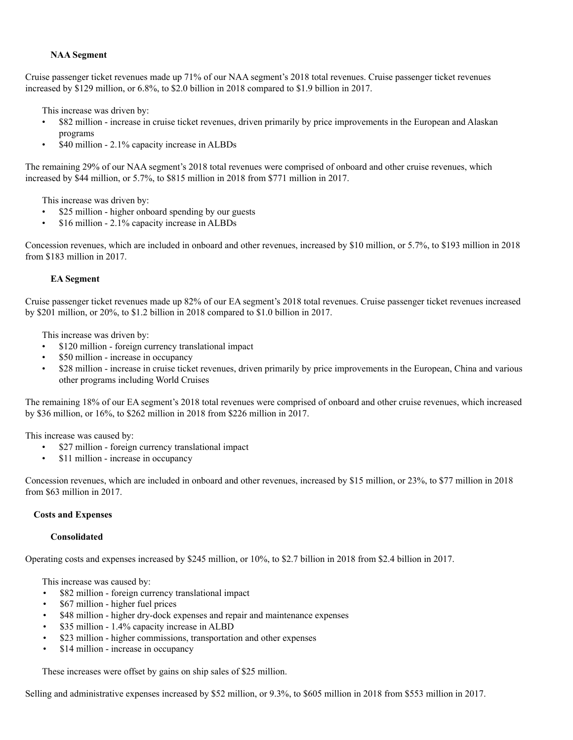### **NAA Segment**

Cruise passenger ticket revenues made up 71% of our NAA segment's 2018 total revenues. Cruise passenger ticket revenues increased by \$129 million, or 6.8%, to \$2.0 billion in 2018 compared to \$1.9 billion in 2017.

This increase was driven by:

- \$82 million increase in cruise ticket revenues, driven primarily by price improvements in the European and Alaskan programs
- \$40 million 2.1% capacity increase in ALBDs

The remaining 29% of our NAA segment's 2018 total revenues were comprised of onboard and other cruise revenues, which increased by \$44 million, or 5.7%, to \$815 million in 2018 from \$771 million in 2017.

This increase was driven by:

- \$25 million higher onboard spending by our guests
- \$16 million 2.1% capacity increase in ALBDs

Concession revenues, which are included in onboard and other revenues, increased by \$10 million, or 5.7%, to \$193 million in 2018 from \$183 million in 2017.

### **EA Segment**

Cruise passenger ticket revenues made up 82% of our EA segment's 2018 total revenues. Cruise passenger ticket revenues increased by \$201 million, or 20%, to \$1.2 billion in 2018 compared to \$1.0 billion in 2017.

This increase was driven by:

- \$120 million foreign currency translational impact
- \$50 million increase in occupancy
- \$28 million increase in cruise ticket revenues, driven primarily by price improvements in the European, China and various other programs including World Cruises

The remaining 18% of our EA segment's 2018 total revenues were comprised of onboard and other cruise revenues, which increased by \$36 million, or 16%, to \$262 million in 2018 from \$226 million in 2017.

This increase was caused by:

- \$27 million foreign currency translational impact
- \$11 million increase in occupancy

Concession revenues, which are included in onboard and other revenues, increased by \$15 million, or 23%, to \$77 million in 2018 from \$63 million in 2017.

### **Costs and Expenses**

### **Consolidated**

Operating costs and expenses increased by \$245 million, or 10%, to \$2.7 billion in 2018 from \$2.4 billion in 2017.

This increase was caused by:

- \$82 million foreign currency translational impact
- \$67 million higher fuel prices
- \$48 million higher dry-dock expenses and repair and maintenance expenses
- \$35 million 1.4% capacity increase in ALBD
- \$23 million higher commissions, transportation and other expenses
- \$14 million increase in occupancy

These increases were offset by gains on ship sales of \$25 million.

Selling and administrative expenses increased by \$52 million, or 9.3%, to \$605 million in 2018 from \$553 million in 2017.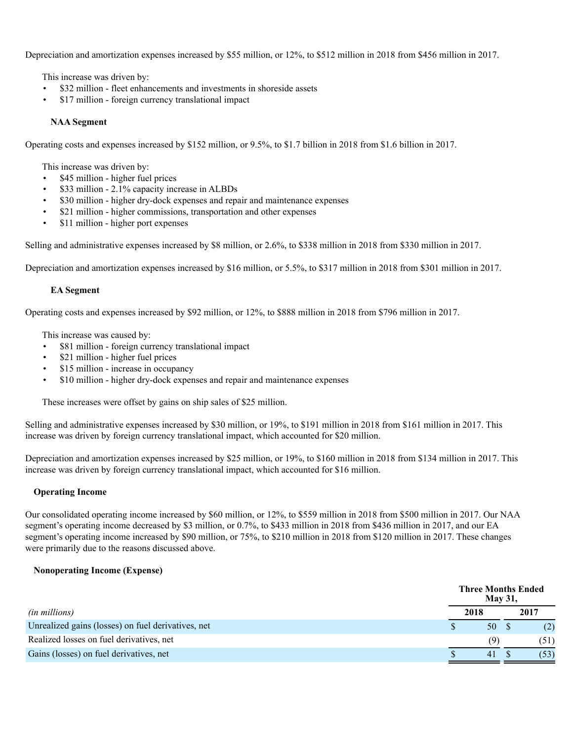Depreciation and amortization expenses increased by \$55 million, or 12%, to \$512 million in 2018 from \$456 million in 2017.

This increase was driven by:

- \$32 million fleet enhancements and investments in shoreside assets
- \$17 million foreign currency translational impact

### **NAA Segment**

Operating costs and expenses increased by \$152 million, or 9.5%, to \$1.7 billion in 2018 from \$1.6 billion in 2017.

This increase was driven by:

- \$45 million higher fuel prices
- \$33 million 2.1% capacity increase in ALBDs
- \$30 million higher dry-dock expenses and repair and maintenance expenses
- \$21 million higher commissions, transportation and other expenses
- \$11 million higher port expenses

Selling and administrative expenses increased by \$8 million, or 2.6%, to \$338 million in 2018 from \$330 million in 2017.

Depreciation and amortization expenses increased by \$16 million, or 5.5%, to \$317 million in 2018 from \$301 million in 2017.

### **EA Segment**

Operating costs and expenses increased by \$92 million, or 12%, to \$888 million in 2018 from \$796 million in 2017.

This increase was caused by:

- \$81 million foreign currency translational impact
- \$21 million higher fuel prices
- \$15 million increase in occupancy
- \$10 million higher dry-dock expenses and repair and maintenance expenses

These increases were offset by gains on ship sales of \$25 million.

Selling and administrative expenses increased by \$30 million, or 19%, to \$191 million in 2018 from \$161 million in 2017. This increase was driven by foreign currency translational impact, which accounted for \$20 million.

Depreciation and amortization expenses increased by \$25 million, or 19%, to \$160 million in 2018 from \$134 million in 2017. This increase was driven by foreign currency translational impact, which accounted for \$16 million.

### **Operating Income**

Our consolidated operating income increased by \$60 million, or 12%, to \$559 million in 2018 from \$500 million in 2017. Our NAA segment's operating income decreased by \$3 million, or 0.7%, to \$433 million in 2018 from \$436 million in 2017, and our EA segment's operating income increased by \$90 million, or 75%, to \$210 million in 2018 from \$120 million in 2017. These changes were primarily due to the reasons discussed above.

### **Nonoperating Income (Expense)**

|                                                    | <b>Three Months Ended</b><br><b>May 31.</b> |      |  |      |  |  |  |  |  |
|----------------------------------------------------|---------------------------------------------|------|--|------|--|--|--|--|--|
| <i>(in millions)</i>                               |                                             | 2018 |  | 2017 |  |  |  |  |  |
| Unrealized gains (losses) on fuel derivatives, net |                                             | 50   |  | (2)  |  |  |  |  |  |
| Realized losses on fuel derivatives, net           |                                             | (9)  |  | (51) |  |  |  |  |  |
| Gains (losses) on fuel derivatives, net            |                                             | 41   |  | (53) |  |  |  |  |  |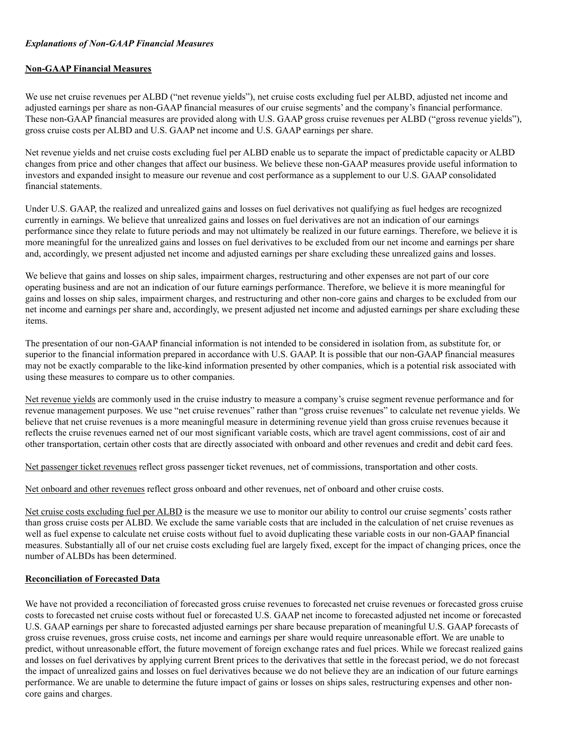### *Explanations of Non-GAAP Financial Measures*

### **Non-GAAP Financial Measures**

We use net cruise revenues per ALBD ("net revenue yields"), net cruise costs excluding fuel per ALBD, adjusted net income and adjusted earnings per share as non-GAAP financial measures of our cruise segments' and the company's financial performance. These non-GAAP financial measures are provided along with U.S. GAAP gross cruise revenues per ALBD ("gross revenue yields"), gross cruise costs per ALBD and U.S. GAAP net income and U.S. GAAP earnings per share.

Net revenue yields and net cruise costs excluding fuel per ALBD enable us to separate the impact of predictable capacity or ALBD changes from price and other changes that affect our business. We believe these non-GAAP measures provide useful information to investors and expanded insight to measure our revenue and cost performance as a supplement to our U.S. GAAP consolidated financial statements.

Under U.S. GAAP, the realized and unrealized gains and losses on fuel derivatives not qualifying as fuel hedges are recognized currently in earnings. We believe that unrealized gains and losses on fuel derivatives are not an indication of our earnings performance since they relate to future periods and may not ultimately be realized in our future earnings. Therefore, we believe it is more meaningful for the unrealized gains and losses on fuel derivatives to be excluded from our net income and earnings per share and, accordingly, we present adjusted net income and adjusted earnings per share excluding these unrealized gains and losses.

We believe that gains and losses on ship sales, impairment charges, restructuring and other expenses are not part of our core operating business and are not an indication of our future earnings performance. Therefore, we believe it is more meaningful for gains and losses on ship sales, impairment charges, and restructuring and other non-core gains and charges to be excluded from our net income and earnings per share and, accordingly, we present adjusted net income and adjusted earnings per share excluding these items.

The presentation of our non-GAAP financial information is not intended to be considered in isolation from, as substitute for, or superior to the financial information prepared in accordance with U.S. GAAP. It is possible that our non-GAAP financial measures may not be exactly comparable to the like-kind information presented by other companies, which is a potential risk associated with using these measures to compare us to other companies.

Net revenue yields are commonly used in the cruise industry to measure a company's cruise segment revenue performance and for revenue management purposes. We use "net cruise revenues" rather than "gross cruise revenues" to calculate net revenue yields. We believe that net cruise revenues is a more meaningful measure in determining revenue yield than gross cruise revenues because it reflects the cruise revenues earned net of our most significant variable costs, which are travel agent commissions, cost of air and other transportation, certain other costs that are directly associated with onboard and other revenues and credit and debit card fees.

Net passenger ticket revenues reflect gross passenger ticket revenues, net of commissions, transportation and other costs.

Net onboard and other revenues reflect gross onboard and other revenues, net of onboard and other cruise costs.

Net cruise costs excluding fuel per ALBD is the measure we use to monitor our ability to control our cruise segments' costs rather than gross cruise costs per ALBD. We exclude the same variable costs that are included in the calculation of net cruise revenues as well as fuel expense to calculate net cruise costs without fuel to avoid duplicating these variable costs in our non-GAAP financial measures. Substantially all of our net cruise costs excluding fuel are largely fixed, except for the impact of changing prices, once the number of ALBDs has been determined.

## **Reconciliation of Forecasted Data**

We have not provided a reconciliation of forecasted gross cruise revenues to forecasted net cruise revenues or forecasted gross cruise costs to forecasted net cruise costs without fuel or forecasted U.S. GAAP net income to forecasted adjusted net income or forecasted U.S. GAAP earnings per share to forecasted adjusted earnings per share because preparation of meaningful U.S. GAAP forecasts of gross cruise revenues, gross cruise costs, net income and earnings per share would require unreasonable effort. We are unable to predict, without unreasonable effort, the future movement of foreign exchange rates and fuel prices. While we forecast realized gains and losses on fuel derivatives by applying current Brent prices to the derivatives that settle in the forecast period, we do not forecast the impact of unrealized gains and losses on fuel derivatives because we do not believe they are an indication of our future earnings performance. We are unable to determine the future impact of gains or losses on ships sales, restructuring expenses and other noncore gains and charges.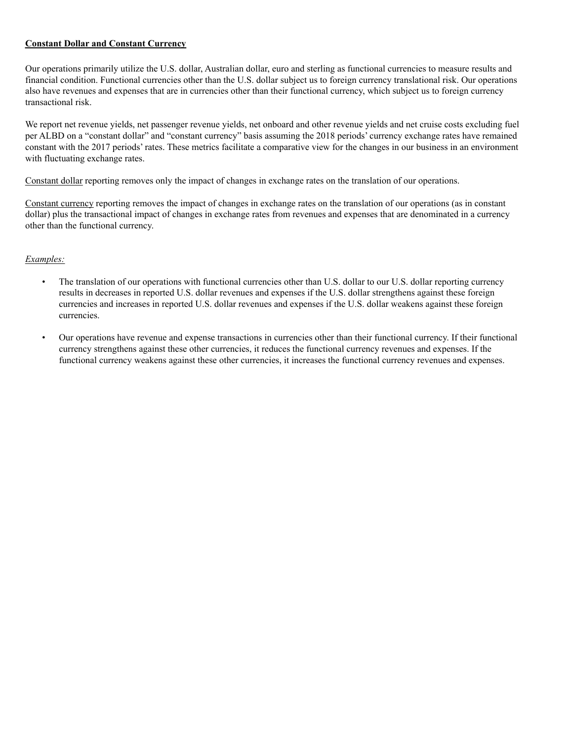### **Constant Dollar and Constant Currency**

Our operations primarily utilize the U.S. dollar, Australian dollar, euro and sterling as functional currencies to measure results and financial condition. Functional currencies other than the U.S. dollar subject us to foreign currency translational risk. Our operations also have revenues and expenses that are in currencies other than their functional currency, which subject us to foreign currency transactional risk.

We report net revenue yields, net passenger revenue yields, net onboard and other revenue yields and net cruise costs excluding fuel per ALBD on a "constant dollar" and "constant currency" basis assuming the 2018 periods' currency exchange rates have remained constant with the 2017 periods' rates. These metrics facilitate a comparative view for the changes in our business in an environment with fluctuating exchange rates.

Constant dollar reporting removes only the impact of changes in exchange rates on the translation of our operations.

Constant currency reporting removes the impact of changes in exchange rates on the translation of our operations (as in constant dollar) plus the transactional impact of changes in exchange rates from revenues and expenses that are denominated in a currency other than the functional currency.

## *Examples:*

- The translation of our operations with functional currencies other than U.S. dollar to our U.S. dollar reporting currency results in decreases in reported U.S. dollar revenues and expenses if the U.S. dollar strengthens against these foreign currencies and increases in reported U.S. dollar revenues and expenses if the U.S. dollar weakens against these foreign currencies.
- Our operations have revenue and expense transactions in currencies other than their functional currency. If their functional currency strengthens against these other currencies, it reduces the functional currency revenues and expenses. If the functional currency weakens against these other currencies, it increases the functional currency revenues and expenses.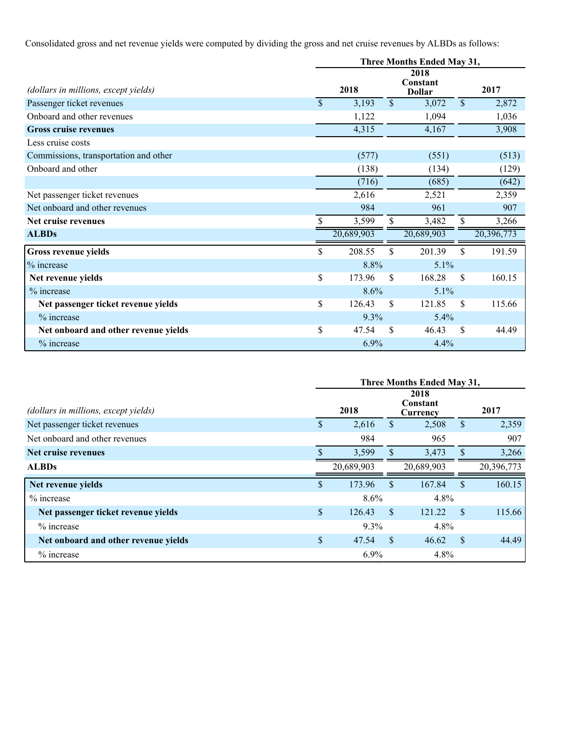Consolidated gross and net revenue yields were computed by dividing the gross and net cruise revenues by ALBDs as follows:

|                                       |               | Three Months Ended May 31, |               |                                   |               |            |  |  |  |  |  |
|---------------------------------------|---------------|----------------------------|---------------|-----------------------------------|---------------|------------|--|--|--|--|--|
| (dollars in millions, except yields)  |               | 2018                       |               | 2018<br>Constant<br><b>Dollar</b> |               | 2017       |  |  |  |  |  |
| Passenger ticket revenues             | $\mathsf{\$}$ | 3,193                      | $\mathcal{S}$ | 3,072                             | $\mathcal{S}$ | 2,872      |  |  |  |  |  |
| Onboard and other revenues            |               | 1,122                      |               | 1,094                             |               | 1,036      |  |  |  |  |  |
| <b>Gross cruise revenues</b>          |               | 4,315                      |               | 4,167                             |               | 3,908      |  |  |  |  |  |
| Less cruise costs                     |               |                            |               |                                   |               |            |  |  |  |  |  |
| Commissions, transportation and other |               | (577)                      |               | (551)                             |               | (513)      |  |  |  |  |  |
| Onboard and other                     |               | (138)                      |               | (134)                             |               | (129)      |  |  |  |  |  |
|                                       |               | (716)                      |               | (685)                             |               | (642)      |  |  |  |  |  |
| Net passenger ticket revenues         |               | 2,616                      |               | 2,521                             |               | 2,359      |  |  |  |  |  |
| Net onboard and other revenues        |               | 984                        |               | 961                               |               | 907        |  |  |  |  |  |
| Net cruise revenues                   | \$            | 3,599                      | \$            | 3,482                             | S.            | 3,266      |  |  |  |  |  |
| <b>ALBDs</b>                          |               | 20,689,903                 |               | 20,689,903                        |               | 20,396,773 |  |  |  |  |  |
| <b>Gross revenue yields</b>           | \$            | 208.55                     | \$            | 201.39                            | \$            | 191.59     |  |  |  |  |  |
| % increase                            |               | 8.8%                       |               | 5.1%                              |               |            |  |  |  |  |  |
| Net revenue yields                    | \$            | 173.96                     | $\mathcal{S}$ | 168.28                            | $\mathbf{\$}$ | 160.15     |  |  |  |  |  |
| % increase                            |               | 8.6%                       |               | 5.1%                              |               |            |  |  |  |  |  |
| Net passenger ticket revenue yields   | \$            | 126.43                     | <sup>\$</sup> | 121.85                            | <sup>\$</sup> | 115.66     |  |  |  |  |  |
| % increase                            |               | 9.3%                       |               | 5.4%                              |               |            |  |  |  |  |  |
| Net onboard and other revenue yields  | \$            | 47.54                      | \$            | 46.43                             | <sup>\$</sup> | 44.49      |  |  |  |  |  |
| % increase                            |               | 6.9%                       |               | 4.4%                              |               |            |  |  |  |  |  |

|                                      |              |               | Three Months Ended May 31,   |               |            |
|--------------------------------------|--------------|---------------|------------------------------|---------------|------------|
| (dollars in millions, except yields) | 2018         |               | 2018<br>Constant<br>Currency |               | 2017       |
| Net passenger ticket revenues        | \$<br>2,616  | \$            | 2,508                        | $\mathbf{s}$  | 2,359      |
| Net onboard and other revenues       | 984          |               | 965                          |               | 907        |
| Net cruise revenues                  | 3,599        |               | 3,473                        | \$            | 3,266      |
| <b>ALBDs</b>                         | 20,689,903   |               | 20,689,903                   |               | 20,396,773 |
| Net revenue yields                   | \$<br>173.96 | <sup>\$</sup> | 167.84                       | \$.           | 160.15     |
| % increase                           | 8.6%         |               | 4.8%                         |               |            |
| Net passenger ticket revenue yields  | \$<br>126.43 | -S            | 121.22                       | $\mathbf{s}$  | 115.66     |
| $\%$ increase                        | $9.3\%$      |               | 4.8%                         |               |            |
| Net onboard and other revenue yields | \$<br>47.54  | -S            | 46.62                        | <sup>\$</sup> | 44.49      |
| % increase                           | $6.9\%$      |               | 4.8%                         |               |            |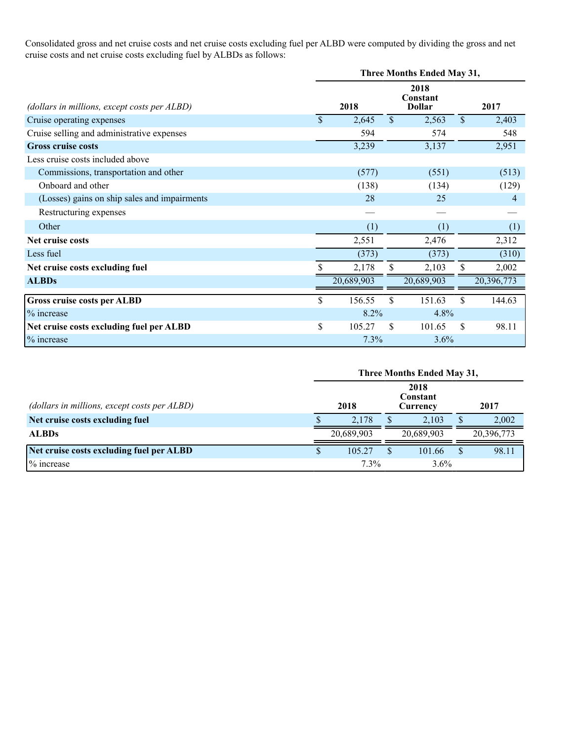Consolidated gross and net cruise costs and net cruise costs excluding fuel per ALBD were computed by dividing the gross and net cruise costs and net cruise costs excluding fuel by ALBDs as follows:

|                                              | Three Months Ended May 31, |            |               |                                   |              |            |  |  |  |
|----------------------------------------------|----------------------------|------------|---------------|-----------------------------------|--------------|------------|--|--|--|
| (dollars in millions, except costs per ALBD) |                            | 2018       |               | 2018<br>Constant<br><b>Dollar</b> |              | 2017       |  |  |  |
| Cruise operating expenses                    | $\mathbf{\$}$              | 2,645      | $\mathcal{S}$ | 2,563                             | $\mathbb{S}$ | 2,403      |  |  |  |
| Cruise selling and administrative expenses   |                            | 594        |               | 574                               |              | 548        |  |  |  |
| <b>Gross cruise costs</b>                    |                            | 3,239      |               | 3,137                             |              | 2,951      |  |  |  |
| Less cruise costs included above             |                            |            |               |                                   |              |            |  |  |  |
| Commissions, transportation and other        |                            | (577)      |               | (551)                             |              | (513)      |  |  |  |
| Onboard and other                            |                            | (138)      |               | (134)                             |              | (129)      |  |  |  |
| (Losses) gains on ship sales and impairments |                            | 28         |               | 25                                |              | 4          |  |  |  |
| Restructuring expenses                       |                            |            |               |                                   |              |            |  |  |  |
| Other                                        |                            | (1)        |               | (1)                               |              | (1)        |  |  |  |
| Net cruise costs                             |                            | 2,551      |               | 2,476                             |              | 2,312      |  |  |  |
| Less fuel                                    |                            | (373)      |               | (373)                             |              | (310)      |  |  |  |
| Net cruise costs excluding fuel              |                            | 2,178      |               | 2,103                             | S.           | 2,002      |  |  |  |
| <b>ALBDs</b>                                 |                            | 20,689,903 |               | 20,689,903                        |              | 20,396,773 |  |  |  |
| Gross cruise costs per ALBD                  | \$                         | 156.55     | \$            | 151.63                            | \$           | 144.63     |  |  |  |
| % increase                                   |                            | 8.2%       |               | 4.8%                              |              |            |  |  |  |
| Net cruise costs excluding fuel per ALBD     | \$                         | 105.27     | \$            | 101.65                            | \$           | 98.11      |  |  |  |
| % increase                                   |                            | 7.3%       |               | 3.6%                              |              |            |  |  |  |

|                                              | Three Months Ended May 31, |            |  |            |          |            |  |  |  |  |
|----------------------------------------------|----------------------------|------------|--|------------|----------|------------|--|--|--|--|
| (dollars in millions, except costs per ALBD) |                            | 2018       |  | 2017       |          |            |  |  |  |  |
| Net cruise costs excluding fuel              |                            | 2.178      |  | 2,103      | S        | 2,002      |  |  |  |  |
| <b>ALBDs</b>                                 |                            | 20,689,903 |  | 20.689.903 |          | 20,396,773 |  |  |  |  |
| Net cruise costs excluding fuel per ALBD     |                            | 105.27     |  | 101.66     | <b>S</b> | 98.11      |  |  |  |  |
| % increase                                   |                            | 7.3%       |  | 3.6%       |          |            |  |  |  |  |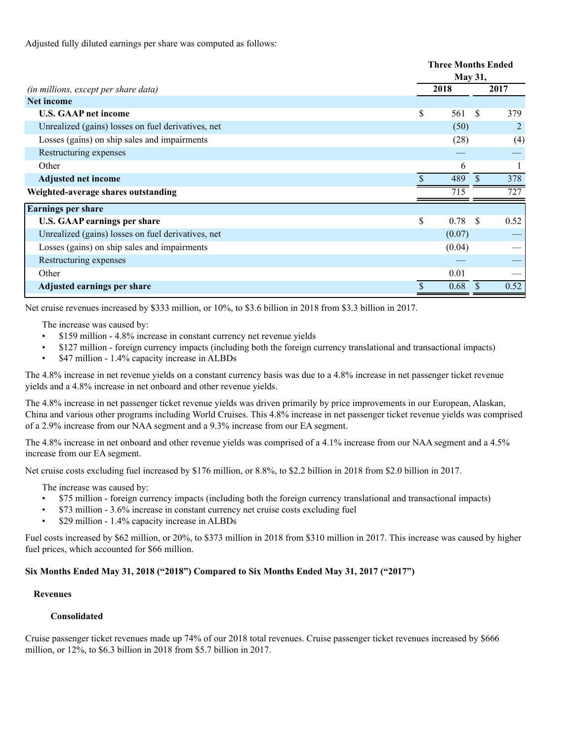Adjusted fully diluted earnings per share was computed as follows:

|                                                    | <b>Three Months Ended</b><br><b>May 31,</b> |        |                     |  |  |
|----------------------------------------------------|---------------------------------------------|--------|---------------------|--|--|
| (in millions, except per share data)               | 2018                                        |        | 2017                |  |  |
| <b>Net income</b>                                  |                                             |        |                     |  |  |
| <b>U.S. GAAP net income</b>                        | \$                                          | 561    | <b>S</b><br>379     |  |  |
| Unrealized (gains) losses on fuel derivatives, net |                                             | (50)   | 2                   |  |  |
| Losses (gains) on ship sales and impairments       |                                             | (28)   | (4)                 |  |  |
| Restructuring expenses                             |                                             |        |                     |  |  |
| Other                                              |                                             | 6      |                     |  |  |
| <b>Adjusted net income</b>                         |                                             | 489    | 378<br><sup>S</sup> |  |  |
| Weighted-average shares outstanding                |                                             | 715    | 727                 |  |  |
| <b>Earnings per share</b>                          |                                             |        |                     |  |  |
| <b>U.S. GAAP earnings per share</b>                | \$                                          | 0.78   | 0.52<br><b>S</b>    |  |  |
| Unrealized (gains) losses on fuel derivatives, net |                                             | (0.07) |                     |  |  |
| Losses (gains) on ship sales and impairments       |                                             | (0.04) |                     |  |  |
| Restructuring expenses                             |                                             |        |                     |  |  |
| Other                                              |                                             | 0.01   |                     |  |  |
| Adjusted earnings per share                        |                                             | 0.68   | 0.52<br>-S          |  |  |

Net cruise revenues increased by \$333 million, or 10%, to \$3.6 billion in 2018 from \$3.3 billion in 2017.

The increase was caused by:

- \$159 million 4.8% increase in constant currency net revenue yields
- \$127 million foreign currency impacts (including both the foreign currency translational and transactional impacts)
- \$47 million 1.4% capacity increase in ALBDs

The 4.8% increase in net revenue yields on a constant currency basis was due to a 4.8% increase in net passenger ticket revenue yields and a 4.8% increase in net onboard and other revenue yields.

The 4.8% increase in net passenger ticket revenue yields was driven primarily by price improvements in our European, Alaskan, China and various other programs including World Cruises. This 4.8% increase in net passenger ticket revenue yields was comprised of a 2.9% increase from our NAA segment and a 9.3% increase from our EA segment.

The 4.8% increase in net onboard and other revenue yields was comprised of a 4.1% increase from our NAA segment and a 4.5% increase from our EA segment.

Net cruise costs excluding fuel increased by \$176 million, or 8.8%, to \$2.2 billion in 2018 from \$2.0 billion in 2017.

The increase was caused by:

- \$75 million foreign currency impacts (including both the foreign currency translational and transactional impacts)
- \$73 million 3.6% increase in constant currency net cruise costs excluding fuel
- \$29 million 1.4% capacity increase in ALBDs

Fuel costs increased by \$62 million, or 20%, to \$373 million in 2018 from \$310 million in 2017. This increase was caused by higher fuel prices, which accounted for \$66 million.

### **Six Months Ended May 31, 2018 ("2018") Compared to Six Months Ended May 31, 2017 ("2017")**

## **Revenues**

## **Consolidated**

Cruise passenger ticket revenues made up 74% of our 2018 total revenues. Cruise passenger ticket revenues increased by \$666 million, or 12%, to \$6.3 billion in 2018 from \$5.7 billion in 2017.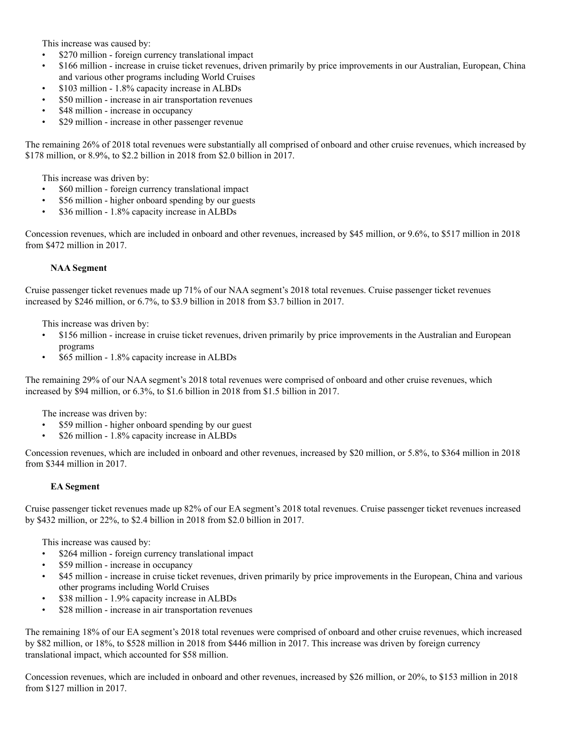This increase was caused by:

- \$270 million foreign currency translational impact
- \$166 million increase in cruise ticket revenues, driven primarily by price improvements in our Australian, European, China and various other programs including World Cruises
- \$103 million 1.8% capacity increase in ALBDs
- \$50 million increase in air transportation revenues
- \$48 million increase in occupancy
- \$29 million increase in other passenger revenue

The remaining 26% of 2018 total revenues were substantially all comprised of onboard and other cruise revenues, which increased by \$178 million, or 8.9%, to \$2.2 billion in 2018 from \$2.0 billion in 2017.

This increase was driven by:

- \$60 million foreign currency translational impact
- \$56 million higher onboard spending by our guests
- \$36 million 1.8% capacity increase in ALBDs

Concession revenues, which are included in onboard and other revenues, increased by \$45 million, or 9.6%, to \$517 million in 2018 from \$472 million in 2017.

### **NAA Segment**

Cruise passenger ticket revenues made up 71% of our NAA segment's 2018 total revenues. Cruise passenger ticket revenues increased by \$246 million, or 6.7%, to \$3.9 billion in 2018 from \$3.7 billion in 2017.

This increase was driven by:

- \$156 million increase in cruise ticket revenues, driven primarily by price improvements in the Australian and European programs
- \$65 million 1.8% capacity increase in ALBDs

The remaining 29% of our NAA segment's 2018 total revenues were comprised of onboard and other cruise revenues, which increased by \$94 million, or 6.3%, to \$1.6 billion in 2018 from \$1.5 billion in 2017.

The increase was driven by:

- \$59 million higher onboard spending by our guest
- \$26 million 1.8% capacity increase in ALBDs

Concession revenues, which are included in onboard and other revenues, increased by \$20 million, or 5.8%, to \$364 million in 2018 from \$344 million in 2017.

### **EA Segment**

Cruise passenger ticket revenues made up 82% of our EA segment's 2018 total revenues. Cruise passenger ticket revenues increased by \$432 million, or 22%, to \$2.4 billion in 2018 from \$2.0 billion in 2017.

This increase was caused by:

- \$264 million foreign currency translational impact
- \$59 million increase in occupancy
- \$45 million increase in cruise ticket revenues, driven primarily by price improvements in the European, China and various other programs including World Cruises
- \$38 million 1.9% capacity increase in ALBDs
- \$28 million increase in air transportation revenues

The remaining 18% of our EA segment's 2018 total revenues were comprised of onboard and other cruise revenues, which increased by \$82 million, or 18%, to \$528 million in 2018 from \$446 million in 2017. This increase was driven by foreign currency translational impact, which accounted for \$58 million.

Concession revenues, which are included in onboard and other revenues, increased by \$26 million, or 20%, to \$153 million in 2018 from \$127 million in 2017.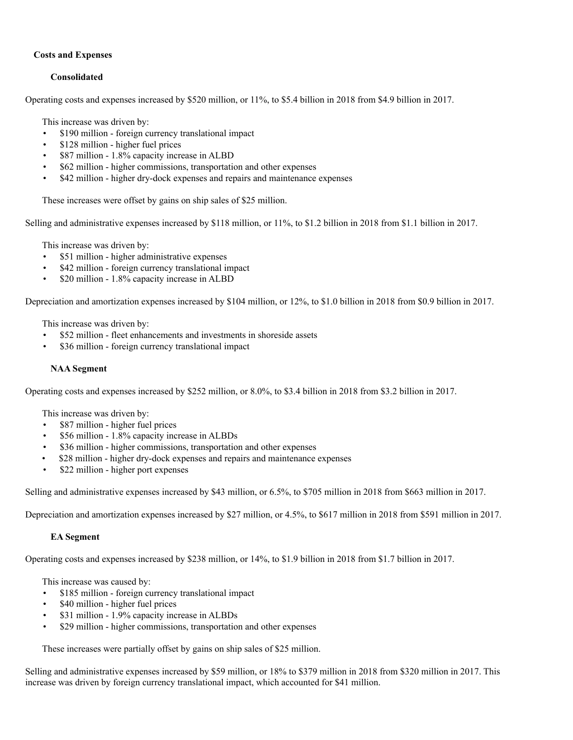### **Costs and Expenses**

## **Consolidated**

Operating costs and expenses increased by \$520 million, or 11%, to \$5.4 billion in 2018 from \$4.9 billion in 2017.

This increase was driven by:

- \$190 million foreign currency translational impact
- \$128 million higher fuel prices
- \$87 million 1.8% capacity increase in ALBD
- \$62 million higher commissions, transportation and other expenses
- \$42 million higher dry-dock expenses and repairs and maintenance expenses

These increases were offset by gains on ship sales of \$25 million.

Selling and administrative expenses increased by \$118 million, or 11%, to \$1.2 billion in 2018 from \$1.1 billion in 2017.

This increase was driven by:

- \$51 million higher administrative expenses
- \$42 million foreign currency translational impact
- \$20 million 1.8% capacity increase in ALBD

Depreciation and amortization expenses increased by \$104 million, or 12%, to \$1.0 billion in 2018 from \$0.9 billion in 2017.

This increase was driven by:

- \$52 million fleet enhancements and investments in shoreside assets
- \$36 million foreign currency translational impact

#### **NAA Segment**

Operating costs and expenses increased by \$252 million, or 8.0%, to \$3.4 billion in 2018 from \$3.2 billion in 2017.

This increase was driven by:

- \$87 million higher fuel prices
- \$56 million 1.8% capacity increase in ALBDs
- \$36 million higher commissions, transportation and other expenses
- \$28 million higher dry-dock expenses and repairs and maintenance expenses
- \$22 million higher port expenses

Selling and administrative expenses increased by \$43 million, or 6.5%, to \$705 million in 2018 from \$663 million in 2017.

Depreciation and amortization expenses increased by \$27 million, or 4.5%, to \$617 million in 2018 from \$591 million in 2017.

### **EA Segment**

Operating costs and expenses increased by \$238 million, or 14%, to \$1.9 billion in 2018 from \$1.7 billion in 2017.

This increase was caused by:

- \$185 million foreign currency translational impact
- \$40 million higher fuel prices
- \$31 million 1.9% capacity increase in ALBDs
- \$29 million higher commissions, transportation and other expenses

These increases were partially offset by gains on ship sales of \$25 million.

Selling and administrative expenses increased by \$59 million, or 18% to \$379 million in 2018 from \$320 million in 2017. This increase was driven by foreign currency translational impact, which accounted for \$41 million.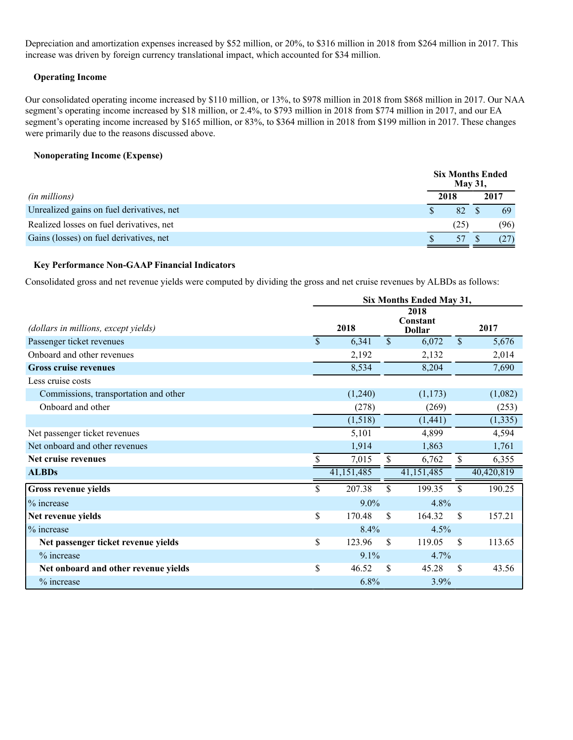Depreciation and amortization expenses increased by \$52 million, or 20%, to \$316 million in 2018 from \$264 million in 2017. This increase was driven by foreign currency translational impact, which accounted for \$34 million.

### **Operating Income**

Our consolidated operating income increased by \$110 million, or 13%, to \$978 million in 2018 from \$868 million in 2017. Our NAA segment's operating income increased by \$18 million, or 2.4%, to \$793 million in 2018 from \$774 million in 2017, and our EA segment's operating income increased by \$165 million, or 83%, to \$364 million in 2018 from \$199 million in 2017. These changes were primarily due to the reasons discussed above.

### **Nonoperating Income (Expense)**

|                                           |      | <b>May 31,</b> | <b>Six Months Ended</b> |  |
|-------------------------------------------|------|----------------|-------------------------|--|
| <i>(in millions)</i>                      | 2018 |                | 2017                    |  |
| Unrealized gains on fuel derivatives, net |      | 82             | 69                      |  |
| Realized losses on fuel derivatives, net  |      | (25)           | (96)                    |  |
| Gains (losses) on fuel derivatives, net   |      |                |                         |  |

### **Key Performance Non-GAAP Financial Indicators**

Consolidated gross and net revenue yields were computed by dividing the gross and net cruise revenues by ALBDs as follows:

|                                       | Six Months Ended May 31, |            |               |                                   |              |            |  |
|---------------------------------------|--------------------------|------------|---------------|-----------------------------------|--------------|------------|--|
| (dollars in millions, except yields)  | 2018                     |            |               | 2018<br>Constant<br><b>Dollar</b> |              | 2017       |  |
| Passenger ticket revenues             | \$                       | 6,341      | $\mathcal{S}$ | 6,072                             | $\mathbb{S}$ | 5,676      |  |
| Onboard and other revenues            |                          | 2,192      |               | 2,132                             |              | 2,014      |  |
| <b>Gross cruise revenues</b>          |                          | 8,534      |               | 8,204                             |              | 7,690      |  |
| Less cruise costs                     |                          |            |               |                                   |              |            |  |
| Commissions, transportation and other |                          | (1,240)    |               | (1,173)                           |              | (1,082)    |  |
| Onboard and other                     |                          | (278)      |               | (269)                             |              | (253)      |  |
|                                       |                          | (1,518)    |               | (1,441)                           |              | (1, 335)   |  |
| Net passenger ticket revenues         |                          | 5,101      |               | 4,899                             |              | 4,594      |  |
| Net onboard and other revenues        |                          | 1,914      |               | 1,863                             |              | 1,761      |  |
| Net cruise revenues                   |                          | 7,015      | \$            | 6,762                             | \$           | 6,355      |  |
| <b>ALBDs</b>                          |                          | 41,151,485 |               | 41,151,485                        |              | 40,420,819 |  |
| Gross revenue yields                  | \$                       | 207.38     | \$            | 199.35                            | \$           | 190.25     |  |
| % increase                            |                          | $9.0\%$    |               | 4.8%                              |              |            |  |
| Net revenue yields                    | \$                       | 170.48     | \$            | 164.32                            | \$           | 157.21     |  |
| % increase                            |                          | 8.4%       |               | 4.5%                              |              |            |  |
| Net passenger ticket revenue yields   | \$                       | 123.96     | \$.           | 119.05                            | \$           | 113.65     |  |
| % increase                            |                          | 9.1%       |               | 4.7%                              |              |            |  |
| Net onboard and other revenue yields  | \$                       | 46.52      | <sup>\$</sup> | 45.28                             | \$           | 43.56      |  |
| % increase                            |                          | 6.8%       |               | 3.9%                              |              |            |  |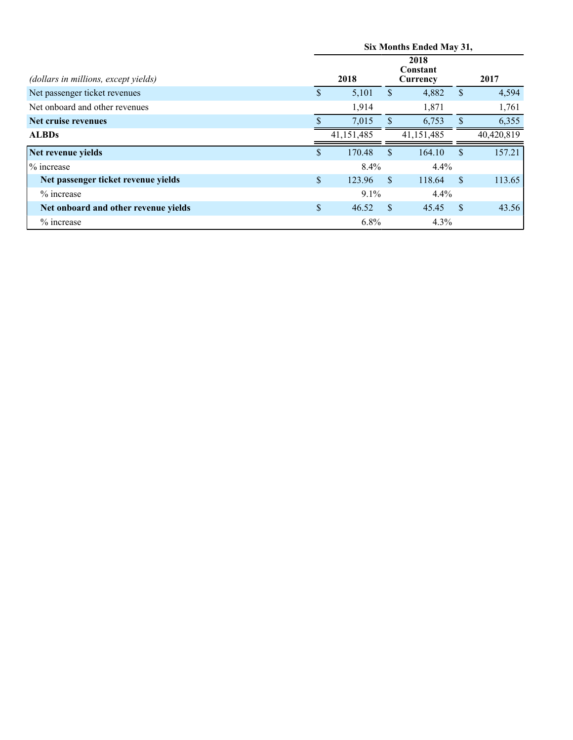|                                      | Six Months Ended May 31, |                                      |               |            |               |            |  |  |
|--------------------------------------|--------------------------|--------------------------------------|---------------|------------|---------------|------------|--|--|
| (dollars in millions, except yields) |                          | 2018<br>Constant<br>2018<br>Currency |               |            |               | 2017       |  |  |
| Net passenger ticket revenues        | \$                       | 5,101                                | S             | 4,882      | $\mathbf{\$}$ | 4,594      |  |  |
| Net onboard and other revenues       |                          | 1,914                                |               | 1,871      |               | 1,761      |  |  |
| Net cruise revenues                  |                          | 7,015                                | S             | 6,753      | <sup>\$</sup> | 6,355      |  |  |
| <b>ALBDs</b>                         |                          | 41,151,485                           |               | 41,151,485 |               | 40,420,819 |  |  |
| Net revenue yields                   | \$                       | 170.48                               | <sup>\$</sup> | 164.10     | \$.           | 157.21     |  |  |
| % increase                           |                          | 8.4%                                 |               | 4.4%       |               |            |  |  |
| Net passenger ticket revenue yields  | \$                       | 123.96                               | <sup>\$</sup> | 118.64     | <sup>\$</sup> | 113.65     |  |  |
| $%$ increase                         |                          | $9.1\%$                              |               | 4.4%       |               |            |  |  |
| Net onboard and other revenue yields | $\mathbb{S}$             | 46.52                                | <sup>\$</sup> | 45.45      | <sup>\$</sup> | 43.56      |  |  |
| % increase                           |                          | 6.8%                                 |               | 4.3%       |               |            |  |  |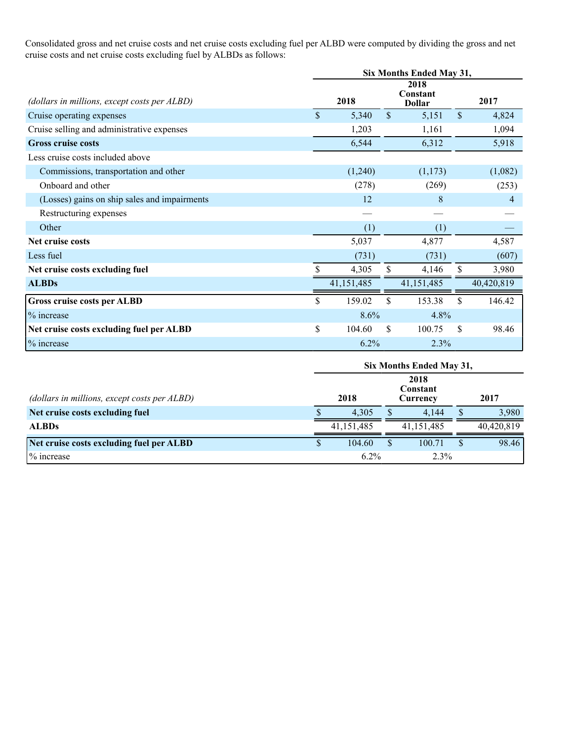Consolidated gross and net cruise costs and net cruise costs excluding fuel per ALBD were computed by dividing the gross and net cruise costs and net cruise costs excluding fuel by ALBDs as follows:

|                                              | Six Months Ended May 31, |            |              |                                   |              |            |  |  |
|----------------------------------------------|--------------------------|------------|--------------|-----------------------------------|--------------|------------|--|--|
| (dollars in millions, except costs per ALBD) | 2018                     |            |              | 2018<br>Constant<br><b>Dollar</b> |              | 2017       |  |  |
| Cruise operating expenses                    | \$                       | 5,340      | $\mathbb{S}$ | 5,151                             | $\mathbb{S}$ | 4,824      |  |  |
| Cruise selling and administrative expenses   |                          | 1,203      |              | 1,161                             |              | 1,094      |  |  |
| <b>Gross cruise costs</b>                    |                          | 6,544      |              | 6,312                             |              | 5,918      |  |  |
| Less cruise costs included above             |                          |            |              |                                   |              |            |  |  |
| Commissions, transportation and other        |                          | (1,240)    |              | (1,173)                           |              | (1,082)    |  |  |
| Onboard and other                            |                          | (278)      |              | (269)                             |              | (253)      |  |  |
| (Losses) gains on ship sales and impairments |                          | 12         |              | 8                                 |              | 4          |  |  |
| Restructuring expenses                       |                          |            |              |                                   |              |            |  |  |
| Other                                        |                          | (1)        |              | (1)                               |              |            |  |  |
| Net cruise costs                             |                          | 5,037      |              | 4,877                             |              | 4,587      |  |  |
| Less fuel                                    |                          | (731)      |              | (731)                             |              | (607)      |  |  |
| Net cruise costs excluding fuel              |                          | 4,305      | S            | 4,146                             |              | 3,980      |  |  |
| <b>ALBDs</b>                                 |                          | 41,151,485 |              | 41,151,485                        |              | 40,420,819 |  |  |
| Gross cruise costs per ALBD                  | \$                       | 159.02     | \$           | 153.38                            | \$           | 146.42     |  |  |
| % increase                                   |                          | 8.6%       |              | 4.8%                              |              |            |  |  |
| Net cruise costs excluding fuel per ALBD     | \$                       | 104.60     | \$           | 100.75                            | \$           | 98.46      |  |  |
| % increase                                   |                          | 6.2%       |              | 2.3%                              |              |            |  |  |

|                                              | Six Months Ended May 31, |              |  |              |  |            |  |  |  |
|----------------------------------------------|--------------------------|--------------|--|--------------|--|------------|--|--|--|
| (dollars in millions, except costs per ALBD) |                          | 2018         |  | 2017         |  |            |  |  |  |
| Net cruise costs excluding fuel              |                          | 4.305        |  | 4.144        |  | 3,980      |  |  |  |
| <b>ALBDs</b>                                 |                          | 41, 151, 485 |  | 41, 151, 485 |  | 40,420,819 |  |  |  |
| Net cruise costs excluding fuel per ALBD     |                          | 104.60       |  | 100.71       |  | 98.46      |  |  |  |
| % increase                                   |                          | 6.2%         |  | 2.3%         |  |            |  |  |  |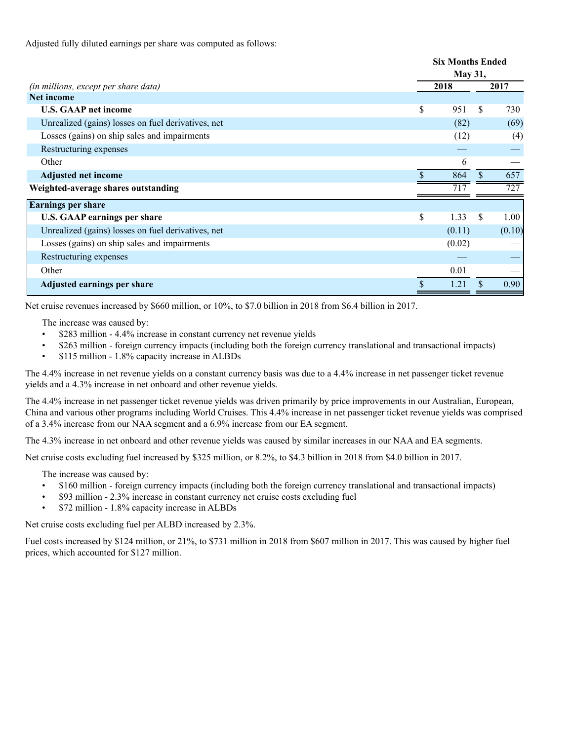Adjusted fully diluted earnings per share was computed as follows:

|                                                    | <b>Six Months Ended</b> |        |     |        |
|----------------------------------------------------|-------------------------|--------|-----|--------|
|                                                    | <b>May 31,</b>          |        |     |        |
| (in millions, except per share data)               | 2018                    |        |     | 2017   |
| <b>Net income</b>                                  |                         |        |     |        |
| <b>U.S. GAAP net income</b>                        | \$                      | 951    | \$. | 730    |
| Unrealized (gains) losses on fuel derivatives, net |                         | (82)   |     | (69)   |
| Losses (gains) on ship sales and impairments       |                         | (12)   |     | (4)    |
| Restructuring expenses                             |                         |        |     |        |
| Other                                              |                         | 6      |     |        |
| <b>Adjusted net income</b>                         |                         | 864    | \$  | 657    |
| Weighted-average shares outstanding                |                         | 717    |     | 727    |
| <b>Earnings per share</b>                          |                         |        |     |        |
| <b>U.S. GAAP earnings per share</b>                | \$                      | 1.33   | S   | 1.00   |
| Unrealized (gains) losses on fuel derivatives, net |                         | (0.11) |     | (0.10) |
| Losses (gains) on ship sales and impairments       |                         | (0.02) |     |        |
| Restructuring expenses                             |                         |        |     |        |
| Other                                              |                         | 0.01   |     |        |
| Adjusted earnings per share                        |                         | 1.21   |     | 0.90   |

Net cruise revenues increased by \$660 million, or 10%, to \$7.0 billion in 2018 from \$6.4 billion in 2017.

The increase was caused by:

- \$283 million 4.4% increase in constant currency net revenue yields
- \$263 million foreign currency impacts (including both the foreign currency translational and transactional impacts)
- \$115 million 1.8% capacity increase in ALBDs

The 4.4% increase in net revenue yields on a constant currency basis was due to a 4.4% increase in net passenger ticket revenue yields and a 4.3% increase in net onboard and other revenue yields.

The 4.4% increase in net passenger ticket revenue yields was driven primarily by price improvements in our Australian, European, China and various other programs including World Cruises. This 4.4% increase in net passenger ticket revenue yields was comprised of a 3.4% increase from our NAA segment and a 6.9% increase from our EA segment.

The 4.3% increase in net onboard and other revenue yields was caused by similar increases in our NAA and EA segments.

Net cruise costs excluding fuel increased by \$325 million, or 8.2%, to \$4.3 billion in 2018 from \$4.0 billion in 2017.

The increase was caused by:

- \$160 million foreign currency impacts (including both the foreign currency translational and transactional impacts)
- \$93 million 2.3% increase in constant currency net cruise costs excluding fuel
- \$72 million 1.8% capacity increase in ALBDs

Net cruise costs excluding fuel per ALBD increased by 2.3%.

Fuel costs increased by \$124 million, or 21%, to \$731 million in 2018 from \$607 million in 2017. This was caused by higher fuel prices, which accounted for \$127 million.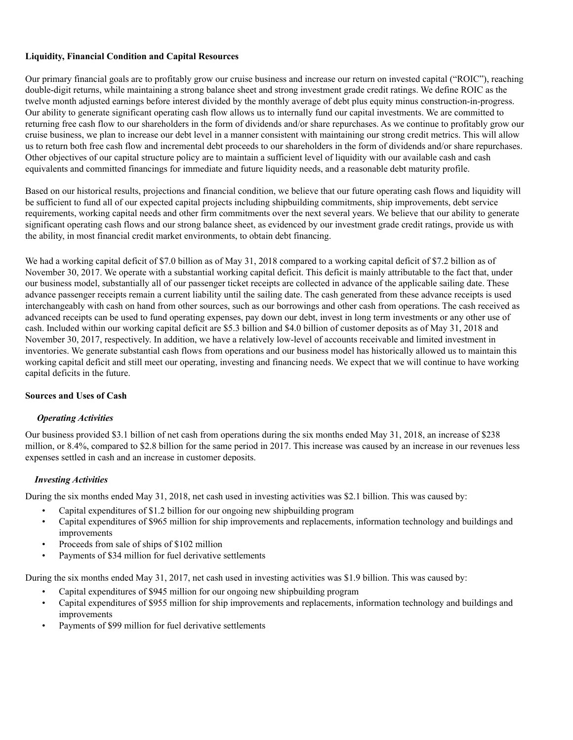## **Liquidity, Financial Condition and Capital Resources**

Our primary financial goals are to profitably grow our cruise business and increase our return on invested capital ("ROIC"), reaching double-digit returns, while maintaining a strong balance sheet and strong investment grade credit ratings. We define ROIC as the twelve month adjusted earnings before interest divided by the monthly average of debt plus equity minus construction-in-progress. Our ability to generate significant operating cash flow allows us to internally fund our capital investments. We are committed to returning free cash flow to our shareholders in the form of dividends and/or share repurchases. As we continue to profitably grow our cruise business, we plan to increase our debt level in a manner consistent with maintaining our strong credit metrics. This will allow us to return both free cash flow and incremental debt proceeds to our shareholders in the form of dividends and/or share repurchases. Other objectives of our capital structure policy are to maintain a sufficient level of liquidity with our available cash and cash equivalents and committed financings for immediate and future liquidity needs, and a reasonable debt maturity profile.

Based on our historical results, projections and financial condition, we believe that our future operating cash flows and liquidity will be sufficient to fund all of our expected capital projects including shipbuilding commitments, ship improvements, debt service requirements, working capital needs and other firm commitments over the next several years. We believe that our ability to generate significant operating cash flows and our strong balance sheet, as evidenced by our investment grade credit ratings, provide us with the ability, in most financial credit market environments, to obtain debt financing.

We had a working capital deficit of \$7.0 billion as of May 31, 2018 compared to a working capital deficit of \$7.2 billion as of November 30, 2017. We operate with a substantial working capital deficit. This deficit is mainly attributable to the fact that, under our business model, substantially all of our passenger ticket receipts are collected in advance of the applicable sailing date. These advance passenger receipts remain a current liability until the sailing date. The cash generated from these advance receipts is used interchangeably with cash on hand from other sources, such as our borrowings and other cash from operations. The cash received as advanced receipts can be used to fund operating expenses, pay down our debt, invest in long term investments or any other use of cash. Included within our working capital deficit are \$5.3 billion and \$4.0 billion of customer deposits as of May 31, 2018 and November 30, 2017, respectively. In addition, we have a relatively low-level of accounts receivable and limited investment in inventories. We generate substantial cash flows from operations and our business model has historically allowed us to maintain this working capital deficit and still meet our operating, investing and financing needs. We expect that we will continue to have working capital deficits in the future.

### **Sources and Uses of Cash**

### *Operating Activities*

Our business provided \$3.1 billion of net cash from operations during the six months ended May 31, 2018, an increase of \$238 million, or 8.4%, compared to \$2.8 billion for the same period in 2017. This increase was caused by an increase in our revenues less expenses settled in cash and an increase in customer deposits.

### *Investing Activities*

During the six months ended May 31, 2018, net cash used in investing activities was \$2.1 billion. This was caused by:

- Capital expenditures of \$1.2 billion for our ongoing new shipbuilding program
- Capital expenditures of \$965 million for ship improvements and replacements, information technology and buildings and improvements
- Proceeds from sale of ships of \$102 million
- Payments of \$34 million for fuel derivative settlements

During the six months ended May 31, 2017, net cash used in investing activities was \$1.9 billion. This was caused by:

- Capital expenditures of \$945 million for our ongoing new shipbuilding program
- Capital expenditures of \$955 million for ship improvements and replacements, information technology and buildings and improvements
- Payments of \$99 million for fuel derivative settlements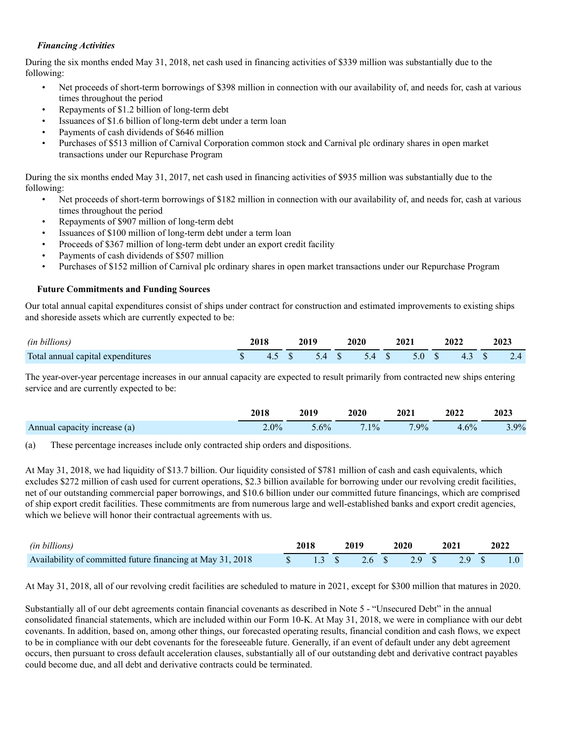### *Financing Activities*

During the six months ended May 31, 2018, net cash used in financing activities of \$339 million was substantially due to the following:

- Net proceeds of short-term borrowings of \$398 million in connection with our availability of, and needs for, cash at various times throughout the period
- Repayments of \$1.2 billion of long-term debt
- Issuances of \$1.6 billion of long-term debt under a term loan
- Payments of cash dividends of \$646 million
- Purchases of \$513 million of Carnival Corporation common stock and Carnival plc ordinary shares in open market transactions under our Repurchase Program

During the six months ended May 31, 2017, net cash used in financing activities of \$935 million was substantially due to the following:

- Net proceeds of short-term borrowings of \$182 million in connection with our availability of, and needs for, cash at various times throughout the period
- Repayments of \$907 million of long-term debt
- Issuances of \$100 million of long-term debt under a term loan
- Proceeds of \$367 million of long-term debt under an export credit facility
- Payments of cash dividends of \$507 million
- Purchases of \$152 million of Carnival plc ordinary shares in open market transactions under our Repurchase Program

### **Future Commitments and Funding Sources**

Our total annual capital expenditures consist of ships under contract for construction and estimated improvements to existing ships and shoreside assets which are currently expected to be:

| (in billions)                     |       | 2019 | 2020 | 2021                 | 2022  | 2023 |
|-----------------------------------|-------|------|------|----------------------|-------|------|
| Total annual capital expenditures | 45 \$ |      |      | 5.4 \$ 5.4 \$ 5.0 \$ | 4.3 S | 2.4  |

The year-over-year percentage increases in our annual capacity are expected to result primarily from contracted new ships entering service and are currently expected to be:

|                              | 2018    | 2019    | 2020    | 2021    | 2022 | 2023 |
|------------------------------|---------|---------|---------|---------|------|------|
| Annual capacity increase (a) | $2.0\%$ | $5.6\%$ | $7.1\%$ | $7.9\%$ | 4.6% | 3.9% |

(a) These percentage increases include only contracted ship orders and dispositions.

At May 31, 2018, we had liquidity of \$13.7 billion. Our liquidity consisted of \$781 million of cash and cash equivalents, which excludes \$272 million of cash used for current operations, \$2.3 billion available for borrowing under our revolving credit facilities, net of our outstanding commercial paper borrowings, and \$10.6 billion under our committed future financings, which are comprised of ship export credit facilities. These commitments are from numerous large and well-established banks and export credit agencies, which we believe will honor their contractual agreements with us.

| (in billions)                                                                                                                 | 2019<br>2018 |  | 2020 2021 |  |  |  | 2022 |  |  |
|-------------------------------------------------------------------------------------------------------------------------------|--------------|--|-----------|--|--|--|------|--|--|
| Availability of committed future financing at May 31, 2018 $\qquad$ \$ 1.3 \; 3 \; 3 \; 2.6 \; \$ 2.9 \; 3 \; 2.9 \; 3 \; 1.0 |              |  |           |  |  |  |      |  |  |

At May 31, 2018, all of our revolving credit facilities are scheduled to mature in 2021, except for \$300 million that matures in 2020.

Substantially all of our debt agreements contain financial covenants as described in Note 5 - "Unsecured Debt" in the annual consolidated financial statements, which are included within our Form 10-K. At May 31, 2018, we were in compliance with our debt covenants. In addition, based on, among other things, our forecasted operating results, financial condition and cash flows, we expect to be in compliance with our debt covenants for the foreseeable future. Generally, if an event of default under any debt agreement occurs, then pursuant to cross default acceleration clauses, substantially all of our outstanding debt and derivative contract payables could become due, and all debt and derivative contracts could be terminated.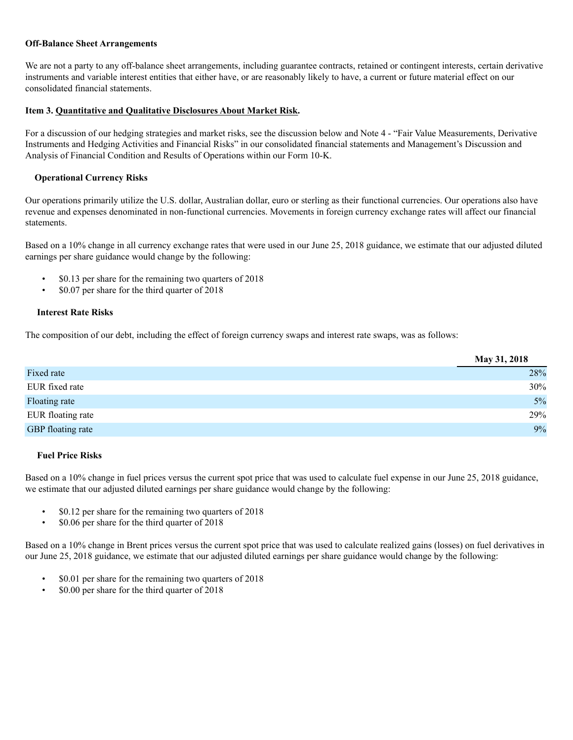#### **Off-Balance Sheet Arrangements**

We are not a party to any off-balance sheet arrangements, including guarantee contracts, retained or contingent interests, certain derivative instruments and variable interest entities that either have, or are reasonably likely to have, a current or future material effect on our consolidated financial statements.

### **Item 3. Quantitative and Qualitative Disclosures About Market Risk.**

For a discussion of our hedging strategies and market risks, see the discussion below and Note 4 - "Fair Value Measurements, Derivative Instruments and Hedging Activities and Financial Risks" in our consolidated financial statements and Management's Discussion and Analysis of Financial Condition and Results of Operations within our Form 10-K.

### **Operational Currency Risks**

Our operations primarily utilize the U.S. dollar, Australian dollar, euro or sterling as their functional currencies. Our operations also have revenue and expenses denominated in non-functional currencies. Movements in foreign currency exchange rates will affect our financial statements.

Based on a 10% change in all currency exchange rates that were used in our June 25, 2018 guidance, we estimate that our adjusted diluted earnings per share guidance would change by the following:

- \$0.13 per share for the remaining two quarters of 2018
- \$0.07 per share for the third quarter of 2018

### **Interest Rate Risks**

The composition of our debt, including the effect of foreign currency swaps and interest rate swaps, was as follows:

|                   | May 31, 2018 |
|-------------------|--------------|
| Fixed rate        | 28%          |
| EUR fixed rate    | 30%          |
| Floating rate     | 5%           |
| EUR floating rate | 29%          |
| GBP floating rate | 9%           |

### **Fuel Price Risks**

Based on a 10% change in fuel prices versus the current spot price that was used to calculate fuel expense in our June 25, 2018 guidance, we estimate that our adjusted diluted earnings per share guidance would change by the following:

- \$0.12 per share for the remaining two quarters of 2018
- \$0.06 per share for the third quarter of 2018

Based on a 10% change in Brent prices versus the current spot price that was used to calculate realized gains (losses) on fuel derivatives in our June 25, 2018 guidance, we estimate that our adjusted diluted earnings per share guidance would change by the following:

- \$0.01 per share for the remaining two quarters of 2018
- \$0.00 per share for the third quarter of 2018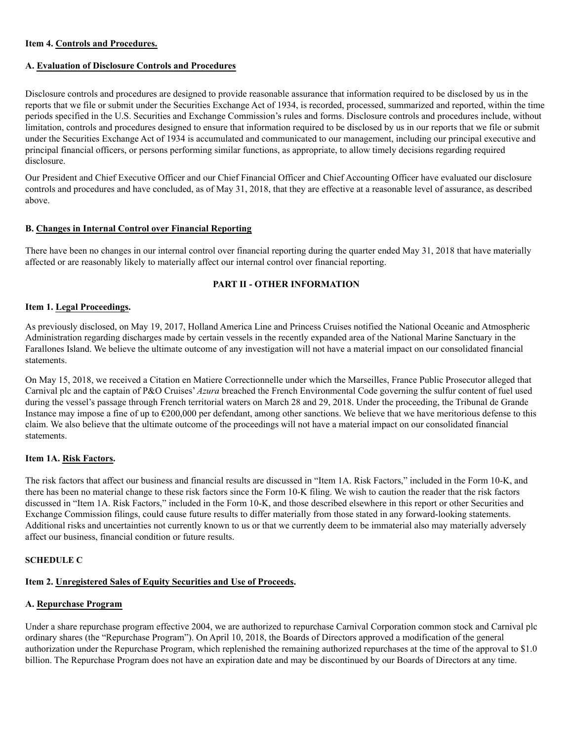### **Item 4. Controls and Procedures.**

#### **A. Evaluation of Disclosure Controls and Procedures**

Disclosure controls and procedures are designed to provide reasonable assurance that information required to be disclosed by us in the reports that we file or submit under the Securities Exchange Act of 1934, is recorded, processed, summarized and reported, within the time periods specified in the U.S. Securities and Exchange Commission's rules and forms. Disclosure controls and procedures include, without limitation, controls and procedures designed to ensure that information required to be disclosed by us in our reports that we file or submit under the Securities Exchange Act of 1934 is accumulated and communicated to our management, including our principal executive and principal financial officers, or persons performing similar functions, as appropriate, to allow timely decisions regarding required disclosure.

Our President and Chief Executive Officer and our Chief Financial Officer and Chief Accounting Officer have evaluated our disclosure controls and procedures and have concluded, as of May 31, 2018, that they are effective at a reasonable level of assurance, as described above.

#### **B. Changes in Internal Control over Financial Reporting**

There have been no changes in our internal control over financial reporting during the quarter ended May 31, 2018 that have materially affected or are reasonably likely to materially affect our internal control over financial reporting.

#### **PART II - OTHER INFORMATION**

#### **Item 1. Legal Proceedings.**

As previously disclosed, on May 19, 2017, Holland America Line and Princess Cruises notified the National Oceanic and Atmospheric Administration regarding discharges made by certain vessels in the recently expanded area of the National Marine Sanctuary in the Farallones Island. We believe the ultimate outcome of any investigation will not have a material impact on our consolidated financial statements.

On May 15, 2018, we received a Citation en Matiere Correctionnelle under which the Marseilles, France Public Prosecutor alleged that Carnival plc and the captain of P&O Cruises' *Azura* breached the French Environmental Code governing the sulfur content of fuel used during the vessel's passage through French territorial waters on March 28 and 29, 2018. Under the proceeding, the Tribunal de Grande Instance may impose a fine of up to  $\epsilon$ 200,000 per defendant, among other sanctions. We believe that we have meritorious defense to this claim. We also believe that the ultimate outcome of the proceedings will not have a material impact on our consolidated financial statements.

#### **Item 1A. Risk Factors.**

The risk factors that affect our business and financial results are discussed in "Item 1A. Risk Factors," included in the Form 10-K, and there has been no material change to these risk factors since the Form 10-K filing. We wish to caution the reader that the risk factors discussed in "Item 1A. Risk Factors," included in the Form 10-K, and those described elsewhere in this report or other Securities and Exchange Commission filings, could cause future results to differ materially from those stated in any forward-looking statements. Additional risks and uncertainties not currently known to us or that we currently deem to be immaterial also may materially adversely affect our business, financial condition or future results.

#### **SCHEDULE C**

# **Item 2. Unregistered Sales of Equity Securities and Use of Proceeds.**

## **A. Repurchase Program**

Under a share repurchase program effective 2004, we are authorized to repurchase Carnival Corporation common stock and Carnival plc ordinary shares (the "Repurchase Program"). On April 10, 2018, the Boards of Directors approved a modification of the general authorization under the Repurchase Program, which replenished the remaining authorized repurchases at the time of the approval to \$1.0 billion. The Repurchase Program does not have an expiration date and may be discontinued by our Boards of Directors at any time.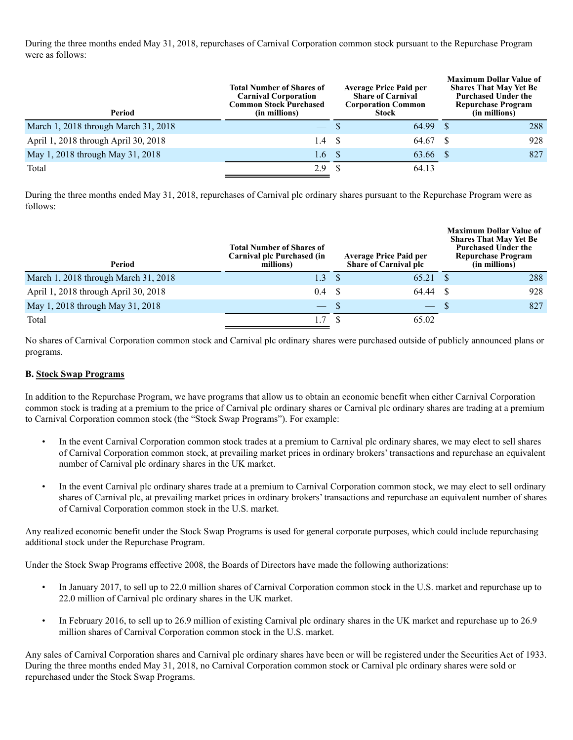During the three months ended May 31, 2018, repurchases of Carnival Corporation common stock pursuant to the Repurchase Program were as follows:

| Period                               | Total Number of Shares of<br><b>Carnival Corporation</b><br><b>Common Stock Purchased</b><br>(in millions) | <b>Average Price Paid per</b><br><b>Share of Carnival</b><br><b>Corporation Common</b><br>Stock |       |      | <b>Maximum Dollar Value of</b><br><b>Shares That May Yet Be</b><br><b>Purchased Under the</b><br><b>Repurchase Program</b><br>(in millions) |
|--------------------------------------|------------------------------------------------------------------------------------------------------------|-------------------------------------------------------------------------------------------------|-------|------|---------------------------------------------------------------------------------------------------------------------------------------------|
| March 1, 2018 through March 31, 2018 |                                                                                                            |                                                                                                 | 64.99 |      | 288                                                                                                                                         |
| April 1, 2018 through April 30, 2018 | 1.4                                                                                                        | - \$                                                                                            | 64.67 |      | 928                                                                                                                                         |
| May 1, 2018 through May 31, 2018     | 1.6 <sup>°</sup>                                                                                           |                                                                                                 | 63.66 | - \$ | 827                                                                                                                                         |
| Total                                | 2.9                                                                                                        |                                                                                                 | 64.13 |      |                                                                                                                                             |

During the three months ended May 31, 2018, repurchases of Carnival plc ordinary shares pursuant to the Repurchase Program were as follows:

| Period                               | <b>Total Number of Shares of</b><br>Carnival plc Purchased (in<br>millions) | <b>Average Price Paid per</b><br><b>Share of Carnival plc</b> |     | <b>Maximum Dollar Value of</b><br><b>Shares That May Yet Be</b><br><b>Purchased Under the</b><br><b>Repurchase Program</b><br>(in millions) |
|--------------------------------------|-----------------------------------------------------------------------------|---------------------------------------------------------------|-----|---------------------------------------------------------------------------------------------------------------------------------------------|
| March 1, 2018 through March 31, 2018 | 1.3                                                                         | 65.21                                                         |     | 288                                                                                                                                         |
| April 1, 2018 through April 30, 2018 | $0.4 \quad S$                                                               | 64.44                                                         | -S  | 928                                                                                                                                         |
| May 1, 2018 through May 31, 2018     | $-$ S                                                                       | $\overline{\phantom{0}}$                                      | -\$ | 827                                                                                                                                         |
| Total                                | 1.7                                                                         | 65.02                                                         |     |                                                                                                                                             |

No shares of Carnival Corporation common stock and Carnival plc ordinary shares were purchased outside of publicly announced plans or programs.

## **B. Stock Swap Programs**

In addition to the Repurchase Program, we have programs that allow us to obtain an economic benefit when either Carnival Corporation common stock is trading at a premium to the price of Carnival plc ordinary shares or Carnival plc ordinary shares are trading at a premium to Carnival Corporation common stock (the "Stock Swap Programs"). For example:

- In the event Carnival Corporation common stock trades at a premium to Carnival plc ordinary shares, we may elect to sell shares of Carnival Corporation common stock, at prevailing market prices in ordinary brokers' transactions and repurchase an equivalent number of Carnival plc ordinary shares in the UK market.
- In the event Carnival plc ordinary shares trade at a premium to Carnival Corporation common stock, we may elect to sell ordinary shares of Carnival plc, at prevailing market prices in ordinary brokers' transactions and repurchase an equivalent number of shares of Carnival Corporation common stock in the U.S. market.

Any realized economic benefit under the Stock Swap Programs is used for general corporate purposes, which could include repurchasing additional stock under the Repurchase Program.

Under the Stock Swap Programs effective 2008, the Boards of Directors have made the following authorizations:

- In January 2017, to sell up to 22.0 million shares of Carnival Corporation common stock in the U.S. market and repurchase up to 22.0 million of Carnival plc ordinary shares in the UK market.
- In February 2016, to sell up to 26.9 million of existing Carnival plc ordinary shares in the UK market and repurchase up to 26.9 million shares of Carnival Corporation common stock in the U.S. market.

Any sales of Carnival Corporation shares and Carnival plc ordinary shares have been or will be registered under the Securities Act of 1933. During the three months ended May 31, 2018, no Carnival Corporation common stock or Carnival plc ordinary shares were sold or repurchased under the Stock Swap Programs.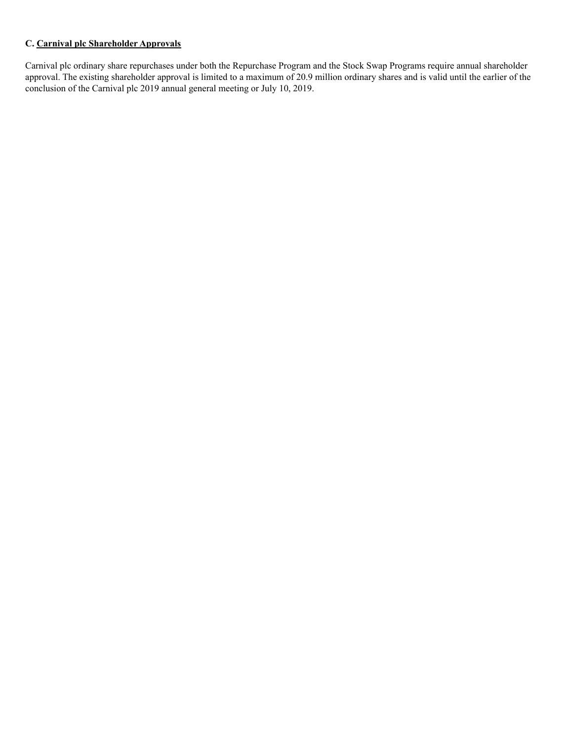## **C. Carnival plc Shareholder Approvals**

Carnival plc ordinary share repurchases under both the Repurchase Program and the Stock Swap Programs require annual shareholder approval. The existing shareholder approval is limited to a maximum of 20.9 million ordinary shares and is valid until the earlier of the conclusion of the Carnival plc 2019 annual general meeting or July 10, 2019.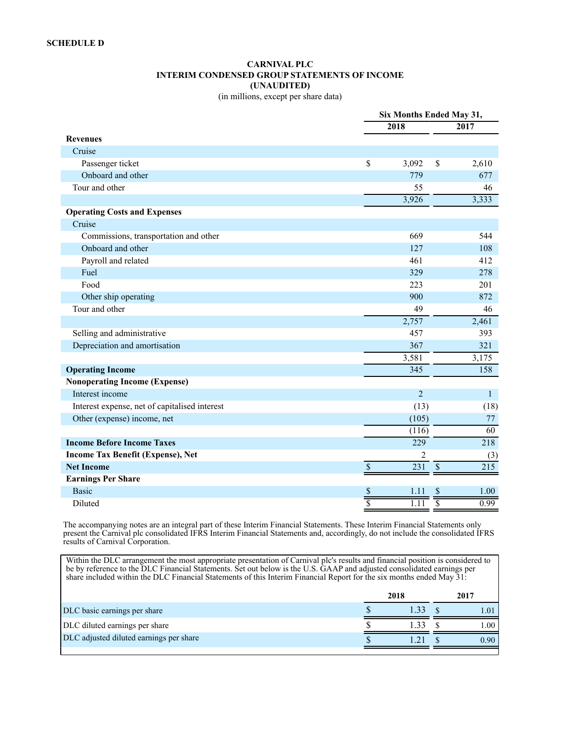#### **CARNIVAL PLC INTERIM CONDENSED GROUP STATEMENTS OF INCOME (UNAUDITED)** (in millions, except per share data)

|                                               |                           | Six Months Ended May 31,                                         |
|-----------------------------------------------|---------------------------|------------------------------------------------------------------|
|                                               | 2018                      | 2017                                                             |
| <b>Revenues</b>                               |                           |                                                                  |
| Cruise                                        |                           |                                                                  |
| Passenger ticket                              | \$                        | 3,092<br>\$<br>2,610                                             |
| Onboard and other                             |                           | 779<br>677                                                       |
| Tour and other                                |                           | 55<br>46                                                         |
|                                               |                           | 3,926<br>3,333                                                   |
| <b>Operating Costs and Expenses</b>           |                           |                                                                  |
| Cruise                                        |                           |                                                                  |
| Commissions, transportation and other         |                           | 669<br>544                                                       |
| Onboard and other                             |                           | 127<br>108                                                       |
| Payroll and related                           |                           | 461<br>412                                                       |
| Fuel                                          |                           | 329<br>278                                                       |
| Food                                          |                           | 201<br>223                                                       |
| Other ship operating                          |                           | 900<br>872                                                       |
| Tour and other                                |                           | 49<br>46                                                         |
|                                               |                           | 2,757<br>2,461                                                   |
| Selling and administrative                    |                           | 457<br>393                                                       |
| Depreciation and amortisation                 |                           | 367<br>321                                                       |
|                                               |                           | 3,581<br>3,175                                                   |
| <b>Operating Income</b>                       |                           | 345<br>158                                                       |
| <b>Nonoperating Income (Expense)</b>          |                           |                                                                  |
| Interest income                               |                           | $\overline{2}$<br>$\mathbf{1}$                                   |
| Interest expense, net of capitalised interest |                           | (13)<br>(18)                                                     |
| Other (expense) income, net                   |                           | (105)<br>77                                                      |
|                                               |                           | 60<br>(116)                                                      |
| <b>Income Before Income Taxes</b>             |                           | 229<br>218                                                       |
| Income Tax Benefit (Expense), Net             |                           | $\overline{c}$<br>(3)                                            |
| <b>Net Income</b>                             | $\overline{\mathcal{S}}$  | $\overline{\mathcal{S}}$<br>$\overline{231}$<br>$\overline{215}$ |
| <b>Earnings Per Share</b>                     |                           |                                                                  |
| <b>Basic</b>                                  | \$                        | 1.00<br>\$<br>1.11                                               |
| Diluted                                       | $\overline{\overline{s}}$ | 0.99<br>$\overline{1.11}$                                        |

The accompanying notes are an integral part of these Interim Financial Statements. These Interim Financial Statements only present the Carnival plc consolidated IFRS Interim Financial Statements and, accordingly, do not include the consolidated IFRS results of Carnival Corporation.

Within the DLC arrangement the most appropriate presentation of Carnival plc's results and financial position is considered to be by reference to the DLC Financial Statements. Set out below is the U.S. GAAP and adjusted consolidated earnings per share included within the DLC Financial Statements of this Interim Financial Report for the six months ended May 31:

|                                         | 2018 | 2017     |
|-----------------------------------------|------|----------|
| DLC basic earnings per share            |      |          |
| DLC diluted earnings per share          |      | $\Omega$ |
| DLC adjusted diluted earnings per share |      | 0.90     |
|                                         |      |          |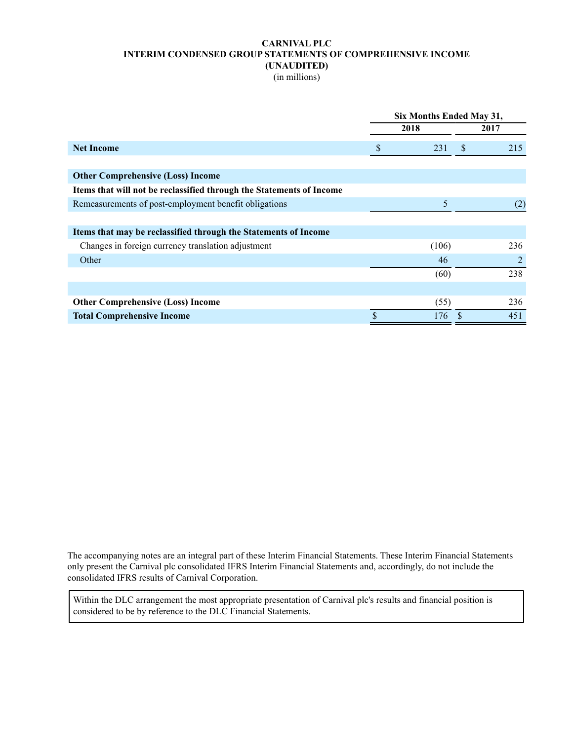### **CARNIVAL PLC INTERIM CONDENSED GROUP STATEMENTS OF COMPREHENSIVE INCOME (UNAUDITED)**

(in millions)

| 2018<br>2017<br>S<br>231<br><sup>S</sup><br>215<br><b>Net Income</b><br><b>Other Comprehensive (Loss) Income</b><br>Items that will not be reclassified through the Statements of Income<br>$\overline{5}$<br>Remeasurements of post-employment benefit obligations<br>(2)<br>Items that may be reclassified through the Statements of Income<br>Changes in foreign currency translation adjustment<br>(106)<br>236<br>Other<br>2<br>46<br>238<br>(60)<br>236<br>(55)<br><b>Other Comprehensive (Loss) Income</b><br><b>Total Comprehensive Income</b><br>176<br>451 | Six Months Ended May 31, |  |  |  |  |  |  |  |
|----------------------------------------------------------------------------------------------------------------------------------------------------------------------------------------------------------------------------------------------------------------------------------------------------------------------------------------------------------------------------------------------------------------------------------------------------------------------------------------------------------------------------------------------------------------------|--------------------------|--|--|--|--|--|--|--|
|                                                                                                                                                                                                                                                                                                                                                                                                                                                                                                                                                                      |                          |  |  |  |  |  |  |  |
|                                                                                                                                                                                                                                                                                                                                                                                                                                                                                                                                                                      |                          |  |  |  |  |  |  |  |
|                                                                                                                                                                                                                                                                                                                                                                                                                                                                                                                                                                      |                          |  |  |  |  |  |  |  |
|                                                                                                                                                                                                                                                                                                                                                                                                                                                                                                                                                                      |                          |  |  |  |  |  |  |  |
|                                                                                                                                                                                                                                                                                                                                                                                                                                                                                                                                                                      |                          |  |  |  |  |  |  |  |
|                                                                                                                                                                                                                                                                                                                                                                                                                                                                                                                                                                      |                          |  |  |  |  |  |  |  |
|                                                                                                                                                                                                                                                                                                                                                                                                                                                                                                                                                                      |                          |  |  |  |  |  |  |  |
|                                                                                                                                                                                                                                                                                                                                                                                                                                                                                                                                                                      |                          |  |  |  |  |  |  |  |
|                                                                                                                                                                                                                                                                                                                                                                                                                                                                                                                                                                      |                          |  |  |  |  |  |  |  |
|                                                                                                                                                                                                                                                                                                                                                                                                                                                                                                                                                                      |                          |  |  |  |  |  |  |  |
|                                                                                                                                                                                                                                                                                                                                                                                                                                                                                                                                                                      |                          |  |  |  |  |  |  |  |
|                                                                                                                                                                                                                                                                                                                                                                                                                                                                                                                                                                      |                          |  |  |  |  |  |  |  |
|                                                                                                                                                                                                                                                                                                                                                                                                                                                                                                                                                                      |                          |  |  |  |  |  |  |  |
|                                                                                                                                                                                                                                                                                                                                                                                                                                                                                                                                                                      |                          |  |  |  |  |  |  |  |

The accompanying notes are an integral part of these Interim Financial Statements. These Interim Financial Statements only present the Carnival plc consolidated IFRS Interim Financial Statements and, accordingly, do not include the consolidated IFRS results of Carnival Corporation.

Within the DLC arrangement the most appropriate presentation of Carnival plc's results and financial position is considered to be by reference to the DLC Financial Statements.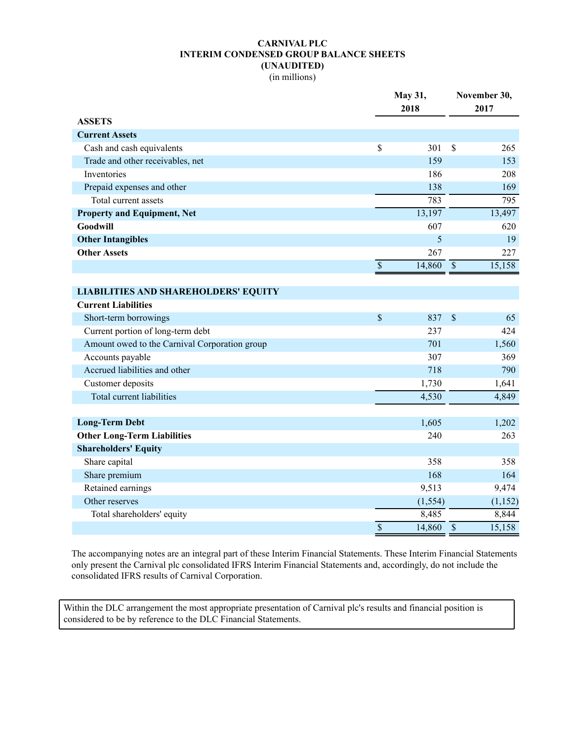# **CARNIVAL PLC INTERIM CONDENSED GROUP BALANCE SHEETS (UNAUDITED)**

(in millions)

|                                               |                          | May 31,<br>2018 |                          | November 30,<br>2017 |  |  |
|-----------------------------------------------|--------------------------|-----------------|--------------------------|----------------------|--|--|
| <b>ASSETS</b>                                 |                          |                 |                          |                      |  |  |
| <b>Current Assets</b>                         |                          |                 |                          |                      |  |  |
| Cash and cash equivalents                     | \$                       | 301             | $\mathbf{\hat{S}}$       | 265                  |  |  |
| Trade and other receivables, net              |                          | 159             |                          | 153                  |  |  |
| Inventories                                   |                          | 186             |                          | 208                  |  |  |
| Prepaid expenses and other                    |                          | 138             |                          | 169                  |  |  |
| Total current assets                          |                          | 783             |                          | 795                  |  |  |
| <b>Property and Equipment, Net</b>            |                          | 13,197          |                          | 13,497               |  |  |
| Goodwill                                      |                          | 607             |                          | 620                  |  |  |
| <b>Other Intangibles</b>                      |                          | 5               |                          | 19                   |  |  |
| <b>Other Assets</b>                           |                          | 267             |                          | 227                  |  |  |
|                                               | $\overline{\mathcal{S}}$ | 14,860          | $\overline{\mathcal{S}}$ | 15,158               |  |  |
|                                               |                          |                 |                          |                      |  |  |
| <b>LIABILITIES AND SHAREHOLDERS' EQUITY</b>   |                          |                 |                          |                      |  |  |
| <b>Current Liabilities</b>                    |                          |                 |                          |                      |  |  |
| Short-term borrowings                         | \$                       | 837             | $\mathbf{\hat{S}}$       | 65                   |  |  |
| Current portion of long-term debt             |                          | 237             |                          | 424                  |  |  |
| Amount owed to the Carnival Corporation group |                          | 701             |                          | 1,560                |  |  |
| Accounts payable                              |                          | 307             |                          | 369                  |  |  |
| Accrued liabilities and other                 |                          | 718             |                          | 790                  |  |  |
| Customer deposits                             |                          | 1,730           |                          | 1,641                |  |  |
| Total current liabilities                     |                          | 4,530           |                          | 4,849                |  |  |
|                                               |                          |                 |                          |                      |  |  |
| <b>Long-Term Debt</b>                         |                          | 1,605           |                          | 1,202                |  |  |
| <b>Other Long-Term Liabilities</b>            |                          | 240             |                          | 263                  |  |  |
| <b>Shareholders' Equity</b>                   |                          |                 |                          |                      |  |  |
| Share capital                                 |                          | 358             |                          | 358                  |  |  |
| Share premium                                 |                          | 168             |                          | 164                  |  |  |
| Retained earnings                             |                          | 9,513           |                          | 9,474                |  |  |
| Other reserves                                |                          | (1, 554)        |                          | (1, 152)             |  |  |
| Total shareholders' equity                    |                          | 8,485           |                          | 8,844                |  |  |
|                                               | \$                       | 14,860          | $\overline{\mathcal{S}}$ | 15,158               |  |  |

The accompanying notes are an integral part of these Interim Financial Statements. These Interim Financial Statements only present the Carnival plc consolidated IFRS Interim Financial Statements and, accordingly, do not include the consolidated IFRS results of Carnival Corporation.

Within the DLC arrangement the most appropriate presentation of Carnival plc's results and financial position is considered to be by reference to the DLC Financial Statements.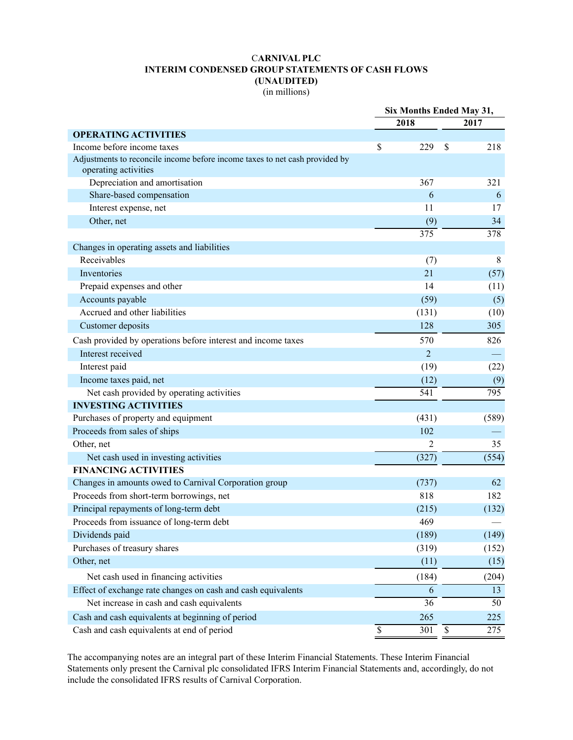# C**ARNIVAL PLC INTERIM CONDENSED GROUP STATEMENTS OF CASH FLOWS (UNAUDITED)**

(in millions)

|                                                                                                     |    | Six Months Ended May 31, |                           |                  |
|-----------------------------------------------------------------------------------------------------|----|--------------------------|---------------------------|------------------|
|                                                                                                     |    | 2018                     |                           | 2017             |
| <b>OPERATING ACTIVITIES</b>                                                                         |    |                          |                           |                  |
| Income before income taxes                                                                          | \$ | 229                      | \$                        | 218              |
| Adjustments to reconcile income before income taxes to net cash provided by<br>operating activities |    |                          |                           |                  |
| Depreciation and amortisation                                                                       |    | 367                      |                           | 321              |
| Share-based compensation                                                                            |    | 6                        |                           | 6                |
| Interest expense, net                                                                               |    | 11                       |                           | 17               |
| Other, net                                                                                          |    | (9)                      |                           | 34               |
|                                                                                                     |    | 375                      |                           | 378              |
| Changes in operating assets and liabilities                                                         |    |                          |                           |                  |
| Receivables                                                                                         |    | (7)                      |                           | 8                |
| Inventories                                                                                         |    | 21                       |                           | (57)             |
| Prepaid expenses and other                                                                          |    | 14                       |                           | (11)             |
| Accounts payable                                                                                    |    | (59)                     |                           | (5)              |
| Accrued and other liabilities                                                                       |    | (131)                    |                           | (10)             |
| Customer deposits                                                                                   |    | 128                      |                           | 305              |
| Cash provided by operations before interest and income taxes                                        |    | 570                      |                           | 826              |
| Interest received                                                                                   |    | $\overline{2}$           |                           |                  |
| Interest paid                                                                                       |    | (19)                     |                           | (22)             |
| Income taxes paid, net                                                                              |    | (12)                     |                           | (9)              |
| Net cash provided by operating activities                                                           |    | 541                      |                           | $\overline{795}$ |
| <b>INVESTING ACTIVITIES</b>                                                                         |    |                          |                           |                  |
| Purchases of property and equipment                                                                 |    | (431)                    |                           | (589)            |
| Proceeds from sales of ships                                                                        |    | 102                      |                           |                  |
| Other, net                                                                                          |    | 2                        |                           | 35               |
| Net cash used in investing activities                                                               |    | (327)                    |                           | (554)            |
| <b>FINANCING ACTIVITIES</b>                                                                         |    |                          |                           |                  |
| Changes in amounts owed to Carnival Corporation group                                               |    | (737)                    |                           | 62               |
| Proceeds from short-term borrowings, net                                                            |    | 818                      |                           | 182              |
| Principal repayments of long-term debt                                                              |    | (215)                    |                           | (132)            |
| Proceeds from issuance of long-term debt                                                            |    | 469                      |                           |                  |
| Dividends paid                                                                                      |    | (189)                    |                           | (149)            |
| Purchases of treasury shares                                                                        |    | (319)                    |                           | (152)            |
| Other, net                                                                                          |    | (11)                     |                           | (15)             |
| Net cash used in financing activities                                                               |    | (184)                    |                           | (204)            |
| Effect of exchange rate changes on cash and cash equivalents                                        |    | 6                        |                           | 13               |
| Net increase in cash and cash equivalents                                                           |    | $\overline{36}$          |                           | 50               |
| Cash and cash equivalents at beginning of period                                                    |    | 265                      |                           | 225              |
| Cash and cash equivalents at end of period                                                          | \$ | 301                      | $\boldsymbol{\mathsf{S}}$ | 275              |

The accompanying notes are an integral part of these Interim Financial Statements. These Interim Financial Statements only present the Carnival plc consolidated IFRS Interim Financial Statements and, accordingly, do not include the consolidated IFRS results of Carnival Corporation.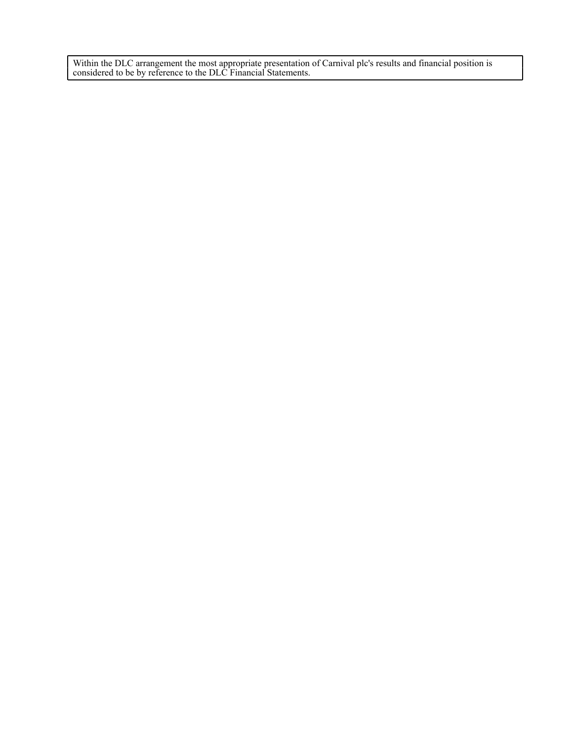Within the DLC arrangement the most appropriate presentation of Carnival plc's results and financial position is considered to be by reference to the DLC Financial Statements.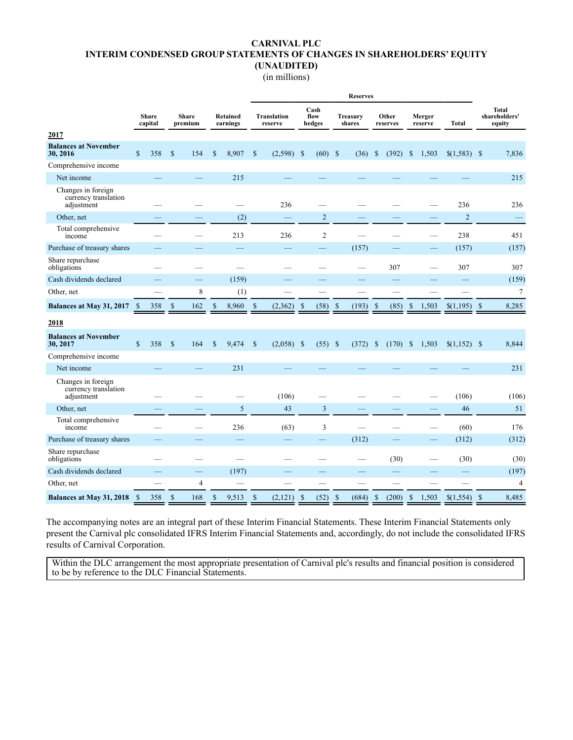### **CARNIVAL PLC INTERIM CONDENSED GROUP STATEMENTS OF CHANGES IN SHAREHOLDERS' EQUITY (UNAUDITED)**

(in millions)

|                                                          |              |                         |               |                         |               |                             | <b>Reserves</b> |                               |                    |                        |               |                           |               |                   |               |                   |                          |              |                                  |
|----------------------------------------------------------|--------------|-------------------------|---------------|-------------------------|---------------|-----------------------------|-----------------|-------------------------------|--------------------|------------------------|---------------|---------------------------|---------------|-------------------|---------------|-------------------|--------------------------|--------------|----------------------------------|
|                                                          |              | <b>Share</b><br>capital |               | <b>Share</b><br>premium |               | <b>Retained</b><br>earnings |                 | <b>Translation</b><br>reserve |                    | Cash<br>flow<br>hedges |               | <b>Treasury</b><br>shares |               | Other<br>reserves |               | Merger<br>reserve | Total                    |              | Total<br>shareholders'<br>equity |
| 2017                                                     |              |                         |               |                         |               |                             |                 |                               |                    |                        |               |                           |               |                   |               |                   |                          |              |                                  |
| <b>Balances at November</b><br>30, 2016                  | $\mathbb{S}$ | 358                     | $\mathcal{S}$ | 154                     | $\$$          | 8,907                       | \$              | $(2,598)$ \$                  |                    | $(60)$ \$              |               | (36)                      | \$            | (392)             | \$            | 1,503             | $$(1,583)$ \\$           |              | 7,836                            |
| Comprehensive income                                     |              |                         |               |                         |               |                             |                 |                               |                    |                        |               |                           |               |                   |               |                   |                          |              |                                  |
| Net income                                               |              |                         |               |                         |               | 215                         |                 |                               |                    |                        |               |                           |               |                   |               |                   |                          |              | 215                              |
| Changes in foreign<br>currency translation<br>adjustment |              |                         |               |                         |               |                             |                 | 236                           |                    |                        |               |                           |               |                   |               |                   | 236                      |              | 236                              |
| Other, net                                               |              |                         |               |                         |               | (2)                         |                 |                               |                    | $\overline{2}$         |               |                           |               |                   |               |                   | $\overline{2}$           |              |                                  |
| Total comprehensive<br>income                            |              |                         |               |                         |               | 213                         |                 | 236                           |                    | 2                      |               |                           |               |                   |               |                   | 238                      |              | 451                              |
| Purchase of treasury shares                              |              |                         |               |                         |               |                             |                 |                               |                    |                        |               | (157)                     |               |                   |               |                   | (157)                    |              | (157)                            |
| Share repurchase<br>obligations                          |              |                         |               |                         |               |                             |                 |                               |                    |                        |               |                           |               | 307               |               |                   | 307                      |              | 307                              |
| Cash dividends declared                                  |              |                         |               |                         |               | (159)                       |                 |                               |                    |                        |               |                           |               |                   |               |                   |                          |              | (159)                            |
| Other, net                                               |              |                         |               | 8                       |               | (1)                         |                 |                               |                    |                        |               |                           |               |                   |               |                   |                          |              | $\tau$                           |
| Balances at May 31, 2017                                 | - \$         | 358                     | $\mathcal{S}$ | 162                     | $\mathcal{S}$ | 8,960                       | $\mathcal{S}$   | (2,362)                       | $\mathbf{\hat{s}}$ | (58)                   | $\mathcal{S}$ | (193)                     | $\mathcal{S}$ | (85)              | $\mathcal{S}$ | 1,503             | \$(1,195)                | $\mathbf{s}$ | 8,285                            |
| 2018                                                     |              |                         |               |                         |               |                             |                 |                               |                    |                        |               |                           |               |                   |               |                   |                          |              |                                  |
| <b>Balances at November</b><br>30, 2017                  | $\mathbb{S}$ | 358                     | $\mathbb{S}$  | 164                     | \$            | 9,474                       | $\mathbb{S}$    | $(2,058)$ \$                  |                    | $(55)$ \$              |               | (372)                     | $\mathbb{S}$  | $(170)$ \$        |               | 1,503             |                          |              | 8,844                            |
| Comprehensive income                                     |              |                         |               |                         |               |                             |                 |                               |                    |                        |               |                           |               |                   |               |                   |                          |              |                                  |
| Net income                                               |              |                         |               |                         |               | 231                         |                 |                               |                    |                        |               |                           |               |                   |               |                   |                          |              | 231                              |
| Changes in foreign<br>currency translation<br>adjustment |              |                         |               |                         |               |                             |                 | (106)                         |                    |                        |               |                           |               |                   |               |                   | (106)                    |              | (106)                            |
| Other, net                                               |              |                         |               |                         |               | 5                           |                 | 43                            |                    | $\overline{3}$         |               |                           |               |                   |               |                   | 46                       |              | 51                               |
| Total comprehensive<br>income                            |              |                         |               |                         |               | 236                         |                 | (63)                          |                    | 3                      |               |                           |               |                   |               |                   | (60)                     |              | 176                              |
| Purchase of treasury shares                              |              |                         |               |                         |               |                             |                 | $\overline{\phantom{0}}$      |                    |                        |               | (312)                     |               |                   |               |                   | (312)                    |              | (312)                            |
| Share repurchase<br>obligations                          |              |                         |               |                         |               | $\overline{\phantom{0}}$    |                 |                               |                    |                        |               |                           |               | (30)              |               |                   | (30)                     |              | (30)                             |
| Cash dividends declared                                  |              |                         |               |                         |               | (197)                       |                 |                               |                    |                        |               |                           |               |                   |               |                   | $\overline{\phantom{0}}$ |              | (197)                            |
| Other, net                                               |              |                         |               | $\overline{4}$          |               |                             |                 |                               |                    |                        |               |                           |               |                   |               |                   |                          |              | $\overline{4}$                   |
| Balances at May 31, 2018 \$                              |              | 358                     | $\mathcal{S}$ | 168                     | $\mathcal{S}$ | 9,513                       | $\mathbb{S}$    | (2,121)                       | - \$               | (52)                   | $\mathcal{S}$ | (684)                     | $\mathbb{S}$  | (200)             | $\mathbb{S}$  | 1,503             |                          |              | 8,485                            |

The accompanying notes are an integral part of these Interim Financial Statements. These Interim Financial Statements only present the Carnival plc consolidated IFRS Interim Financial Statements and, accordingly, do not include the consolidated IFRS results of Carnival Corporation.

Within the DLC arrangement the most appropriate presentation of Carnival plc's results and financial position is considered to be by reference to the DLC Financial Statements.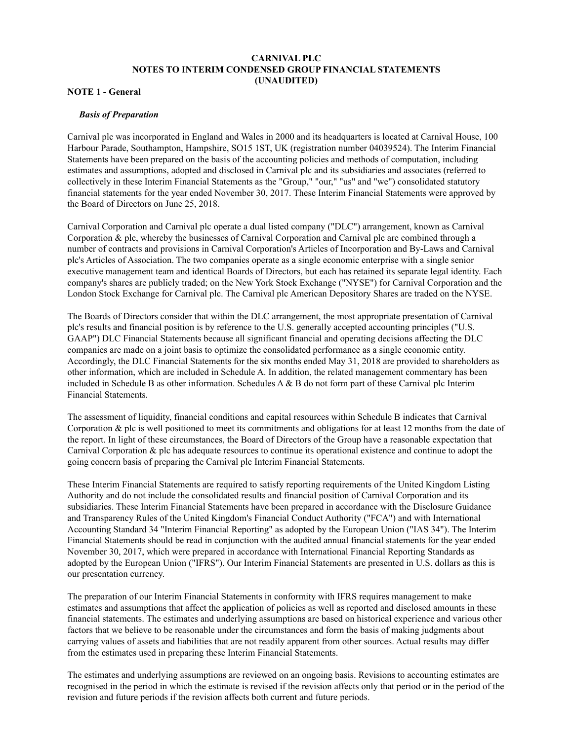## **CARNIVAL PLC NOTES TO INTERIM CONDENSED GROUP FINANCIAL STATEMENTS (UNAUDITED)**

### **NOTE 1 - General**

#### *Basis of Preparation*

Carnival plc was incorporated in England and Wales in 2000 and its headquarters is located at Carnival House, 100 Harbour Parade, Southampton, Hampshire, SO15 1ST, UK (registration number 04039524). The Interim Financial Statements have been prepared on the basis of the accounting policies and methods of computation, including estimates and assumptions, adopted and disclosed in Carnival plc and its subsidiaries and associates (referred to collectively in these Interim Financial Statements as the "Group," "our," "us" and "we") consolidated statutory financial statements for the year ended November 30, 2017. These Interim Financial Statements were approved by the Board of Directors on June 25, 2018.

Carnival Corporation and Carnival plc operate a dual listed company ("DLC") arrangement, known as Carnival Corporation & plc, whereby the businesses of Carnival Corporation and Carnival plc are combined through a number of contracts and provisions in Carnival Corporation's Articles of Incorporation and By-Laws and Carnival plc's Articles of Association. The two companies operate as a single economic enterprise with a single senior executive management team and identical Boards of Directors, but each has retained its separate legal identity. Each company's shares are publicly traded; on the New York Stock Exchange ("NYSE") for Carnival Corporation and the London Stock Exchange for Carnival plc. The Carnival plc American Depository Shares are traded on the NYSE.

The Boards of Directors consider that within the DLC arrangement, the most appropriate presentation of Carnival plc's results and financial position is by reference to the U.S. generally accepted accounting principles ("U.S. GAAP") DLC Financial Statements because all significant financial and operating decisions affecting the DLC companies are made on a joint basis to optimize the consolidated performance as a single economic entity. Accordingly, the DLC Financial Statements for the six months ended May 31, 2018 are provided to shareholders as other information, which are included in Schedule A. In addition, the related management commentary has been included in Schedule B as other information. Schedules  $A \& B$  do not form part of these Carnival plc Interim Financial Statements.

The assessment of liquidity, financial conditions and capital resources within Schedule B indicates that Carnival Corporation & plc is well positioned to meet its commitments and obligations for at least 12 months from the date of the report. In light of these circumstances, the Board of Directors of the Group have a reasonable expectation that Carnival Corporation & plc has adequate resources to continue its operational existence and continue to adopt the going concern basis of preparing the Carnival plc Interim Financial Statements.

These Interim Financial Statements are required to satisfy reporting requirements of the United Kingdom Listing Authority and do not include the consolidated results and financial position of Carnival Corporation and its subsidiaries. These Interim Financial Statements have been prepared in accordance with the Disclosure Guidance and Transparency Rules of the United Kingdom's Financial Conduct Authority ("FCA") and with International Accounting Standard 34 "Interim Financial Reporting" as adopted by the European Union ("IAS 34"). The Interim Financial Statements should be read in conjunction with the audited annual financial statements for the year ended November 30, 2017, which were prepared in accordance with International Financial Reporting Standards as adopted by the European Union ("IFRS"). Our Interim Financial Statements are presented in U.S. dollars as this is our presentation currency.

The preparation of our Interim Financial Statements in conformity with IFRS requires management to make estimates and assumptions that affect the application of policies as well as reported and disclosed amounts in these financial statements. The estimates and underlying assumptions are based on historical experience and various other factors that we believe to be reasonable under the circumstances and form the basis of making judgments about carrying values of assets and liabilities that are not readily apparent from other sources. Actual results may differ from the estimates used in preparing these Interim Financial Statements.

The estimates and underlying assumptions are reviewed on an ongoing basis. Revisions to accounting estimates are recognised in the period in which the estimate is revised if the revision affects only that period or in the period of the revision and future periods if the revision affects both current and future periods.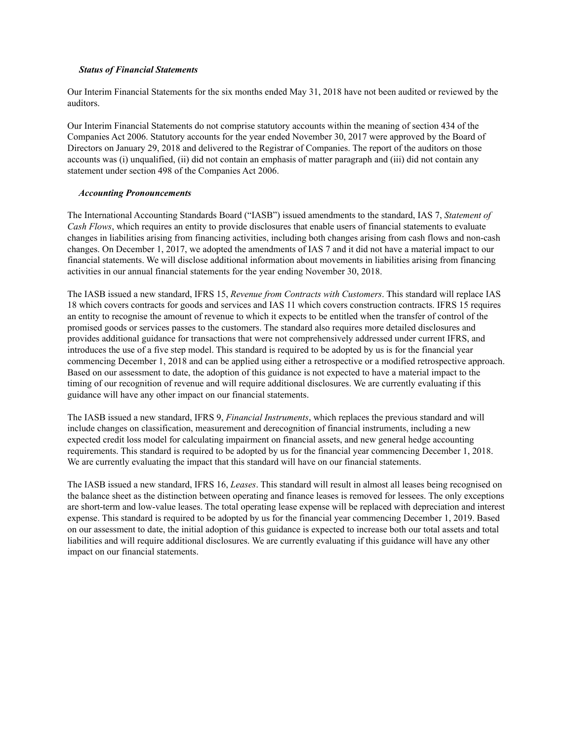#### *Status of Financial Statements*

Our Interim Financial Statements for the six months ended May 31, 2018 have not been audited or reviewed by the auditors.

Our Interim Financial Statements do not comprise statutory accounts within the meaning of section 434 of the Companies Act 2006. Statutory accounts for the year ended November 30, 2017 were approved by the Board of Directors on January 29, 2018 and delivered to the Registrar of Companies. The report of the auditors on those accounts was (i) unqualified, (ii) did not contain an emphasis of matter paragraph and (iii) did not contain any statement under section 498 of the Companies Act 2006.

#### *Accounting Pronouncements*

The International Accounting Standards Board ("IASB") issued amendments to the standard, IAS 7, *Statement of Cash Flows*, which requires an entity to provide disclosures that enable users of financial statements to evaluate changes in liabilities arising from financing activities, including both changes arising from cash flows and non-cash changes. On December 1, 2017, we adopted the amendments of IAS 7 and it did not have a material impact to our financial statements. We will disclose additional information about movements in liabilities arising from financing activities in our annual financial statements for the year ending November 30, 2018.

The IASB issued a new standard, IFRS 15, *Revenue from Contracts with Customers*. This standard will replace IAS 18 which covers contracts for goods and services and IAS 11 which covers construction contracts. IFRS 15 requires an entity to recognise the amount of revenue to which it expects to be entitled when the transfer of control of the promised goods or services passes to the customers. The standard also requires more detailed disclosures and provides additional guidance for transactions that were not comprehensively addressed under current IFRS, and introduces the use of a five step model. This standard is required to be adopted by us is for the financial year commencing December 1, 2018 and can be applied using either a retrospective or a modified retrospective approach. Based on our assessment to date, the adoption of this guidance is not expected to have a material impact to the timing of our recognition of revenue and will require additional disclosures. We are currently evaluating if this guidance will have any other impact on our financial statements.

The IASB issued a new standard, IFRS 9, *Financial Instruments*, which replaces the previous standard and will include changes on classification, measurement and derecognition of financial instruments, including a new expected credit loss model for calculating impairment on financial assets, and new general hedge accounting requirements. This standard is required to be adopted by us for the financial year commencing December 1, 2018. We are currently evaluating the impact that this standard will have on our financial statements.

The IASB issued a new standard, IFRS 16, *Leases*. This standard will result in almost all leases being recognised on the balance sheet as the distinction between operating and finance leases is removed for lessees. The only exceptions are short-term and low-value leases. The total operating lease expense will be replaced with depreciation and interest expense. This standard is required to be adopted by us for the financial year commencing December 1, 2019. Based on our assessment to date, the initial adoption of this guidance is expected to increase both our total assets and total liabilities and will require additional disclosures. We are currently evaluating if this guidance will have any other impact on our financial statements.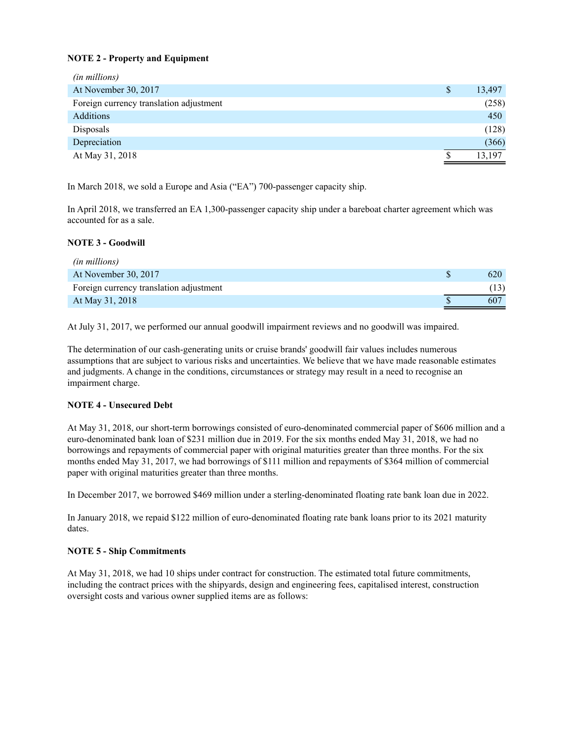### **NOTE 2 - Property and Equipment**

| (in millions)                           |              |
|-----------------------------------------|--------------|
| At November 30, 2017                    | \$<br>13,497 |
| Foreign currency translation adjustment | (258)        |
| <b>Additions</b>                        | 450          |
| Disposals                               | (128)        |
| Depreciation                            | (366)        |
| At May 31, 2018                         | 13,197       |

In March 2018, we sold a Europe and Asia ("EA") 700-passenger capacity ship.

In April 2018, we transferred an EA 1,300-passenger capacity ship under a bareboat charter agreement which was accounted for as a sale.

#### **NOTE 3 - Goodwill**

| <i>(in millions)</i>                    |                 |
|-----------------------------------------|-----------------|
| At November 30, 2017                    | 620             |
| Foreign currency translation adjustment |                 |
| At May 31, 2018                         | 60 <sup>7</sup> |

At July 31, 2017, we performed our annual goodwill impairment reviews and no goodwill was impaired.

The determination of our cash-generating units or cruise brands' goodwill fair values includes numerous assumptions that are subject to various risks and uncertainties. We believe that we have made reasonable estimates and judgments. A change in the conditions, circumstances or strategy may result in a need to recognise an impairment charge.

### **NOTE 4 - Unsecured Debt**

At May 31, 2018, our short-term borrowings consisted of euro-denominated commercial paper of \$606 million and a euro-denominated bank loan of \$231 million due in 2019. For the six months ended May 31, 2018, we had no borrowings and repayments of commercial paper with original maturities greater than three months. For the six months ended May 31, 2017, we had borrowings of \$111 million and repayments of \$364 million of commercial paper with original maturities greater than three months.

In December 2017, we borrowed \$469 million under a sterling-denominated floating rate bank loan due in 2022.

In January 2018, we repaid \$122 million of euro-denominated floating rate bank loans prior to its 2021 maturity dates.

### **NOTE 5 - Ship Commitments**

At May 31, 2018, we had 10 ships under contract for construction. The estimated total future commitments, including the contract prices with the shipyards, design and engineering fees, capitalised interest, construction oversight costs and various owner supplied items are as follows: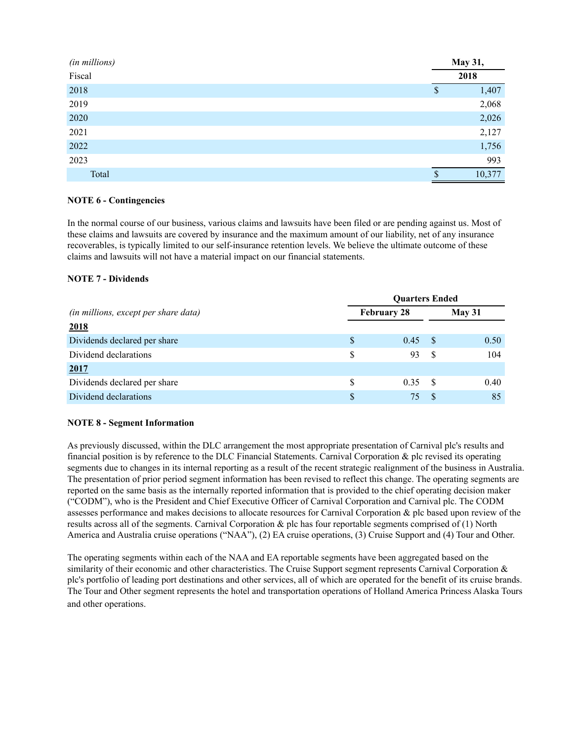| (in millions) | May 31,                |
|---------------|------------------------|
| Fiscal        | 2018                   |
| 2018          | 1,407<br><sup>\$</sup> |
| 2019          | 2,068                  |
| 2020          | 2,026                  |
| 2021          | 2,127                  |
| 2022          | 1,756                  |
| 2023          | 993                    |
| Total         | 10,377<br>¢            |

### **NOTE 6 - Contingencies**

In the normal course of our business, various claims and lawsuits have been filed or are pending against us. Most of these claims and lawsuits are covered by insurance and the maximum amount of our liability, net of any insurance recoverables, is typically limited to our self-insurance retention levels. We believe the ultimate outcome of these claims and lawsuits will not have a material impact on our financial statements.

### **NOTE 7 - Dividends**

|                                      | <b>Ouarters Ended</b> |                    |      |      |  |  |  |  |  |  |
|--------------------------------------|-----------------------|--------------------|------|------|--|--|--|--|--|--|
| (in millions, except per share data) |                       | <b>February 28</b> |      |      |  |  |  |  |  |  |
| 2018                                 |                       |                    |      |      |  |  |  |  |  |  |
| Dividends declared per share         | S                     | 0.45               | - \$ | 0.50 |  |  |  |  |  |  |
| Dividend declarations                | S                     | 93                 | - S  | 104  |  |  |  |  |  |  |
| 2017                                 |                       |                    |      |      |  |  |  |  |  |  |
| Dividends declared per share         | S                     | 0.35               | - S  | 0.40 |  |  |  |  |  |  |
| Dividend declarations                | <sup>\$</sup>         | 75                 |      | 85   |  |  |  |  |  |  |

### **NOTE 8 - Segment Information**

As previously discussed, within the DLC arrangement the most appropriate presentation of Carnival plc's results and financial position is by reference to the DLC Financial Statements. Carnival Corporation & plc revised its operating segments due to changes in its internal reporting as a result of the recent strategic realignment of the business in Australia. The presentation of prior period segment information has been revised to reflect this change. The operating segments are reported on the same basis as the internally reported information that is provided to the chief operating decision maker ("CODM"), who is the President and Chief Executive Officer of Carnival Corporation and Carnival plc. The CODM assesses performance and makes decisions to allocate resources for Carnival Corporation & plc based upon review of the results across all of the segments. Carnival Corporation & plc has four reportable segments comprised of (1) North America and Australia cruise operations ("NAA"), (2) EA cruise operations, (3) Cruise Support and (4) Tour and Other.

The operating segments within each of the NAA and EA reportable segments have been aggregated based on the similarity of their economic and other characteristics. The Cruise Support segment represents Carnival Corporation & plc's portfolio of leading port destinations and other services, all of which are operated for the benefit of its cruise brands. The Tour and Other segment represents the hotel and transportation operations of Holland America Princess Alaska Tours and other operations.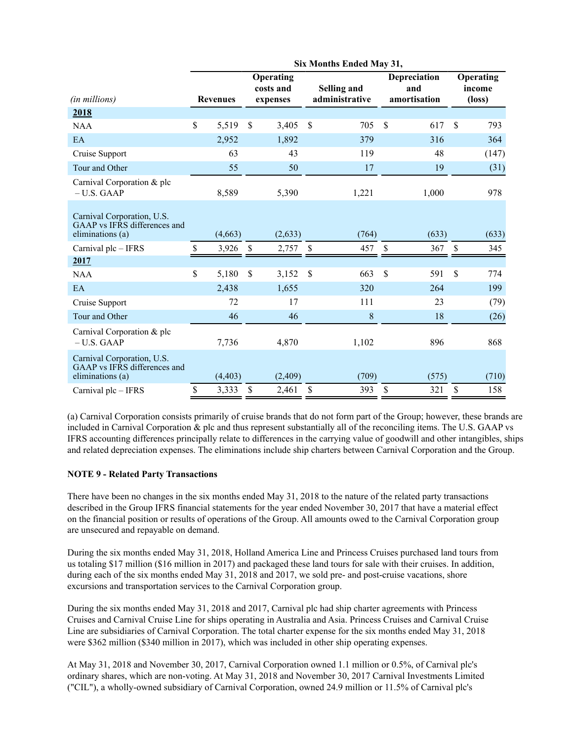|                                                                                | Six Months Ended May 31, |                 |    |                                    |    |                               |    |                                     |             |                                        |  |
|--------------------------------------------------------------------------------|--------------------------|-----------------|----|------------------------------------|----|-------------------------------|----|-------------------------------------|-------------|----------------------------------------|--|
| (in millions)                                                                  |                          | <b>Revenues</b> |    | Operating<br>costs and<br>expenses |    | Selling and<br>administrative |    | Depreciation<br>and<br>amortisation |             | Operating<br>income<br>$(\text{loss})$ |  |
| 2018                                                                           |                          |                 |    |                                    |    |                               |    |                                     |             |                                        |  |
| <b>NAA</b>                                                                     | $\mathbf S$              | 5,519           | \$ | 3,405                              | \$ | 705                           | \$ | 617                                 | \$          | 793                                    |  |
| EA                                                                             |                          | 2,952           |    | 1,892                              |    | 379                           |    | 316                                 |             | 364                                    |  |
| Cruise Support                                                                 |                          | 63              |    | 43                                 |    | 119                           |    | 48                                  |             | (147)                                  |  |
| Tour and Other                                                                 |                          | 55              |    | 50                                 |    | 17                            |    | 19                                  |             | (31)                                   |  |
| Carnival Corporation & plc<br>$- U.S. GAAP$                                    |                          | 8,589           |    | 5,390                              |    | 1,221                         |    | 1,000                               |             | 978                                    |  |
| Carnival Corporation, U.S.<br>GAAP vs IFRS differences and<br>eliminations (a) |                          | (4,663)         |    | (2, 633)                           |    | (764)                         |    | (633)                               |             | (633)                                  |  |
| Carnival plc - IFRS                                                            | \$                       | 3,926           | \$ | 2,757                              | \$ | 457                           | \$ | 367                                 | \$          | 345                                    |  |
| 2017                                                                           |                          |                 |    |                                    |    |                               |    |                                     |             |                                        |  |
| <b>NAA</b>                                                                     | \$                       | 5,180           | \$ | 3,152                              | \$ | 663                           | \$ | 591                                 | $\mathbf S$ | 774                                    |  |
| EA                                                                             |                          | 2,438           |    | 1,655                              |    | 320                           |    | 264                                 |             | 199                                    |  |
| Cruise Support                                                                 |                          | 72              |    | 17                                 |    | 111                           |    | 23                                  |             | (79)                                   |  |
| Tour and Other                                                                 |                          | 46              |    | 46                                 |    | 8                             |    | 18                                  |             | (26)                                   |  |
| Carnival Corporation & plc<br>$- U.S. GAAP$                                    |                          | 7,736           |    | 4,870                              |    | 1,102                         |    | 896                                 |             | 868                                    |  |
| Carnival Corporation, U.S.<br>GAAP vs IFRS differences and<br>eliminations (a) |                          | (4, 403)        |    | (2,409)                            |    | (709)                         |    | (575)                               |             | (710)                                  |  |
| Carnival plc - IFRS                                                            | \$                       | 3,333           | \$ | 2,461                              | \$ | 393                           | \$ | 321                                 | \$          | 158                                    |  |

(a) Carnival Corporation consists primarily of cruise brands that do not form part of the Group; however, these brands are included in Carnival Corporation & plc and thus represent substantially all of the reconciling items. The U.S. GAAP vs IFRS accounting differences principally relate to differences in the carrying value of goodwill and other intangibles, ships and related depreciation expenses. The eliminations include ship charters between Carnival Corporation and the Group.

## **NOTE 9 - Related Party Transactions**

There have been no changes in the six months ended May 31, 2018 to the nature of the related party transactions described in the Group IFRS financial statements for the year ended November 30, 2017 that have a material effect on the financial position or results of operations of the Group. All amounts owed to the Carnival Corporation group are unsecured and repayable on demand.

During the six months ended May 31, 2018, Holland America Line and Princess Cruises purchased land tours from us totaling \$17 million (\$16 million in 2017) and packaged these land tours for sale with their cruises. In addition, during each of the six months ended May 31, 2018 and 2017, we sold pre- and post-cruise vacations, shore excursions and transportation services to the Carnival Corporation group.

During the six months ended May 31, 2018 and 2017, Carnival plc had ship charter agreements with Princess Cruises and Carnival Cruise Line for ships operating in Australia and Asia. Princess Cruises and Carnival Cruise Line are subsidiaries of Carnival Corporation. The total charter expense for the six months ended May 31, 2018 were \$362 million (\$340 million in 2017), which was included in other ship operating expenses.

At May 31, 2018 and November 30, 2017, Carnival Corporation owned 1.1 million or 0.5%, of Carnival plc's ordinary shares, which are non-voting. At May 31, 2018 and November 30, 2017 Carnival Investments Limited ("CIL"), a wholly-owned subsidiary of Carnival Corporation, owned 24.9 million or 11.5% of Carnival plc's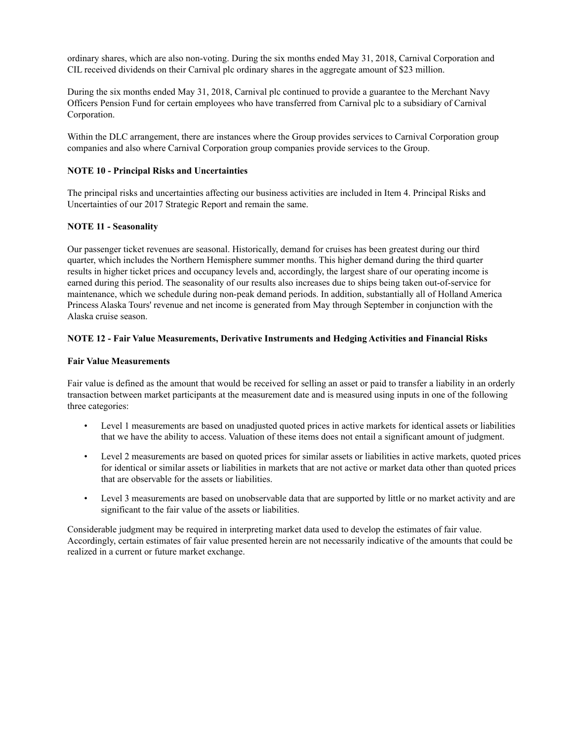ordinary shares, which are also non-voting. During the six months ended May 31, 2018, Carnival Corporation and CIL received dividends on their Carnival plc ordinary shares in the aggregate amount of \$23 million.

During the six months ended May 31, 2018, Carnival plc continued to provide a guarantee to the Merchant Navy Officers Pension Fund for certain employees who have transferred from Carnival plc to a subsidiary of Carnival Corporation.

Within the DLC arrangement, there are instances where the Group provides services to Carnival Corporation group companies and also where Carnival Corporation group companies provide services to the Group.

#### **NOTE 10 - Principal Risks and Uncertainties**

The principal risks and uncertainties affecting our business activities are included in Item 4. Principal Risks and Uncertainties of our 2017 Strategic Report and remain the same.

#### **NOTE 11 - Seasonality**

Our passenger ticket revenues are seasonal. Historically, demand for cruises has been greatest during our third quarter, which includes the Northern Hemisphere summer months. This higher demand during the third quarter results in higher ticket prices and occupancy levels and, accordingly, the largest share of our operating income is earned during this period. The seasonality of our results also increases due to ships being taken out-of-service for maintenance, which we schedule during non-peak demand periods. In addition, substantially all of Holland America Princess Alaska Tours' revenue and net income is generated from May through September in conjunction with the Alaska cruise season.

#### **NOTE 12 - Fair Value Measurements, Derivative Instruments and Hedging Activities and Financial Risks**

#### **Fair Value Measurements**

Fair value is defined as the amount that would be received for selling an asset or paid to transfer a liability in an orderly transaction between market participants at the measurement date and is measured using inputs in one of the following three categories:

- Level 1 measurements are based on unadjusted quoted prices in active markets for identical assets or liabilities that we have the ability to access. Valuation of these items does not entail a significant amount of judgment.
- Level 2 measurements are based on quoted prices for similar assets or liabilities in active markets, quoted prices for identical or similar assets or liabilities in markets that are not active or market data other than quoted prices that are observable for the assets or liabilities.
- Level 3 measurements are based on unobservable data that are supported by little or no market activity and are significant to the fair value of the assets or liabilities.

Considerable judgment may be required in interpreting market data used to develop the estimates of fair value. Accordingly, certain estimates of fair value presented herein are not necessarily indicative of the amounts that could be realized in a current or future market exchange.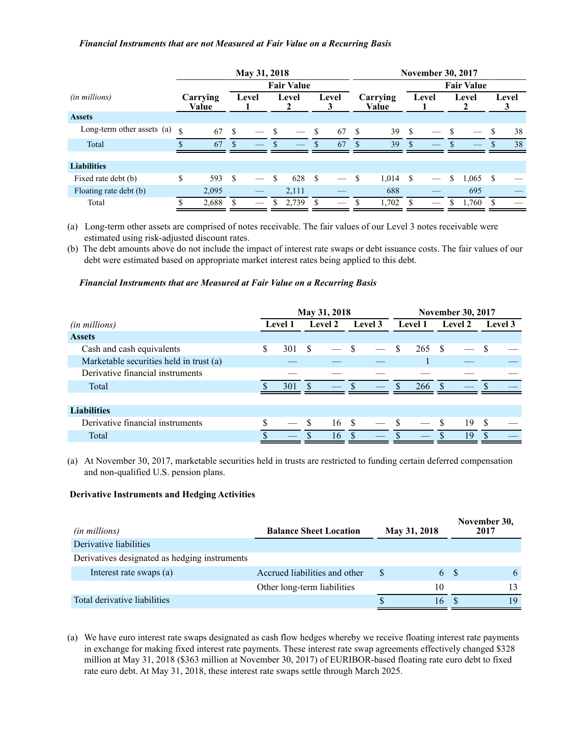#### *Financial Instruments that are not Measured at Fair Value on a Recurring Basis*

|                            | May 31, 2018       |                   |                   |       |               |       |          | <b>November 30, 2017</b> |               |                   |      |       |       |       |       |    |  |  |
|----------------------------|--------------------|-------------------|-------------------|-------|---------------|-------|----------|--------------------------|---------------|-------------------|------|-------|-------|-------|-------|----|--|--|
|                            |                    |                   | <b>Fair Value</b> |       |               |       |          |                          |               | <b>Fair Value</b> |      |       |       |       |       |    |  |  |
| (in millions)              |                    | Carrying<br>Value |                   | Level |               | Level |          | Level                    |               | Carrying<br>Value |      | Level | Level |       | Level |    |  |  |
| <b>Assets</b>              |                    |                   |                   |       |               |       |          |                          |               |                   |      |       |       |       |       |    |  |  |
| Long-term other assets (a) | $\mathbf{\hat{S}}$ | 67                | -S                |       | - \$          |       | <b>S</b> | 67                       | <sup>\$</sup> | 39                | - \$ |       | - \$  |       |       | 38 |  |  |
| Total                      |                    | 67                | S                 |       |               |       | S        | 67                       | S             | 39                | -S   |       |       |       |       | 38 |  |  |
|                            |                    |                   |                   |       |               |       |          |                          |               |                   |      |       |       |       |       |    |  |  |
| <b>Liabilities</b>         |                    |                   |                   |       |               |       |          |                          |               |                   |      |       |       |       |       |    |  |  |
| Fixed rate debt (b)        | \$                 | 593               | \$                |       | -S            | 628   | - \$     |                          | S             | 1,014             | - \$ |       | \$    | 1,065 | -S    |    |  |  |
| Floating rate debt (b)     |                    | 2,095             |                   |       |               | 2,111 |          |                          |               | 688               |      |       |       | 695   |       |    |  |  |
| Total                      |                    | 2,688             |                   |       | <sup>\$</sup> | 2,739 |          |                          |               | 1,702             |      |       |       | 1,760 |       |    |  |  |

(a) Long-term other assets are comprised of notes receivable. The fair values of our Level 3 notes receivable were estimated using risk-adjusted discount rates.

(b) The debt amounts above do not include the impact of interest rate swaps or debt issuance costs. The fair values of our debt were estimated based on appropriate market interest rates being applied to this debt.

#### *Financial Instruments that are Measured at Fair Value on a Recurring Basis*

|                                         | May 31, 2018 |                |               |         |               |         |                | <b>November 30, 2017</b> |                |    |         |  |  |
|-----------------------------------------|--------------|----------------|---------------|---------|---------------|---------|----------------|--------------------------|----------------|----|---------|--|--|
| (in millions)                           |              | <b>Level 1</b> |               | Level 2 |               | Level 3 | <b>Level 1</b> |                          | <b>Level 2</b> |    | Level 3 |  |  |
| <b>Assets</b>                           |              |                |               |         |               |         |                |                          |                |    |         |  |  |
| Cash and cash equivalents               | \$           | 301            | <sup>\$</sup> |         | <sup>\$</sup> |         | <sup>\$</sup>  | 265                      | -\$            |    |         |  |  |
| Marketable securities held in trust (a) |              |                |               |         |               |         |                |                          |                |    |         |  |  |
| Derivative financial instruments        |              |                |               |         |               |         |                |                          |                |    |         |  |  |
| Total                                   |              | 301            |               |         |               |         | - \$           | 266                      | -S             |    |         |  |  |
|                                         |              |                |               |         |               |         |                |                          |                |    |         |  |  |
| <b>Liabilities</b>                      |              |                |               |         |               |         |                |                          |                |    |         |  |  |
| Derivative financial instruments        | \$           |                |               | 16      | - \$          |         | -S             |                          | \$.            | 19 | S       |  |  |
| Total                                   |              |                |               | 16      |               |         |                |                          |                | 19 |         |  |  |

(a) At November 30, 2017, marketable securities held in trusts are restricted to funding certain deferred compensation and non-qualified U.S. pension plans.

#### **Derivative Instruments and Hedging Activities**

| <b>Balance Sheet Location</b> | May 31, 2018 |    |  | November 30,<br>2017 |  |  |
|-------------------------------|--------------|----|--|----------------------|--|--|
|                               |              |    |  |                      |  |  |
|                               |              |    |  |                      |  |  |
| Accrued liabilities and other |              |    |  | $\mathsf{f}$         |  |  |
| Other long-term liabilities   |              | 10 |  |                      |  |  |
|                               |              | 16 |  | 19                   |  |  |
|                               |              |    |  | 6 \$                 |  |  |

(a) We have euro interest rate swaps designated as cash flow hedges whereby we receive floating interest rate payments in exchange for making fixed interest rate payments. These interest rate swap agreements effectively changed \$328 million at May 31, 2018 (\$363 million at November 30, 2017) of EURIBOR-based floating rate euro debt to fixed rate euro debt. At May 31, 2018, these interest rate swaps settle through March 2025.